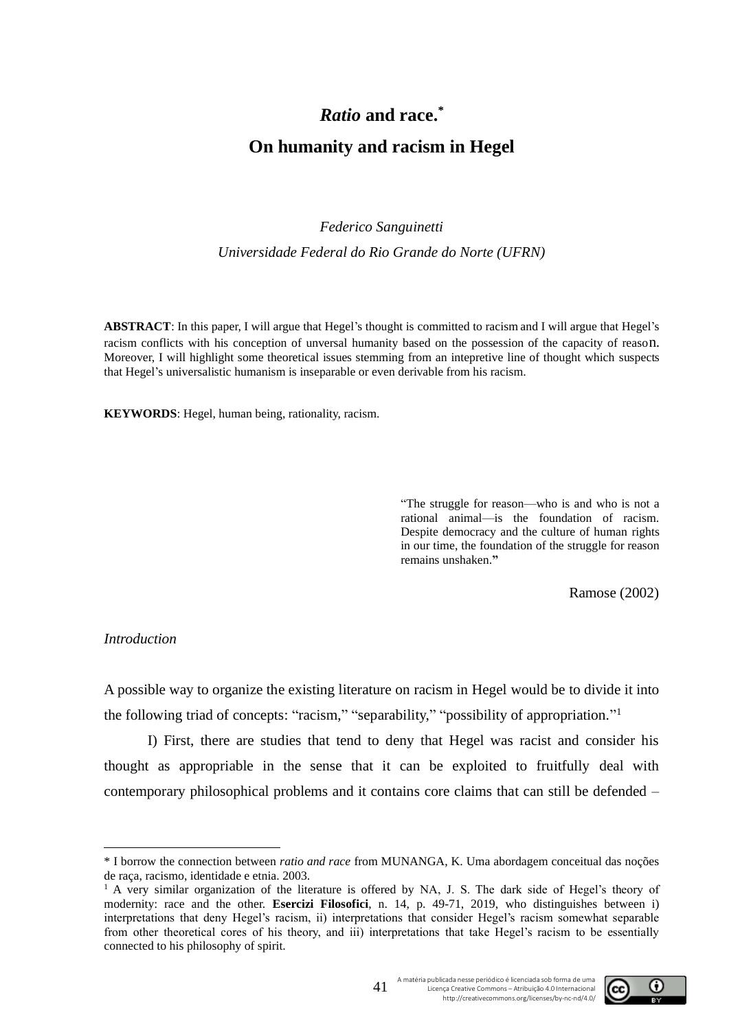# *Ratio* **and race.\***

## **On humanity and racism in Hegel**

## *Federico Sanguinetti*

*Universidade Federal do Rio Grande do Norte (UFRN)*

**ABSTRACT**: In this paper, I will argue that Hegel's thought is committed to racism and I will argue that Hegel's racism conflicts with his conception of unversal humanity based on the possession of the capacity of reason. Moreover, I will highlight some theoretical issues stemming from an intepretive line of thought which suspects that Hegel's universalistic humanism is inseparable or even derivable from his racism.

**KEYWORDS**: Hegel, human being, rationality, racism.

"The struggle for reason—who is and who is not a rational animal—is the foundation of racism. Despite democracy and the culture of human rights in our time, the foundation of the struggle for reason remains unshaken.**"**

Ramose (2002)

#### *Introduction*

A possible way to organize the existing literature on racism in Hegel would be to divide it into the following triad of concepts: "racism," "separability," "possibility of appropriation."<sup>1</sup>

I) First, there are studies that tend to deny that Hegel was racist and consider his thought as appropriable in the sense that it can be exploited to fruitfully deal with contemporary philosophical problems and it contains core claims that can still be defended –

<sup>&</sup>lt;sup>1</sup> A very similar organization of the literature is offered by NA, J. S. The dark side of Hegel's theory of modernity: race and the other. **Esercizi Filosofici**, n. 14, p. 49-71, 2019, who distinguishes between i) interpretations that deny Hegel's racism, ii) interpretations that consider Hegel's racism somewhat separable from other theoretical cores of his theory, and iii) interpretations that take Hegel's racism to be essentially connected to his philosophy of spirit.



A matéria publicada nesse periódico é licenciada sob forma de uma Licença Creative Commons – Atribuição 4.0 Internacional http://creativecommons.org/licenses/by-nc-nd/4.0/

<sup>\*</sup> I borrow the connection between *ratio and race* from MUNANGA, K. Uma abordagem conceitual das noções de raça, racismo, identidade e etnia. 2003.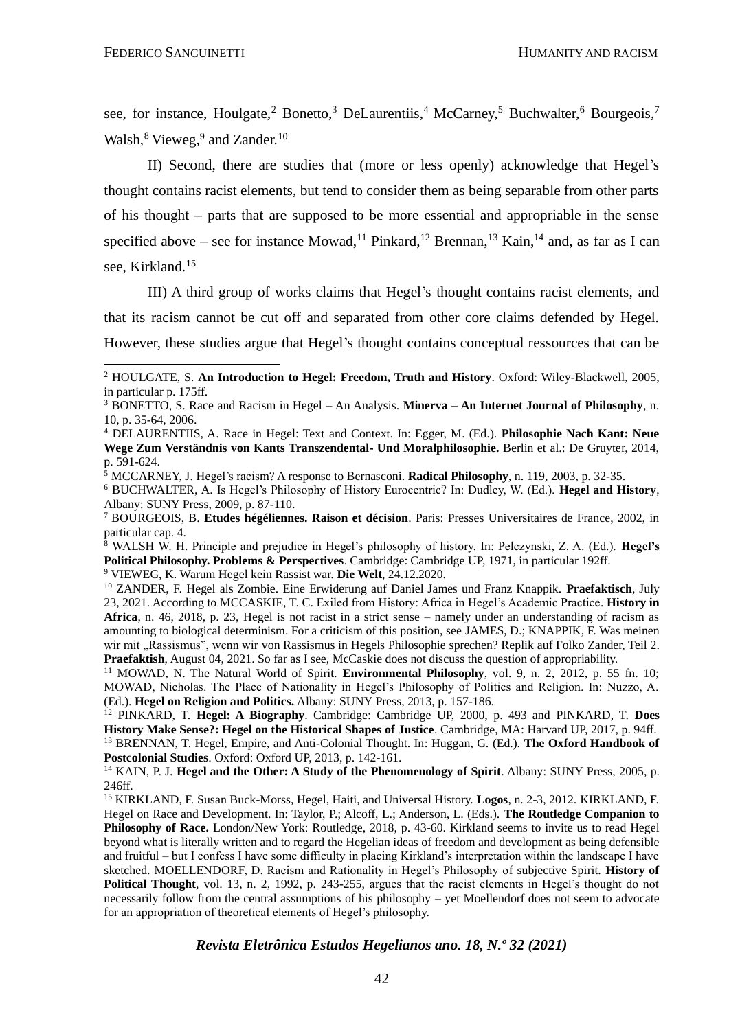see, for instance, Houlgate,<sup>2</sup> Bonetto,<sup>3</sup> DeLaurentiis,<sup>4</sup> McCarney,<sup>5</sup> Buchwalter,<sup>6</sup> Bourgeois,<sup>7</sup> Walsh,<sup>8</sup> Vieweg,<sup>9</sup> and Zander.<sup>10</sup>

II) Second, there are studies that (more or less openly) acknowledge that Hegel's thought contains racist elements, but tend to consider them as being separable from other parts of his thought – parts that are supposed to be more essential and appropriable in the sense specified above – see for instance Mowad,<sup>11</sup> Pinkard,<sup>12</sup> Brennan,<sup>13</sup> Kain,<sup>14</sup> and, as far as I can see, Kirkland.<sup>15</sup>

III) A third group of works claims that Hegel's thought contains racist elements, and that its racism cannot be cut off and separated from other core claims defended by Hegel. However, these studies argue that Hegel's thought contains conceptual ressources that can be

<sup>9</sup> VIEWEG, K. Warum Hegel kein Rassist war. **Die Welt**, 24.12.2020.

<sup>2</sup> HOULGATE, S. **An Introduction to Hegel: Freedom, Truth and History**. Oxford: Wiley-Blackwell, 2005, in particular p. 175ff.

<sup>3</sup> BONETTO, S. Race and Racism in Hegel – An Analysis. **Minerva – An Internet Journal of Philosophy**, n. 10, p. 35-64, 2006.

<sup>4</sup> DELAURENTIIS, A. Race in Hegel: Text and Context. In: Egger, M. (Ed.). **Philosophie Nach Kant: Neue Wege Zum Verständnis von Kants Transzendental- Und Moralphilosophie.** Berlin et al.: De Gruyter, 2014, p. 591-624.

<sup>5</sup> MCCARNEY, J. Hegel's racism? A response to Bernasconi. **Radical Philosophy**, n. 119, 2003, p. 32-35.

<sup>6</sup> BUCHWALTER, A. Is Hegel's Philosophy of History Eurocentric? In: Dudley, W. (Ed.). **Hegel and History**, Albany: SUNY Press, 2009, p. 87-110.

<sup>7</sup> BOURGEOIS, B. **Etudes hégéliennes. Raison et décision**. Paris: Presses Universitaires de France, 2002, in particular cap. 4.

<sup>8</sup> WALSH W. H. Principle and prejudice in Hegel's philosophy of history. In: Pelczynski, Z. A. (Ed.). **Hegel's Political Philosophy. Problems & Perspectives**. Cambridge: Cambridge UP, 1971, in particular 192ff.

<sup>10</sup> ZANDER, F. Hegel als Zombie. Eine Erwiderung auf Daniel James und Franz Knappik. **Praefaktisch**, July 23, 2021. According to MCCASKIE, T. C. Exiled from History: Africa in Hegel's Academic Practice. **History in Africa**, n. 46, 2018, p. 23, Hegel is not racist in a strict sense – namely under an understanding of racism as amounting to biological determinism. For a criticism of this position, see JAMES, D.; KNAPPIK, F. Was meinen wir mit "Rassismus", wenn wir von Rassismus in Hegels Philosophie sprechen? Replik auf Folko Zander, Teil 2. **Praefaktish**, August 04, 2021. So far as I see, McCaskie does not discuss the question of appropriability.

<sup>11</sup> MOWAD, N. The Natural World of Spirit. **Environmental Philosophy**, vol. 9, n. 2, 2012, p. 55 fn. 10; MOWAD, Nicholas. The Place of Nationality in Hegel's Philosophy of Politics and Religion. In: Nuzzo, A. (Ed.). **Hegel on Religion and Politics.** Albany: SUNY Press, 2013, p. 157-186.

<sup>12</sup> PINKARD, T. **Hegel: A Biography**. Cambridge: Cambridge UP, 2000, p. 493 and PINKARD, T. **Does History Make Sense?: Hegel on the Historical Shapes of Justice**. Cambridge, MA: Harvard UP, 2017, p. 94ff. <sup>13</sup> BRENNAN, T. Hegel, Empire, and Anti-Colonial Thought. In: Huggan, G. (Ed.). **The Oxford Handbook of Postcolonial Studies**. Oxford: Oxford UP, 2013, p. 142-161.

<sup>&</sup>lt;sup>14</sup> KAIN, P. J. **Hegel and the Other: A Study of the Phenomenology of Spirit.** Albany: SUNY Press, 2005, p. 246ff.

<sup>15</sup> KIRKLAND, F. Susan Buck-Morss, Hegel, Haiti, and Universal History. **Logos**, n. 2-3, 2012. KIRKLAND, F. Hegel on Race and Development. In: Taylor, P.; Alcoff, L.; Anderson, L. (Eds.). **The Routledge Companion to Philosophy of Race.** London/New York: Routledge, 2018, p. 43-60. Kirkland seems to invite us to read Hegel beyond what is literally written and to regard the Hegelian ideas of freedom and development as being defensible and fruitful – but I confess I have some difficulty in placing Kirkland's interpretation within the landscape I have sketched. MOELLENDORF, D. Racism and Rationality in Hegel's Philosophy of subjective Spirit. **History of Political Thought**, vol. 13, n. 2, 1992, p. 243-255, argues that the racist elements in Hegel's thought do not necessarily follow from the central assumptions of his philosophy – yet Moellendorf does not seem to advocate for an appropriation of theoretical elements of Hegel's philosophy.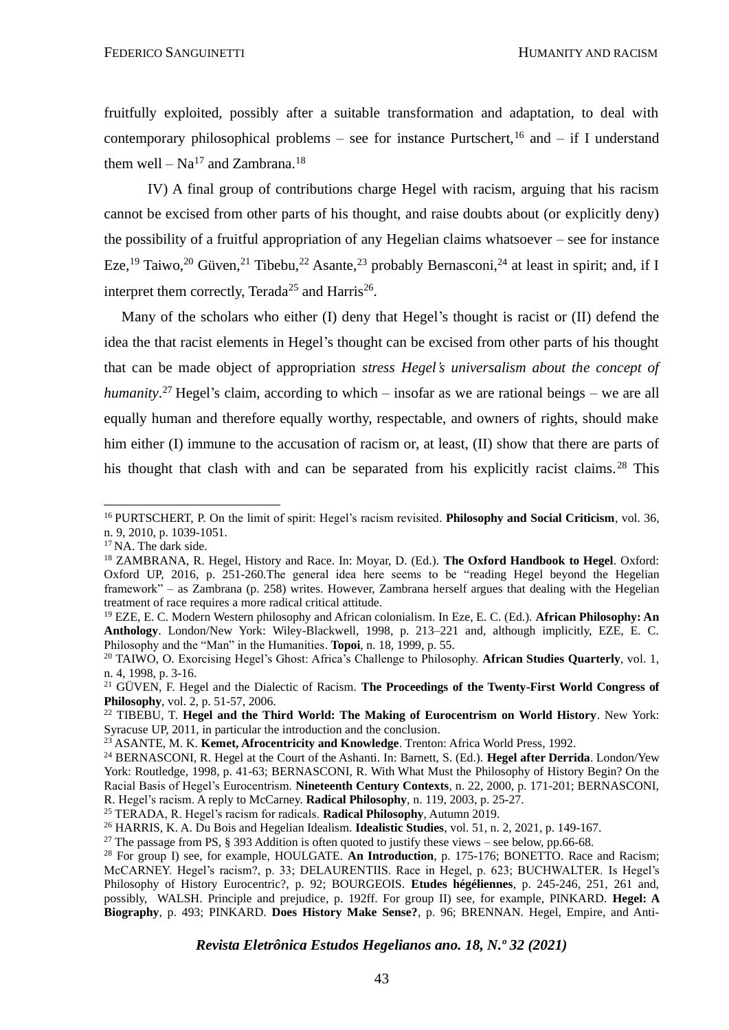fruitfully exploited, possibly after a suitable transformation and adaptation, to deal with contemporary philosophical problems – see for instance Purtschert,<sup>16</sup> and – if I understand them well –  $Na^{17}$  and Zambrana.<sup>18</sup>

IV) A final group of contributions charge Hegel with racism, arguing that his racism cannot be excised from other parts of his thought, and raise doubts about (or explicitly deny) the possibility of a fruitful appropriation of any Hegelian claims whatsoever – see for instance Eze,<sup>19</sup> Taiwo,<sup>20</sup> Güven,<sup>21</sup> Tibebu,<sup>22</sup> Asante,<sup>23</sup> probably Bernasconi,<sup>24</sup> at least in spirit; and, if I interpret them correctly, Terada<sup>25</sup> and Harris<sup>26</sup>.

Many of the scholars who either (I) deny that Hegel's thought is racist or (II) defend the idea the that racist elements in Hegel's thought can be excised from other parts of his thought that can be made object of appropriation *stress Hegel's universalism about the concept of humanity*. <sup>27</sup> Hegel's claim, according to which – insofar as we are rational beings – we are all equally human and therefore equally worthy, respectable, and owners of rights, should make him either (I) immune to the accusation of racism or, at least, (II) show that there are parts of his thought that clash with and can be separated from his explicitly racist claims.<sup>28</sup> This

<sup>16</sup> PURTSCHERT, P. On the limit of spirit: Hegel's racism revisited. **Philosophy and Social Criticism**, vol. 36, n. 9, 2010, p. 1039-1051.

<sup>&</sup>lt;sup>17</sup> NA. The dark side.

<sup>18</sup> ZAMBRANA, R. Hegel, History and Race. In: Moyar, D. (Ed.). **The Oxford Handbook to Hegel**. Oxford: Oxford UP, 2016, p. 251-260.The general idea here seems to be "reading Hegel beyond the Hegelian framework" – as Zambrana (p. 258) writes. However, Zambrana herself argues that dealing with the Hegelian treatment of race requires a more radical critical attitude.

<sup>19</sup> EZE, E. C. Modern Western philosophy and African colonialism. In Eze, E. C. (Ed.). **African Philosophy: An Anthology**. London/New York: Wiley-Blackwell, 1998, p. 213–221 and, although implicitly, EZE, E. C. Philosophy and the "Man" in the Humanities. **Topoi**, n. 18, 1999, p. 55.

<sup>20</sup> TAIWO, O. Exorcising Hegel's Ghost: Africa's Challenge to Philosophy. **African Studies Quarterly**, vol. 1, n. 4, 1998, p. 3-16.

<sup>21</sup> GÜVEN, F. Hegel and the Dialectic of Racism. **The Proceedings of the Twenty-First World Congress of Philosophy**, vol. 2, p. 51-57, 2006.

<sup>22</sup> TIBEBU, T. **Hegel and the Third World: The Making of Eurocentrism on World History**. New York: Syracuse UP, 2011, in particular the introduction and the conclusion.

<sup>23</sup> ASANTE, M. K. **Kemet, Afrocentricity and Knowledge**. Trenton: Africa World Press, 1992.

<sup>24</sup> BERNASCONI, R. Hegel at the Court of the Ashanti. In: Barnett, S. (Ed.). **Hegel after Derrida**. London/Yew York: Routledge, 1998, p. 41-63; BERNASCONI, R. With What Must the Philosophy of History Begin? On the Racial Basis of Hegel's Eurocentrism. **Nineteenth Century Contexts**, n. 22, 2000, p. 171-201; BERNASCONI, R. Hegel's racism. A reply to McCarney. **Radical Philosophy**, n. 119, 2003, p. 25-27.

<sup>25</sup> TERADA, R. Hegel's racism for radicals. **Radical Philosophy**, Autumn 2019.

<sup>26</sup> HARRIS, K. A. Du Bois and Hegelian Idealism. **Idealistic Studies**, vol. 51, n. 2, 2021, p. 149-167.

<sup>&</sup>lt;sup>27</sup> The passage from PS, § 393 Addition is often quoted to justify these views – see below, pp.66-68.

<sup>&</sup>lt;sup>28</sup> For group I) see, for example, HOULGATE. An Introduction, p. 175-176; BONETTO. Race and Racism; McCARNEY. Hegel's racism?, p. 33; DELAURENTIIS. Race in Hegel, p. 623; BUCHWALTER. Is Hegel's Philosophy of History Eurocentric?, p. 92; BOURGEOIS. **Etudes hégéliennes**, p. 245-246, 251, 261 and, possibly, WALSH. Principle and prejudice, p. 192ff. For group II) see, for example, PINKARD. **Hegel: A Biography**, p. 493; PINKARD. **Does History Make Sense?**, p. 96; BRENNAN. Hegel, Empire, and Anti-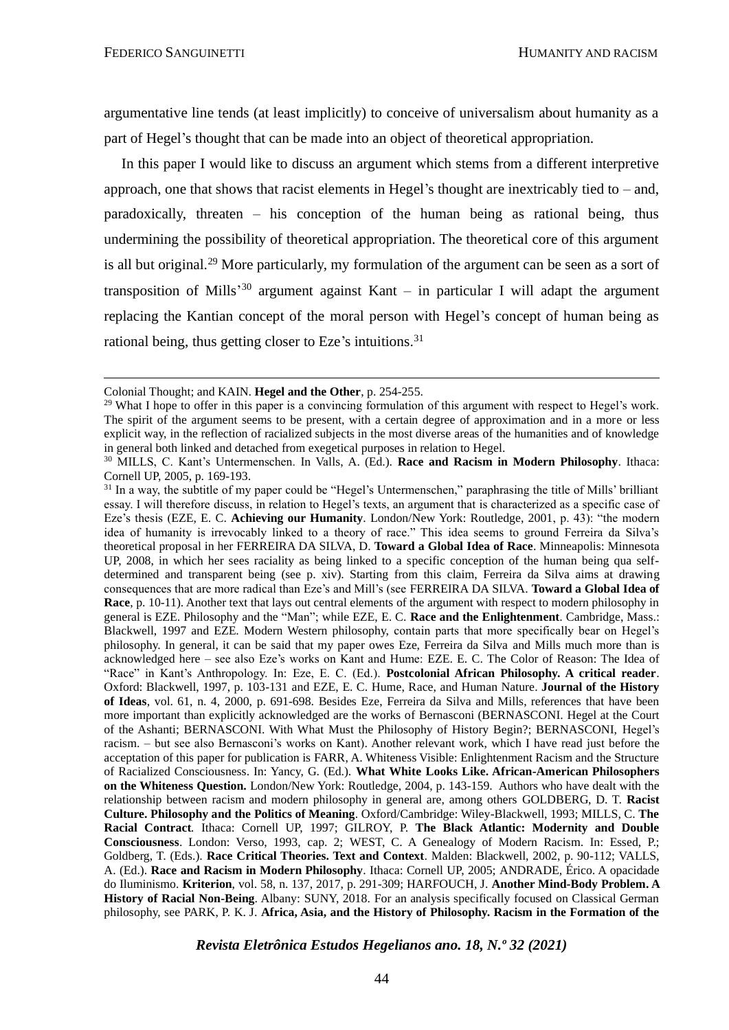argumentative line tends (at least implicitly) to conceive of universalism about humanity as a part of Hegel's thought that can be made into an object of theoretical appropriation.

In this paper I would like to discuss an argument which stems from a different interpretive approach, one that shows that racist elements in Hegel's thought are inextricably tied to – and, paradoxically, threaten – his conception of the human being as rational being, thus undermining the possibility of theoretical appropriation. The theoretical core of this argument is all but original.<sup>29</sup> More particularly, my formulation of the argument can be seen as a sort of transposition of Mills<sup>30</sup> argument against Kant – in particular I will adapt the argument replacing the Kantian concept of the moral person with Hegel's concept of human being as rational being, thus getting closer to Eze's intuitions.<sup>31</sup>

Colonial Thought; and KAIN. **Hegel and the Other**, p. 254-255.

<sup>&</sup>lt;sup>29</sup> What I hope to offer in this paper is a convincing formulation of this argument with respect to Hegel's work. The spirit of the argument seems to be present, with a certain degree of approximation and in a more or less explicit way, in the reflection of racialized subjects in the most diverse areas of the humanities and of knowledge in general both linked and detached from exegetical purposes in relation to Hegel.

<sup>30</sup> MILLS, C. Kant's Untermenschen. In Valls, A. (Ed.). **Race and Racism in Modern Philosophy**. Ithaca: Cornell UP, 2005, p. 169-193.

<sup>&</sup>lt;sup>31</sup> In a way, the subtitle of my paper could be "Hegel's Untermenschen," paraphrasing the title of Mills' brilliant essay. I will therefore discuss, in relation to Hegel's texts, an argument that is characterized as a specific case of Eze's thesis (EZE, E. C. **Achieving our Humanity**. London/New York: Routledge, 2001, p. 43): "the modern idea of humanity is irrevocably linked to a theory of race." This idea seems to ground Ferreira da Silva's theoretical proposal in her FERREIRA DA SILVA, D. **Toward a Global Idea of Race**. Minneapolis: Minnesota UP, 2008, in which her sees raciality as being linked to a specific conception of the human being qua selfdetermined and transparent being (see p. xiv). Starting from this claim, Ferreira da Silva aims at drawing consequences that are more radical than Eze's and Mill's (see FERREIRA DA SILVA. **Toward a Global Idea of Race**, p. 10-11). Another text that lays out central elements of the argument with respect to modern philosophy in general is EZE. Philosophy and the "Man"; while EZE, E. C. **Race and the Enlightenment**. Cambridge, Mass.: Blackwell, 1997 and EZE. Modern Western philosophy, contain parts that more specifically bear on Hegel's philosophy. In general, it can be said that my paper owes Eze, Ferreira da Silva and Mills much more than is acknowledged here – see also Eze's works on Kant and Hume: EZE. E. C. The Color of Reason: The Idea of "Race" in Kant's Anthropology. In: Eze, E. C. (Ed.). **Postcolonial African Philosophy. A critical reader**. Oxford: Blackwell, 1997, p. 103-131 and EZE, E. C. Hume, Race, and Human Nature. **Journal of the History of Ideas**, vol. 61, n. 4, 2000, p. 691-698. Besides Eze, Ferreira da Silva and Mills, references that have been more important than explicitly acknowledged are the works of Bernasconi (BERNASCONI. Hegel at the Court of the Ashanti; BERNASCONI. With What Must the Philosophy of History Begin?; BERNASCONI, Hegel's racism. – but see also Bernasconi's works on Kant). Another relevant work, which I have read just before the acceptation of this paper for publication is FARR, A. Whiteness Visible: Enlightenment Racism and the Structure of Racialized Consciousness. In: Yancy, G. (Ed.). **What White Looks Like. African-American Philosophers on the Whiteness Question.** London/New York: Routledge, 2004, p. 143-159. Authors who have dealt with the relationship between racism and modern philosophy in general are, among others GOLDBERG, D. T. **Racist Culture. Philosophy and the Politics of Meaning**. Oxford/Cambridge: Wiley-Blackwell, 1993; MILLS, C. **The Racial Contract***.* Ithaca: Cornell UP, 1997; GILROY, P. **The Black Atlantic: Modernity and Double Consciousness**. London: Verso, 1993, cap. 2; WEST, C. A Genealogy of Modern Racism. In: Essed, P.; Goldberg, T. (Eds.). **Race Critical Theories. Text and Context**. Malden: Blackwell, 2002, p. 90-112; VALLS, A. (Ed.). **Race and Racism in Modern Philosophy**. Ithaca: Cornell UP, 2005; ANDRADE, Érico. A opacidade do Iluminismo. **Kriterion**, vol. 58, n. 137, 2017, p. 291-309; HARFOUCH, J. **Another Mind-Body Problem. A History of Racial Non-Being**. Albany: SUNY, 2018. For an analysis specifically focused on Classical German philosophy, see PARK, P. K. J. **Africa, Asia, and the History of Philosophy. Racism in the Formation of the** 

*Revista Eletrônica Estudos Hegelianos ano. 18, N.º 32 (2021)*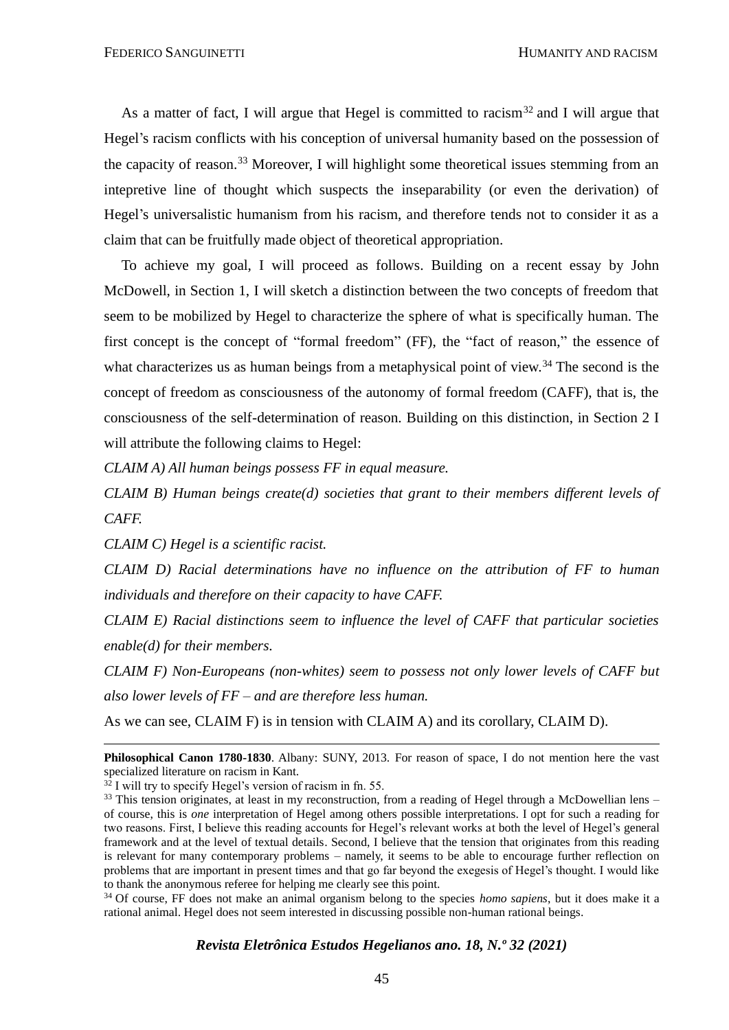As a matter of fact, I will argue that Hegel is committed to racism<sup>32</sup> and I will argue that Hegel's racism conflicts with his conception of universal humanity based on the possession of the capacity of reason.<sup>33</sup> Moreover, I will highlight some theoretical issues stemming from an intepretive line of thought which suspects the inseparability (or even the derivation) of Hegel's universalistic humanism from his racism, and therefore tends not to consider it as a claim that can be fruitfully made object of theoretical appropriation.

To achieve my goal, I will proceed as follows. Building on a recent essay by John McDowell, in Section 1, I will sketch a distinction between the two concepts of freedom that seem to be mobilized by Hegel to characterize the sphere of what is specifically human. The first concept is the concept of "formal freedom" (FF), the "fact of reason," the essence of what characterizes us as human beings from a metaphysical point of view.<sup>34</sup> The second is the concept of freedom as consciousness of the autonomy of formal freedom (CAFF), that is, the consciousness of the self-determination of reason. Building on this distinction, in Section 2 I will attribute the following claims to Hegel:

*CLAIM A) All human beings possess FF in equal measure.*

*CLAIM B) Human beings create(d) societies that grant to their members different levels of CAFF.*

*CLAIM C) Hegel is a scientific racist.*

*CLAIM D) Racial determinations have no influence on the attribution of FF to human individuals and therefore on their capacity to have CAFF.*

*CLAIM E) Racial distinctions seem to influence the level of CAFF that particular societies enable(d) for their members.*

*CLAIM F) Non-Europeans (non-whites) seem to possess not only lower levels of CAFF but also lower levels of FF – and are therefore less human.*

As we can see, CLAIM F) is in tension with CLAIM A) and its corollary, CLAIM D).

<sup>34</sup> Of course, FF does not make an animal organism belong to the species *homo sapiens*, but it does make it a rational animal. Hegel does not seem interested in discussing possible non-human rational beings.

**Philosophical Canon 1780-1830**. Albany: SUNY, 2013. For reason of space, I do not mention here the vast specialized literature on racism in Kant.

 $32$  I will try to specify Hegel's version of racism in fn. 55.

 $33$  This tension originates, at least in my reconstruction, from a reading of Hegel through a McDowellian lens – of course, this is *one* interpretation of Hegel among others possible interpretations. I opt for such a reading for two reasons. First, I believe this reading accounts for Hegel's relevant works at both the level of Hegel's general framework and at the level of textual details. Second, I believe that the tension that originates from this reading is relevant for many contemporary problems – namely, it seems to be able to encourage further reflection on problems that are important in present times and that go far beyond the exegesis of Hegel's thought. I would like to thank the anonymous referee for helping me clearly see this point.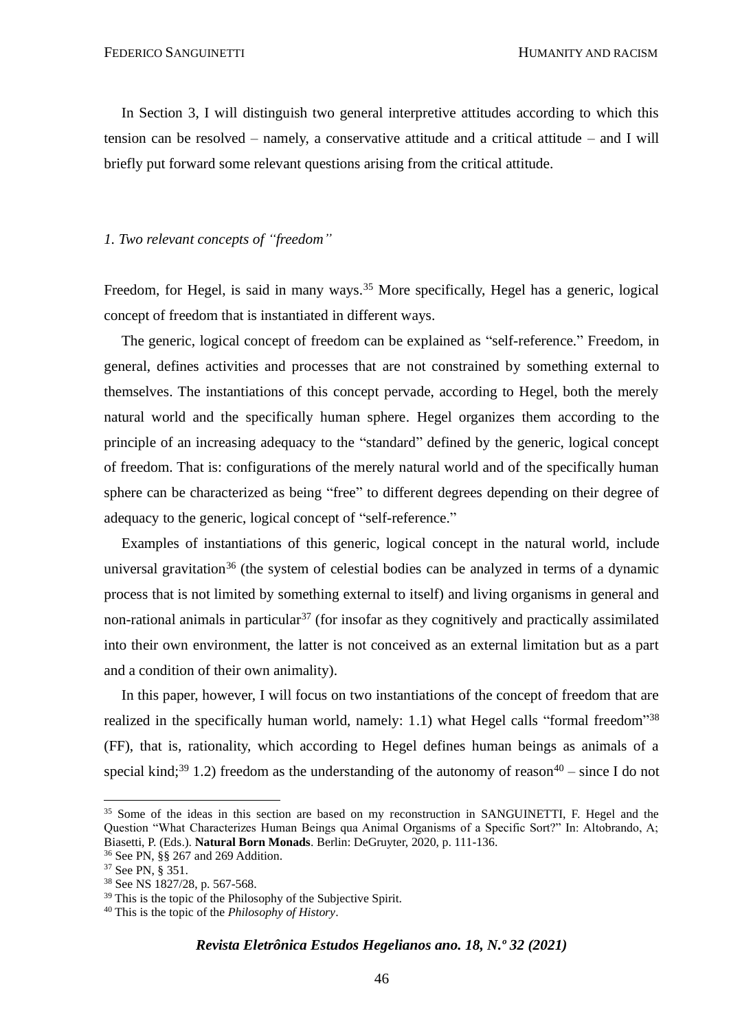In Section 3, I will distinguish two general interpretive attitudes according to which this tension can be resolved – namely, a conservative attitude and a critical attitude – and I will briefly put forward some relevant questions arising from the critical attitude.

#### *1. Two relevant concepts of "freedom"*

Freedom, for Hegel, is said in many ways.<sup>35</sup> More specifically, Hegel has a generic, logical concept of freedom that is instantiated in different ways.

The generic, logical concept of freedom can be explained as "self-reference." Freedom, in general, defines activities and processes that are not constrained by something external to themselves. The instantiations of this concept pervade, according to Hegel, both the merely natural world and the specifically human sphere. Hegel organizes them according to the principle of an increasing adequacy to the "standard" defined by the generic, logical concept of freedom. That is: configurations of the merely natural world and of the specifically human sphere can be characterized as being "free" to different degrees depending on their degree of adequacy to the generic, logical concept of "self-reference."

Examples of instantiations of this generic, logical concept in the natural world, include universal gravitation<sup>36</sup> (the system of celestial bodies can be analyzed in terms of a dynamic process that is not limited by something external to itself) and living organisms in general and non-rational animals in particular<sup>37</sup> (for insofar as they cognitively and practically assimilated into their own environment, the latter is not conceived as an external limitation but as a part and a condition of their own animality).

In this paper, however, I will focus on two instantiations of the concept of freedom that are realized in the specifically human world, namely: 1.1) what Hegel calls "formal freedom"<sup>38</sup> (FF), that is, rationality, which according to Hegel defines human beings as animals of a special kind;<sup>39</sup> 1.2) freedom as the understanding of the autonomy of reason<sup>40</sup> – since I do not

<sup>&</sup>lt;sup>35</sup> Some of the ideas in this section are based on my reconstruction in SANGUINETTI. F. Hegel and the Question "What Characterizes Human Beings qua Animal Organisms of a Specific Sort?" In: Altobrando, A; Biasetti, P. (Eds.). **Natural Born Monads**. Berlin: DeGruyter, 2020, p. 111-136.

<sup>36</sup> See PN, §§ 267 and 269 Addition.

<sup>37</sup> See PN, § 351.

<sup>38</sup> See NS 1827/28, p. 567-568.

<sup>&</sup>lt;sup>39</sup> This is the topic of the Philosophy of the Subjective Spirit.

<sup>40</sup> This is the topic of the *Philosophy of History*.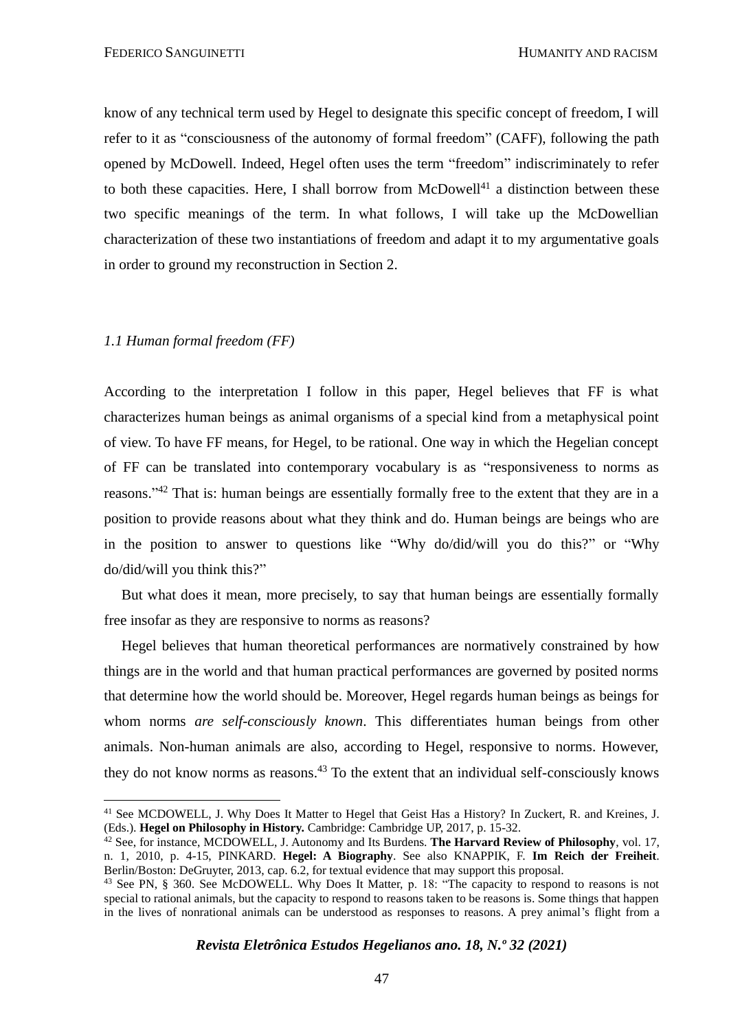FEDERICO SANGUINETTI HUMANITY AND RACISM

know of any technical term used by Hegel to designate this specific concept of freedom, I will refer to it as "consciousness of the autonomy of formal freedom" (CAFF), following the path opened by McDowell. Indeed, Hegel often uses the term "freedom" indiscriminately to refer to both these capacities. Here, I shall borrow from McDowell<sup>41</sup> a distinction between these two specific meanings of the term. In what follows, I will take up the McDowellian characterization of these two instantiations of freedom and adapt it to my argumentative goals in order to ground my reconstruction in Section 2.

#### *1.1 Human formal freedom (FF)*

According to the interpretation I follow in this paper, Hegel believes that FF is what characterizes human beings as animal organisms of a special kind from a metaphysical point of view. To have FF means, for Hegel, to be rational. One way in which the Hegelian concept of FF can be translated into contemporary vocabulary is as "responsiveness to norms as reasons."<sup>42</sup> That is: human beings are essentially formally free to the extent that they are in a position to provide reasons about what they think and do. Human beings are beings who are in the position to answer to questions like "Why do/did/will you do this?" or "Why do/did/will you think this?"

But what does it mean, more precisely, to say that human beings are essentially formally free insofar as they are responsive to norms as reasons?

Hegel believes that human theoretical performances are normatively constrained by how things are in the world and that human practical performances are governed by posited norms that determine how the world should be. Moreover, Hegel regards human beings as beings for whom norms *are self-consciously known*. This differentiates human beings from other animals. Non-human animals are also, according to Hegel, responsive to norms. However, they do not know norms as reasons.<sup>43</sup> To the extent that an individual self-consciously knows

<sup>&</sup>lt;sup>41</sup> See MCDOWELL, J. Why Does It Matter to Hegel that Geist Has a History? In Zuckert, R. and Kreines, J. (Eds.). **Hegel on Philosophy in History.** Cambridge: Cambridge UP, 2017, p. 15-32.

<sup>42</sup> See, for instance, MCDOWELL, J. Autonomy and Its Burdens. **The Harvard Review of Philosophy**, vol. 17, n. 1, 2010, p. 4-15, PINKARD. **Hegel: A Biography**. See also KNAPPIK, F. **Im Reich der Freiheit**. Berlin/Boston: DeGruyter, 2013, cap. 6.2, for textual evidence that may support this proposal.

<sup>43</sup> See PN, § 360. See McDOWELL. Why Does It Matter, p. 18: "The capacity to respond to reasons is not special to rational animals, but the capacity to respond to reasons taken to be reasons is. Some things that happen in the lives of nonrational animals can be understood as responses to reasons. A prey animal's flight from a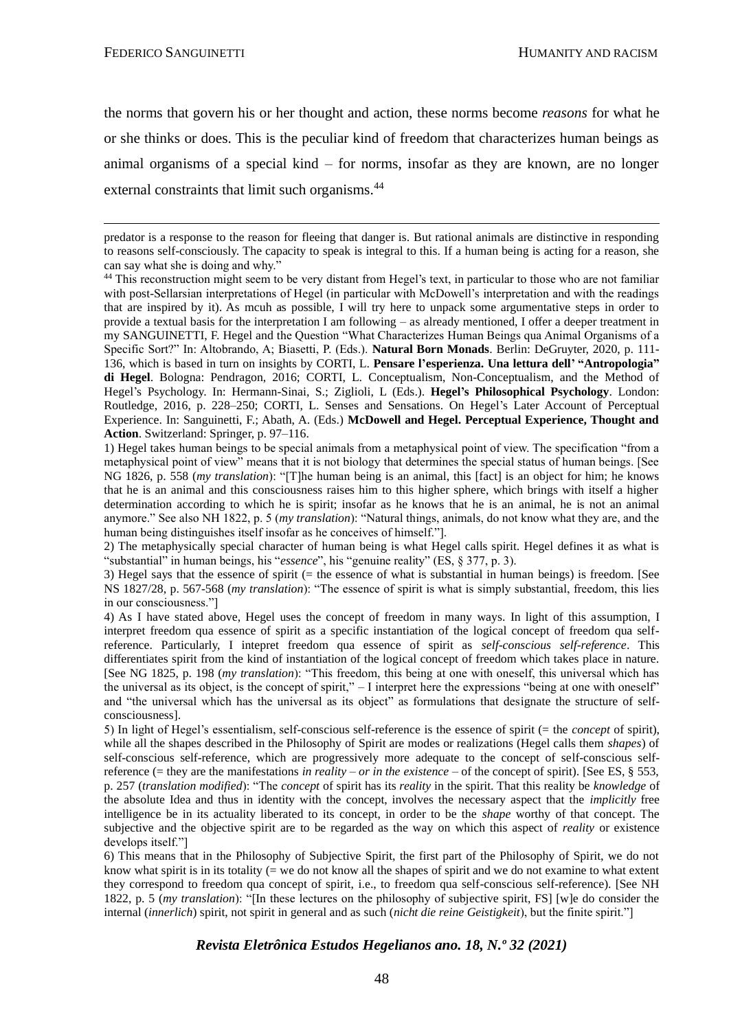the norms that govern his or her thought and action, these norms become *reasons* for what he or she thinks or does. This is the peculiar kind of freedom that characterizes human beings as animal organisms of a special kind – for norms, insofar as they are known, are no longer external constraints that limit such organisms.<sup>44</sup>

2) The metaphysically special character of human being is what Hegel calls spirit. Hegel defines it as what is "substantial" in human beings, his "*essence*", his "genuine reality" (ES, § 377, p. 3).

3) Hegel says that the essence of spirit ( $=$  the essence of what is substantial in human beings) is freedom. [See NS 1827/28, p. 567-568 (*my translation*): "The essence of spirit is what is simply substantial, freedom, this lies in our consciousness."]

4) As I have stated above, Hegel uses the concept of freedom in many ways. In light of this assumption, I interpret freedom qua essence of spirit as a specific instantiation of the logical concept of freedom qua selfreference. Particularly, I intepret freedom qua essence of spirit as *self-conscious self-reference*. This differentiates spirit from the kind of instantiation of the logical concept of freedom which takes place in nature. [See NG 1825, p. 198 (*my translation*): "This freedom, this being at one with oneself, this universal which has the universal as its object, is the concept of spirit," - I interpret here the expressions "being at one with oneself" and "the universal which has the universal as its object" as formulations that designate the structure of selfconsciousness].

5) In light of Hegel's essentialism, self-conscious self-reference is the essence of spirit (= the *concept* of spirit), while all the shapes described in the Philosophy of Spirit are modes or realizations (Hegel calls them *shapes*) of self-conscious self-reference, which are progressively more adequate to the concept of self-conscious selfreference (= they are the manifestations *in reality – or in the existence* – of the concept of spirit). [See ES, § 553, p. 257 (*translation modified*): "The *concept* of spirit has its *reality* in the spirit. That this reality be *knowledge* of the absolute Idea and thus in identity with the concept, involves the necessary aspect that the *implicitly* free intelligence be in its actuality liberated to its concept, in order to be the *shape* worthy of that concept. The subjective and the objective spirit are to be regarded as the way on which this aspect of *reality* or existence develops itself."]

6) This means that in the Philosophy of Subjective Spirit, the first part of the Philosophy of Spirit, we do not know what spirit is in its totality ( $=$  we do not know all the shapes of spirit and we do not examine to what extent they correspond to freedom qua concept of spirit, i.e., to freedom qua self-conscious self-reference). [See NH 1822, p. 5 (*my translation*): "[In these lectures on the philosophy of subjective spirit, FS] [w]e do consider the internal (*innerlich*) spirit, not spirit in general and as such (*nicht die reine Geistigkeit*), but the finite spirit."]

predator is a response to the reason for fleeing that danger is. But rational animals are distinctive in responding to reasons self-consciously. The capacity to speak is integral to this. If a human being is acting for a reason, she can say what she is doing and why."

<sup>&</sup>lt;sup>44</sup> This reconstruction might seem to be very distant from Hegel's text, in particular to those who are not familiar with post-Sellarsian interpretations of Hegel (in particular with McDowell's interpretation and with the readings that are inspired by it). As mcuh as possible, I will try here to unpack some argumentative steps in order to provide a textual basis for the interpretation I am following – as already mentioned, I offer a deeper treatment in my SANGUINETTI, F. Hegel and the Question "What Characterizes Human Beings qua Animal Organisms of a Specific Sort?" In: Altobrando, A; Biasetti, P. (Eds.). **Natural Born Monads**. Berlin: DeGruyter, 2020, p. 111- 136, which is based in turn on insights by CORTI, L. **Pensare l'esperienza. Una lettura dell' "Antropologia" di Hegel**. Bologna: Pendragon, 2016; CORTI, L. Conceptualism, Non-Conceptualism, and the Method of Hegel's Psychology. In: Hermann-Sinai, S.; Ziglioli, L (Eds.). **Hegel's Philosophical Psychology**. London: Routledge, 2016, p. 228–250; CORTI, L. Senses and Sensations. On Hegel's Later Account of Perceptual Experience. In: Sanguinetti, F.; Abath, A. (Eds.) **McDowell and Hegel. Perceptual Experience, Thought and Action**. Switzerland: Springer, p. 97–116.

<sup>1)</sup> Hegel takes human beings to be special animals from a metaphysical point of view. The specification "from a metaphysical point of view" means that it is not biology that determines the special status of human beings. [See NG 1826, p. 558 (*my translation*): "[T]he human being is an animal, this [fact] is an object for him; he knows that he is an animal and this consciousness raises him to this higher sphere, which brings with itself a higher determination according to which he is spirit; insofar as he knows that he is an animal, he is not an animal anymore." See also NH 1822, p. 5 (*my translation*): "Natural things, animals, do not know what they are, and the human being distinguishes itself insofar as he conceives of himself."].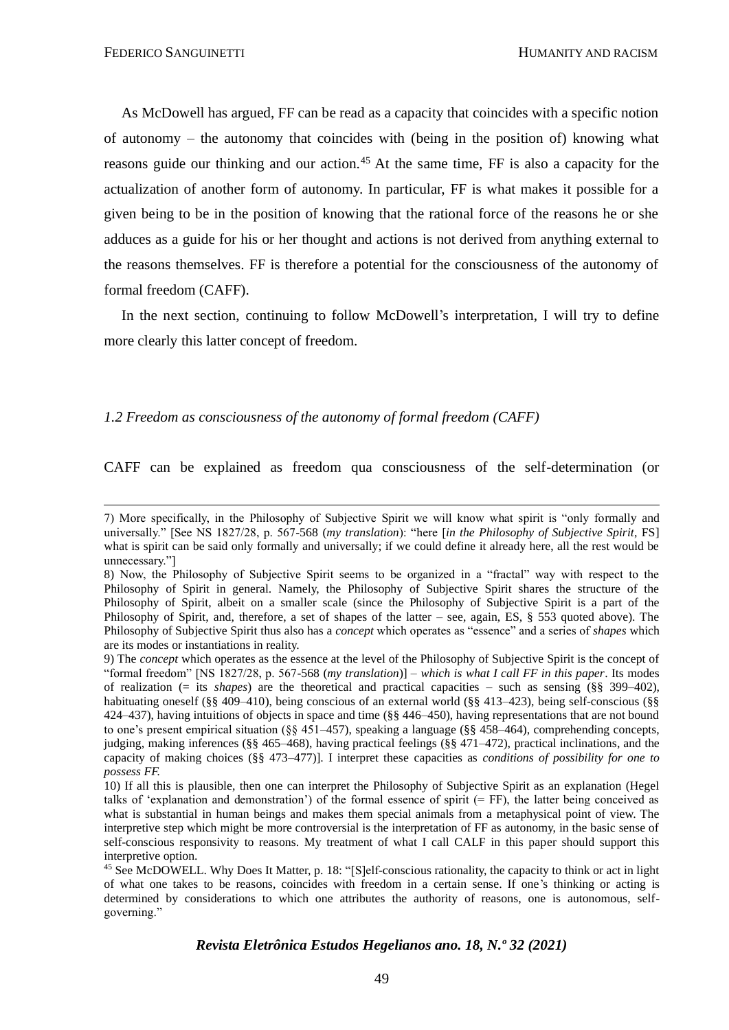As McDowell has argued, FF can be read as a capacity that coincides with a specific notion of autonomy – the autonomy that coincides with (being in the position of) knowing what reasons guide our thinking and our action.<sup>45</sup> At the same time, FF is also a capacity for the actualization of another form of autonomy. In particular, FF is what makes it possible for a given being to be in the position of knowing that the rational force of the reasons he or she adduces as a guide for his or her thought and actions is not derived from anything external to the reasons themselves. FF is therefore a potential for the consciousness of the autonomy of formal freedom (CAFF).

In the next section, continuing to follow McDowell's interpretation, I will try to define more clearly this latter concept of freedom.

#### *1.2 Freedom as consciousness of the autonomy of formal freedom (CAFF)*

CAFF can be explained as freedom qua consciousness of the self-determination (or

<sup>7)</sup> More specifically, in the Philosophy of Subjective Spirit we will know what spirit is "only formally and universally." [See NS 1827/28, p. 567-568 (*my translation*): "here [*in the Philosophy of Subjective Spirit*, FS] what is spirit can be said only formally and universally; if we could define it already here, all the rest would be unnecessary."]

<sup>8)</sup> Now, the Philosophy of Subjective Spirit seems to be organized in a "fractal" way with respect to the Philosophy of Spirit in general. Namely, the Philosophy of Subjective Spirit shares the structure of the Philosophy of Spirit, albeit on a smaller scale (since the Philosophy of Subjective Spirit is a part of the Philosophy of Spirit, and, therefore, a set of shapes of the latter – see, again, ES, § 553 quoted above). The Philosophy of Subjective Spirit thus also has a *concept* which operates as "essence" and a series of *shapes* which are its modes or instantiations in reality.

<sup>9)</sup> The *concept* which operates as the essence at the level of the Philosophy of Subjective Spirit is the concept of "formal freedom" [NS 1827/28, p. 567-568 (*my translation*)] – *which is what I call FF in this paper*. Its modes of realization (= its *shapes*) are the theoretical and practical capacities – such as sensing (§§ 399–402), habituating oneself (§§ 409–410), being conscious of an external world (§§ 413–423), being self-conscious (§§ 424–437), having intuitions of objects in space and time (§§ 446–450), having representations that are not bound to one's present empirical situation (§§ 451–457), speaking a language (§§ 458–464), comprehending concepts, judging, making inferences (§§ 465–468), having practical feelings (§§ 471–472), practical inclinations, and the capacity of making choices (§§ 473–477)]. I interpret these capacities as *conditions of possibility for one to possess FF.*

<sup>10)</sup> If all this is plausible, then one can interpret the Philosophy of Subjective Spirit as an explanation (Hegel talks of 'explanation and demonstration') of the formal essence of spirit  $(= FF)$ , the latter being conceived as what is substantial in human beings and makes them special animals from a metaphysical point of view. The interpretive step which might be more controversial is the interpretation of FF as autonomy, in the basic sense of self-conscious responsivity to reasons. My treatment of what I call CALF in this paper should support this interpretive option.

<sup>45</sup> See McDOWELL. Why Does It Matter, p. 18: "[S]elf-conscious rationality, the capacity to think or act in light of what one takes to be reasons, coincides with freedom in a certain sense. If one's thinking or acting is determined by considerations to which one attributes the authority of reasons, one is autonomous, selfgoverning."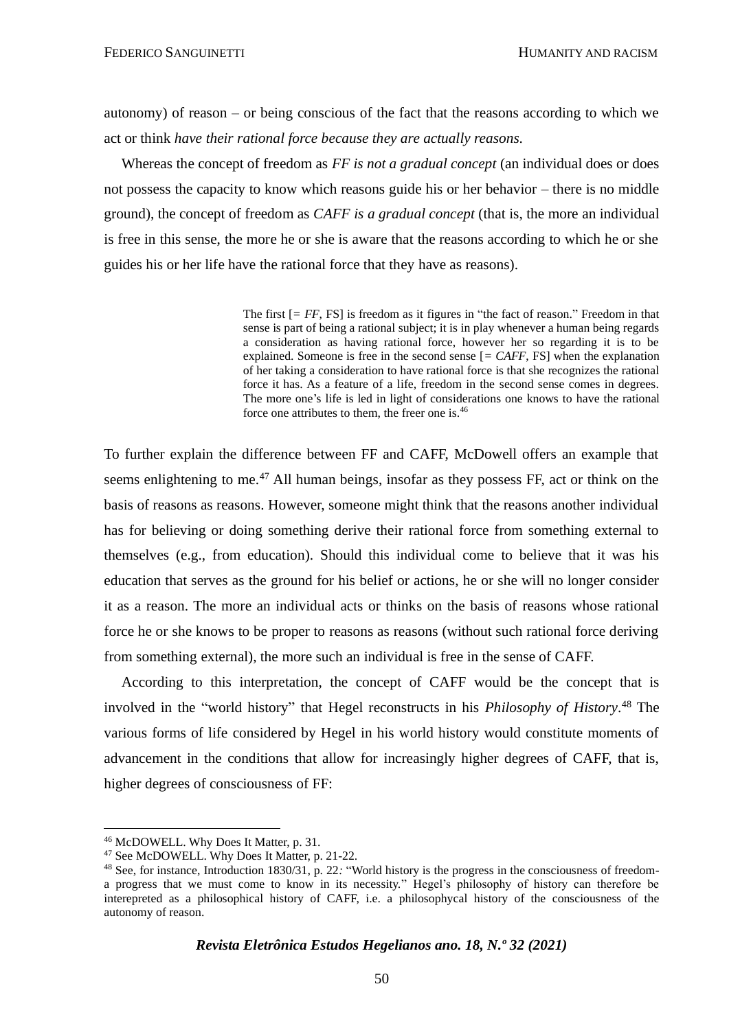autonomy) of reason – or being conscious of the fact that the reasons according to which we act or think *have their rational force because they are actually reasons.*

Whereas the concept of freedom as *FF is not a gradual concept* (an individual does or does not possess the capacity to know which reasons guide his or her behavior – there is no middle ground), the concept of freedom as *CAFF is a gradual concept* (that is, the more an individual is free in this sense, the more he or she is aware that the reasons according to which he or she guides his or her life have the rational force that they have as reasons).

> The first  $[= FF, FS]$  is freedom as it figures in "the fact of reason." Freedom in that sense is part of being a rational subject; it is in play whenever a human being regards a consideration as having rational force, however her so regarding it is to be explained. Someone is free in the second sense [*= CAFF*, FS] when the explanation of her taking a consideration to have rational force is that she recognizes the rational force it has. As a feature of a life, freedom in the second sense comes in degrees. The more one's life is led in light of considerations one knows to have the rational force one attributes to them, the freer one is.<sup>46</sup>

To further explain the difference between FF and CAFF, McDowell offers an example that seems enlightening to me.<sup>47</sup> All human beings, insofar as they possess FF, act or think on the basis of reasons as reasons. However, someone might think that the reasons another individual has for believing or doing something derive their rational force from something external to themselves (e.g., from education). Should this individual come to believe that it was his education that serves as the ground for his belief or actions, he or she will no longer consider it as a reason. The more an individual acts or thinks on the basis of reasons whose rational force he or she knows to be proper to reasons as reasons (without such rational force deriving from something external), the more such an individual is free in the sense of CAFF.

According to this interpretation, the concept of CAFF would be the concept that is involved in the "world history" that Hegel reconstructs in his *Philosophy of History*. <sup>48</sup> The various forms of life considered by Hegel in his world history would constitute moments of advancement in the conditions that allow for increasingly higher degrees of CAFF, that is, higher degrees of consciousness of FF:

<sup>46</sup> McDOWELL. Why Does It Matter, p. 31.

<sup>47</sup> See McDOWELL. Why Does It Matter, p. 21-22.

<sup>48</sup> See, for instance, Introduction 1830/31, p. 22*:* "World history is the progress in the consciousness of freedoma progress that we must come to know in its necessity." Hegel's philosophy of history can therefore be interepreted as a philosophical history of CAFF, i.e. a philosophycal history of the consciousness of the autonomy of reason.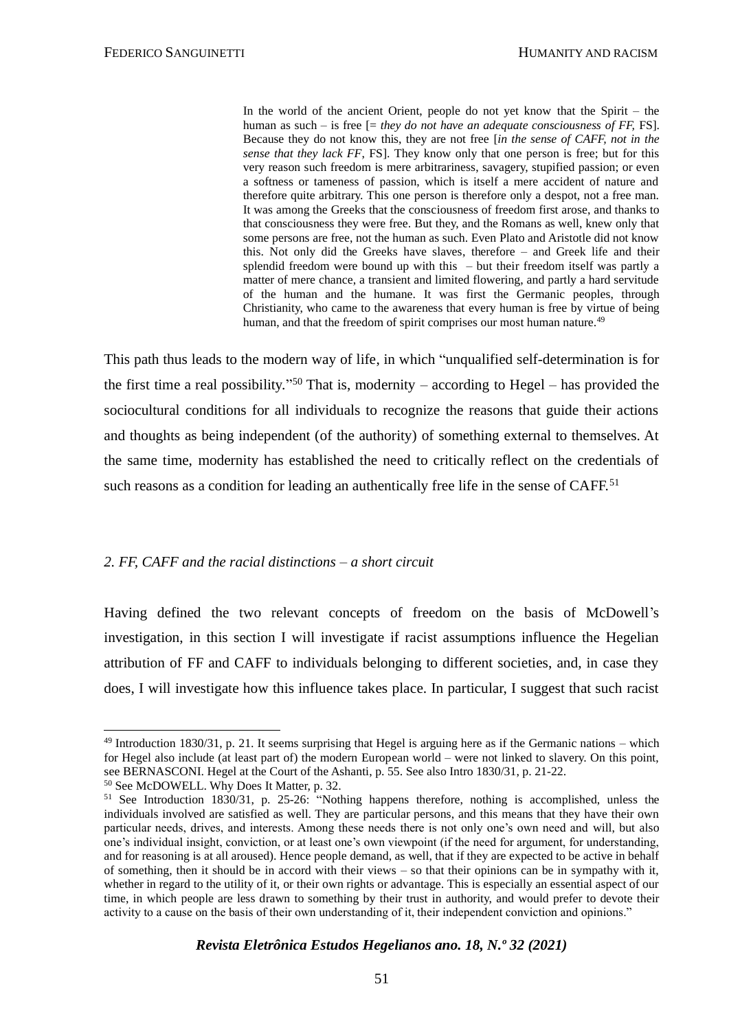In the world of the ancient Orient, people do not yet know that the Spirit – the human as such – is free  $[=$  *they do not have an adequate consciousness of FF, FS*]. Because they do not know this, they are not free [*in the sense of CAFF, not in the sense that they lack FF*, FS]. They know only that one person is free; but for this very reason such freedom is mere arbitrariness, savagery, stupified passion; or even a softness or tameness of passion, which is itself a mere accident of nature and therefore quite arbitrary. This one person is therefore only a despot, not a free man. It was among the Greeks that the consciousness of freedom first arose, and thanks to that consciousness they were free. But they, and the Romans as well, knew only that some persons are free, not the human as such. Even Plato and Aristotle did not know this. Not only did the Greeks have slaves, therefore – and Greek life and their splendid freedom were bound up with this – but their freedom itself was partly a matter of mere chance, a transient and limited flowering, and partly a hard servitude of the human and the humane. It was first the Germanic peoples, through Christianity, who came to the awareness that every human is free by virtue of being human, and that the freedom of spirit comprises our most human nature.<sup>49</sup>

This path thus leads to the modern way of life, in which "unqualified self-determination is for the first time a real possibility."<sup>50</sup> That is, modernity – according to Hegel – has provided the sociocultural conditions for all individuals to recognize the reasons that guide their actions and thoughts as being independent (of the authority) of something external to themselves. At the same time, modernity has established the need to critically reflect on the credentials of such reasons as a condition for leading an authentically free life in the sense of CAFF.<sup>51</sup>

#### *2. FF, CAFF and the racial distinctions – a short circuit*

Having defined the two relevant concepts of freedom on the basis of McDowell's investigation, in this section I will investigate if racist assumptions influence the Hegelian attribution of FF and CAFF to individuals belonging to different societies, and, in case they does, I will investigate how this influence takes place. In particular, I suggest that such racist

 $49$  Introduction 1830/31, p. 21. It seems surprising that Hegel is arguing here as if the Germanic nations – which for Hegel also include (at least part of) the modern European world – were not linked to slavery. On this point, see BERNASCONI. Hegel at the Court of the Ashanti, p. 55. See also Intro 1830/31, p. 21-22.

<sup>50</sup> See McDOWELL. Why Does It Matter, p. 32.

<sup>51</sup> See Introduction 1830/31, p. 25-26: "Nothing happens therefore, nothing is accomplished, unless the individuals involved are satisfied as well. They are particular persons, and this means that they have their own particular needs, drives, and interests. Among these needs there is not only one's own need and will, but also one's individual insight, conviction, or at least one's own viewpoint (if the need for argument, for understanding, and for reasoning is at all aroused). Hence people demand, as well, that if they are expected to be active in behalf of something, then it should be in accord with their views – so that their opinions can be in sympathy with it, whether in regard to the utility of it, or their own rights or advantage. This is especially an essential aspect of our time, in which people are less drawn to something by their trust in authority, and would prefer to devote their activity to a cause on the basis of their own understanding of it, their independent conviction and opinions."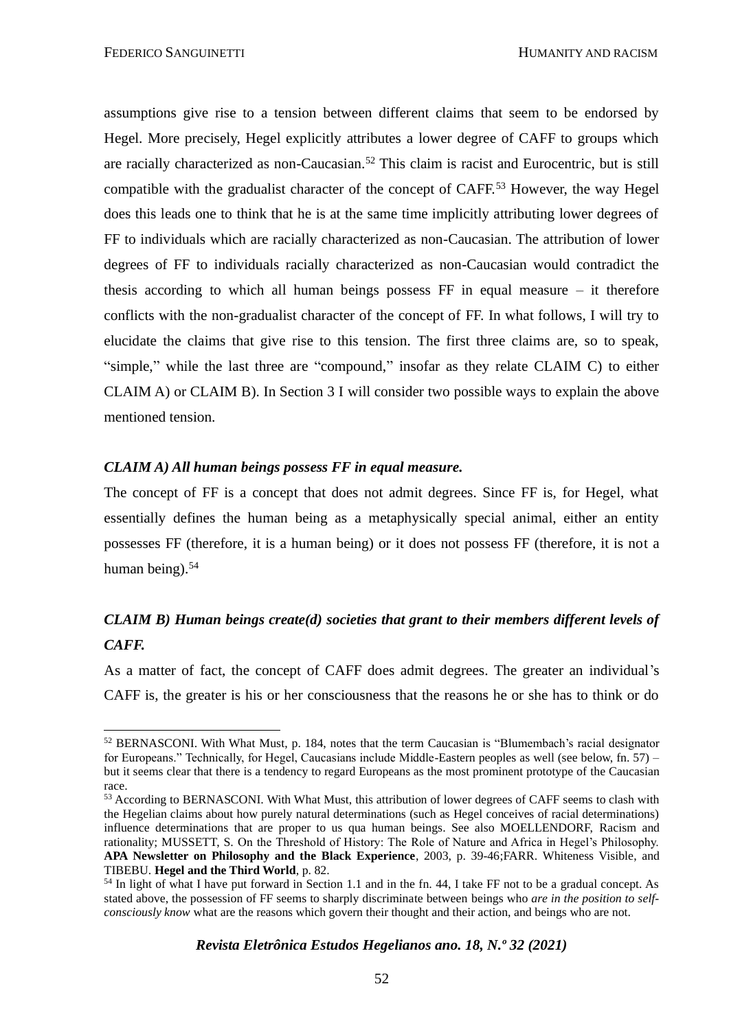assumptions give rise to a tension between different claims that seem to be endorsed by Hegel. More precisely, Hegel explicitly attributes a lower degree of CAFF to groups which are racially characterized as non-Caucasian.<sup>52</sup> This claim is racist and Eurocentric, but is still compatible with the gradualist character of the concept of CAFF.<sup>53</sup> However, the way Hegel does this leads one to think that he is at the same time implicitly attributing lower degrees of FF to individuals which are racially characterized as non-Caucasian. The attribution of lower degrees of FF to individuals racially characterized as non-Caucasian would contradict the thesis according to which all human beings possess FF in equal measure – it therefore conflicts with the non-gradualist character of the concept of FF. In what follows, I will try to elucidate the claims that give rise to this tension. The first three claims are, so to speak, "simple," while the last three are "compound," insofar as they relate CLAIM C) to either CLAIM A) or CLAIM B). In Section 3 I will consider two possible ways to explain the above mentioned tension.

#### *CLAIM A) All human beings possess FF in equal measure.*

The concept of FF is a concept that does not admit degrees. Since FF is, for Hegel, what essentially defines the human being as a metaphysically special animal, either an entity possesses FF (therefore, it is a human being) or it does not possess FF (therefore, it is not a human being).<sup>54</sup>

## *CLAIM B) Human beings create(d) societies that grant to their members different levels of CAFF.*

As a matter of fact, the concept of CAFF does admit degrees. The greater an individual's CAFF is, the greater is his or her consciousness that the reasons he or she has to think or do

<sup>52</sup> BERNASCONI. With What Must, p. 184, notes that the term Caucasian is "Blumembach's racial designator for Europeans." Technically, for Hegel, Caucasians include Middle-Eastern peoples as well (see below, fn. 57) – but it seems clear that there is a tendency to regard Europeans as the most prominent prototype of the Caucasian race.

<sup>&</sup>lt;sup>53</sup> According to BERNASCONI. With What Must, this attribution of lower degrees of CAFF seems to clash with the Hegelian claims about how purely natural determinations (such as Hegel conceives of racial determinations) influence determinations that are proper to us qua human beings. See also MOELLENDORF, Racism and rationality; MUSSETT, S. On the Threshold of History: The Role of Nature and Africa in Hegel's Philosophy. **APA Newsletter on Philosophy and the Black Experience**, 2003, p. 39-46;FARR. Whiteness Visible, and TIBEBU. **Hegel and the Third World**, p. 82.

<sup>&</sup>lt;sup>54</sup> In light of what I have put forward in Section 1.1 and in the fn. 44, I take FF not to be a gradual concept. As stated above, the possession of FF seems to sharply discriminate between beings who *are in the position to selfconsciously know* what are the reasons which govern their thought and their action, and beings who are not.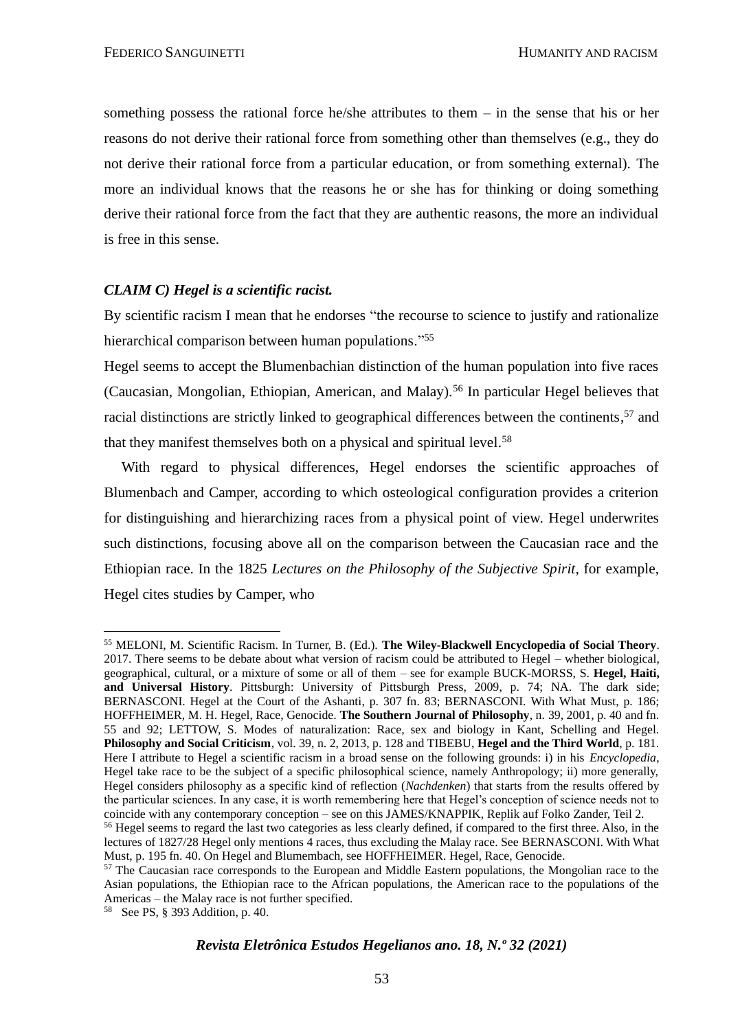something possess the rational force he/she attributes to them – in the sense that his or her reasons do not derive their rational force from something other than themselves (e.g., they do not derive their rational force from a particular education, or from something external). The more an individual knows that the reasons he or she has for thinking or doing something derive their rational force from the fact that they are authentic reasons, the more an individual is free in this sense.

#### *CLAIM C) Hegel is a scientific racist.*

By scientific racism I mean that he endorses "the recourse to science to justify and rationalize hierarchical comparison between human populations."<sup>55</sup>

Hegel seems to accept the Blumenbachian distinction of the human population into five races (Caucasian, Mongolian, Ethiopian, American, and Malay).<sup>56</sup> In particular Hegel believes that racial distinctions are strictly linked to geographical differences between the continents,<sup>57</sup> and that they manifest themselves both on a physical and spiritual level. 58

With regard to physical differences, Hegel endorses the scientific approaches of Blumenbach and Camper, according to which osteological configuration provides a criterion for distinguishing and hierarchizing races from a physical point of view. Hegel underwrites such distinctions, focusing above all on the comparison between the Caucasian race and the Ethiopian race. In the 1825 *Lectures on the Philosophy of the Subjective Spirit*, for example, Hegel cites studies by Camper, who

<sup>55</sup> MELONI, M. Scientific Racism. In Turner, B. (Ed.). **The Wiley-Blackwell Encyclopedia of Social Theory**. 2017. There seems to be debate about what version of racism could be attributed to Hegel – whether biological, geographical, cultural, or a mixture of some or all of them – see for example BUCK-MORSS, S. **Hegel, Haiti, and Universal History**. Pittsburgh: University of Pittsburgh Press, 2009, p. 74; NA. The dark side; BERNASCONI. Hegel at the Court of the Ashanti, p. 307 fn. 83; BERNASCONI. With What Must, p. 186; HOFFHEIMER, M. H. Hegel, Race, Genocide. **The Southern Journal of Philosophy**, n. 39, 2001, p. 40 and fn. 55 and 92; LETTOW, S. Modes of naturalization: Race, sex and biology in Kant, Schelling and Hegel. **Philosophy and Social Criticism**, vol. 39, n. 2, 2013, p. 128 and TIBEBU, **Hegel and the Third World**, p. 181. Here I attribute to Hegel a scientific racism in a broad sense on the following grounds: i) in his *Encyclopedia*, Hegel take race to be the subject of a specific philosophical science, namely Anthropology; ii) more generally, Hegel considers philosophy as a specific kind of reflection (*Nachdenken*) that starts from the results offered by the particular sciences. In any case, it is worth remembering here that Hegel's conception of science needs not to coincide with any contemporary conception – see on this JAMES/KNAPPIK, Replik auf Folko Zander, Teil 2.

<sup>&</sup>lt;sup>56</sup> Hegel seems to regard the last two categories as less clearly defined, if compared to the first three. Also, in the lectures of 1827/28 Hegel only mentions 4 races, thus excluding the Malay race. See BERNASCONI. With What Must, p. 195 fn. 40. On Hegel and Blumembach, see HOFFHEIMER. Hegel, Race, Genocide.

<sup>&</sup>lt;sup>57</sup> The Caucasian race corresponds to the European and Middle Eastern populations, the Mongolian race to the Asian populations, the Ethiopian race to the African populations, the American race to the populations of the Americas – the Malay race is not further specified.

<sup>58</sup> See PS, § 393 Addition, p. 40.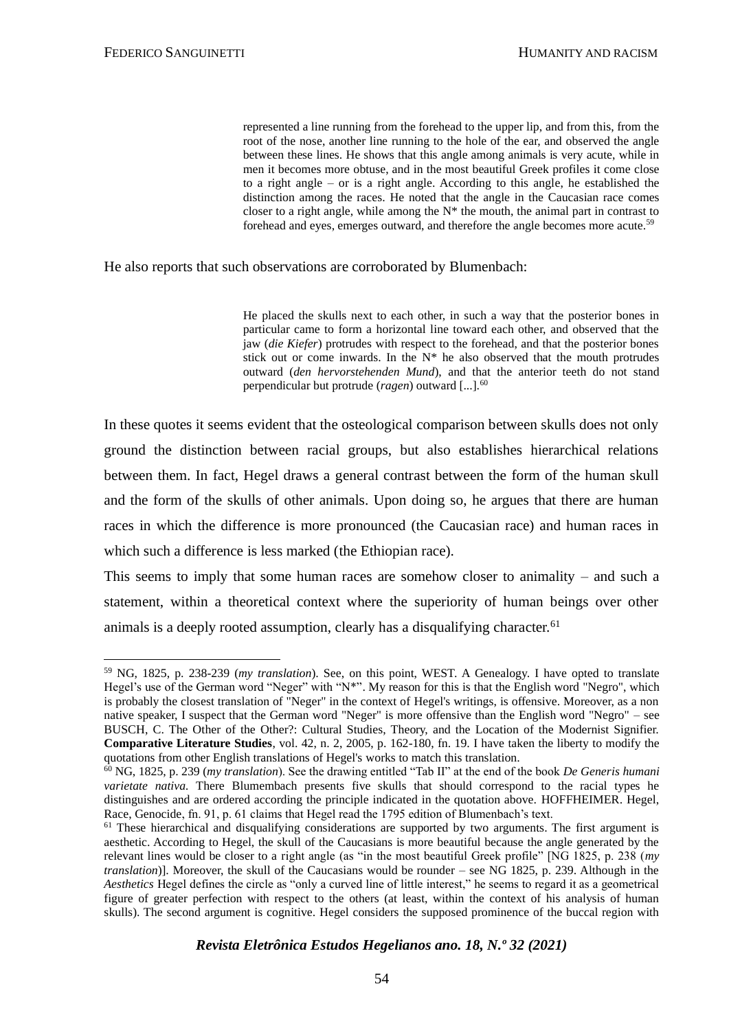represented a line running from the forehead to the upper lip, and from this, from the root of the nose, another line running to the hole of the ear, and observed the angle between these lines. He shows that this angle among animals is very acute, while in men it becomes more obtuse, and in the most beautiful Greek profiles it come close to a right angle – or is a right angle. According to this angle, he established the distinction among the races. He noted that the angle in the Caucasian race comes closer to a right angle, while among the  $N^*$  the mouth, the animal part in contrast to forehead and eyes, emerges outward, and therefore the angle becomes more acute.<sup>59</sup>

He also reports that such observations are corroborated by Blumenbach:

He placed the skulls next to each other, in such a way that the posterior bones in particular came to form a horizontal line toward each other, and observed that the jaw (*die Kiefer*) protrudes with respect to the forehead, and that the posterior bones stick out or come inwards. In the  $N^*$  he also observed that the mouth protrudes outward (*den hervorstehenden Mund*), and that the anterior teeth do not stand perpendicular but protrude (*ragen*) outward [...].<sup>60</sup>

In these quotes it seems evident that the osteological comparison between skulls does not only ground the distinction between racial groups, but also establishes hierarchical relations between them. In fact, Hegel draws a general contrast between the form of the human skull and the form of the skulls of other animals. Upon doing so, he argues that there are human races in which the difference is more pronounced (the Caucasian race) and human races in which such a difference is less marked (the Ethiopian race).

This seems to imply that some human races are somehow closer to animality – and such a statement, within a theoretical context where the superiority of human beings over other animals is a deeply rooted assumption, clearly has a disqualifying character.<sup>61</sup>

<sup>59</sup> NG, 1825, p. 238-239 (*my translation*). See, on this point, WEST. A Genealogy. I have opted to translate Hegel's use of the German word "Neger" with "N\*". My reason for this is that the English word "Negro", which is probably the closest translation of "Neger" in the context of Hegel's writings, is offensive. Moreover, as a non native speaker, I suspect that the German word "Neger" is more offensive than the English word "Negro" – see BUSCH, C. The Other of the Other?: Cultural Studies, Theory, and the Location of the Modernist Signifier. **Comparative Literature Studies**, vol. 42, n. 2, 2005, p. 162-180, fn. 19. I have taken the liberty to modify the quotations from other English translations of Hegel's works to match this translation.

<sup>60</sup> NG, 1825, p. 239 (*my translation*). See the drawing entitled "Tab II" at the end of the book *De Generis humani varietate nativa.* There Blumembach presents five skulls that should correspond to the racial types he distinguishes and are ordered according the principle indicated in the quotation above. HOFFHEIMER. Hegel, Race, Genocide, fn. 91, p. 61 claims that Hegel read the 1795 edition of Blumenbach's text.

 $<sup>61</sup>$  These hierarchical and disqualifying considerations are supported by two arguments. The first argument is</sup> aesthetic. According to Hegel, the skull of the Caucasians is more beautiful because the angle generated by the relevant lines would be closer to a right angle (as "in the most beautiful Greek profile" [NG 1825, p. 238 (*my translation*)]. Moreover, the skull of the Caucasians would be rounder – see NG 1825, p. 239. Although in the *Aesthetics* Hegel defines the circle as "only a curved line of little interest," he seems to regard it as a geometrical figure of greater perfection with respect to the others (at least, within the context of his analysis of human skulls). The second argument is cognitive. Hegel considers the supposed prominence of the buccal region with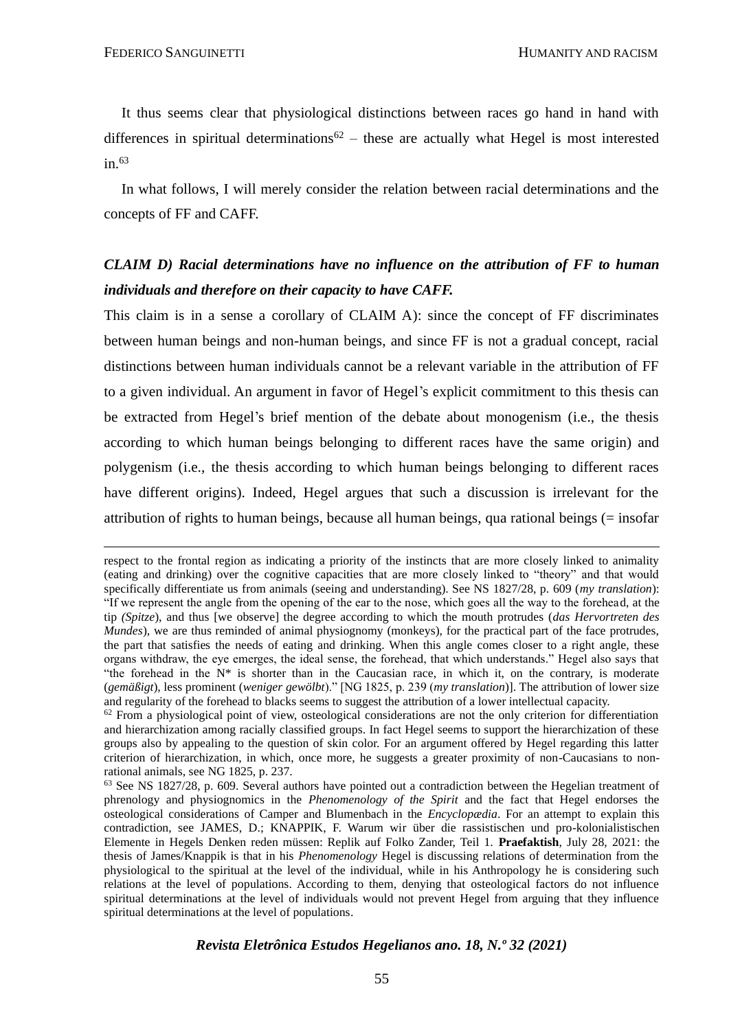It thus seems clear that physiological distinctions between races go hand in hand with differences in spiritual determinations<sup>62</sup> – these are actually what Hegel is most interested in. $63$ 

In what follows, I will merely consider the relation between racial determinations and the concepts of FF and CAFF.

# *CLAIM D) Racial determinations have no influence on the attribution of FF to human individuals and therefore on their capacity to have CAFF.*

This claim is in a sense a corollary of CLAIM A): since the concept of FF discriminates between human beings and non-human beings, and since FF is not a gradual concept, racial distinctions between human individuals cannot be a relevant variable in the attribution of FF to a given individual. An argument in favor of Hegel's explicit commitment to this thesis can be extracted from Hegel's brief mention of the debate about monogenism (i.e., the thesis according to which human beings belonging to different races have the same origin) and polygenism (i.e., the thesis according to which human beings belonging to different races have different origins). Indeed, Hegel argues that such a discussion is irrelevant for the attribution of rights to human beings, because all human beings, qua rational beings  $(=$  insofar

respect to the frontal region as indicating a priority of the instincts that are more closely linked to animality (eating and drinking) over the cognitive capacities that are more closely linked to "theory" and that would specifically differentiate us from animals (seeing and understanding). See NS 1827/28, p. 609 (*my translation*): "If we represent the angle from the opening of the ear to the nose, which goes all the way to the forehead, at the tip *(Spitze*), and thus [we observe] the degree according to which the mouth protrudes (*das Hervortreten des Mundes*), we are thus reminded of animal physiognomy (monkeys), for the practical part of the face protrudes, the part that satisfies the needs of eating and drinking. When this angle comes closer to a right angle, these organs withdraw, the eye emerges, the ideal sense, the forehead, that which understands." Hegel also says that "the forehead in the  $N^*$  is shorter than in the Caucasian race, in which it, on the contrary, is moderate (*gemäßigt*), less prominent (*weniger gewölbt*)." [NG 1825, p. 239 (*my translation*)]. The attribution of lower size and regularity of the forehead to blacks seems to suggest the attribution of a lower intellectual capacity.

 $62$  From a physiological point of view, osteological considerations are not the only criterion for differentiation and hierarchization among racially classified groups. In fact Hegel seems to support the hierarchization of these groups also by appealing to the question of skin color. For an argument offered by Hegel regarding this latter criterion of hierarchization, in which, once more, he suggests a greater proximity of non-Caucasians to nonrational animals, see NG 1825, p. 237.

<sup>63</sup> See NS 1827/28, p. 609. Several authors have pointed out a contradiction between the Hegelian treatment of phrenology and physiognomics in the *Phenomenology of the Spirit* and the fact that Hegel endorses the osteological considerations of Camper and Blumenbach in the *Encyclopædia*. For an attempt to explain this contradiction, see JAMES, D.; KNAPPIK, F. Warum wir über die rassistischen und pro-kolonialistischen Elemente in Hegels Denken reden müssen: Replik auf Folko Zander, Teil 1. **Praefaktish**, July 28, 2021: the thesis of James/Knappik is that in his *Phenomenology* Hegel is discussing relations of determination from the physiological to the spiritual at the level of the individual, while in his Anthropology he is considering such relations at the level of populations. According to them, denying that osteological factors do not influence spiritual determinations at the level of individuals would not prevent Hegel from arguing that they influence spiritual determinations at the level of populations.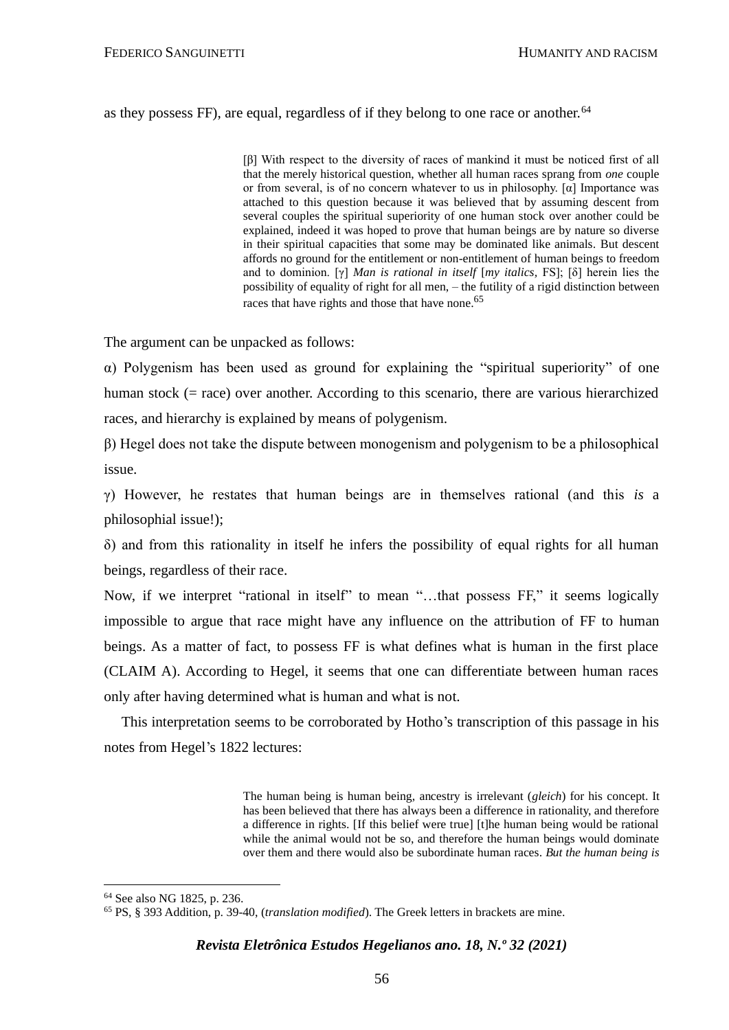#### as they possess FF), are equal, regardless of if they belong to one race or another.<sup>64</sup>

[β] With respect to the diversity of races of mankind it must be noticed first of all that the merely historical question, whether all human races sprang from *one* couple or from several, is of no concern whatever to us in philosophy. [ $\alpha$ ] Importance was attached to this question because it was believed that by assuming descent from several couples the spiritual superiority of one human stock over another could be explained, indeed it was hoped to prove that human beings are by nature so diverse in their spiritual capacities that some may be dominated like animals. But descent affords no ground for the entitlement or non-entitlement of human beings to freedom and to dominion. [γ] *Man is rational in itself* [*my italics,* FS]; [δ] herein lies the possibility of equality of right for all men, – the futility of a rigid distinction between races that have rights and those that have none.<sup>65</sup>

The argument can be unpacked as follows:

α) Polygenism has been used as ground for explaining the "spiritual superiority" of one human stock (= race) over another. According to this scenario, there are various hierarchized races, and hierarchy is explained by means of polygenism.

β) Hegel does not take the dispute between monogenism and polygenism to be a philosophical issue.

γ) However, he restates that human beings are in themselves rational (and this *is* a philosophial issue!);

δ) and from this rationality in itself he infers the possibility of equal rights for all human beings, regardless of their race.

Now, if we interpret "rational in itself" to mean "…that possess FF," it seems logically impossible to argue that race might have any influence on the attribution of FF to human beings. As a matter of fact, to possess FF is what defines what is human in the first place (CLAIM A). According to Hegel, it seems that one can differentiate between human races only after having determined what is human and what is not.

This interpretation seems to be corroborated by Hotho's transcription of this passage in his notes from Hegel's 1822 lectures:

> The human being is human being, ancestry is irrelevant (*gleich*) for his concept. It has been believed that there has always been a difference in rationality, and therefore a difference in rights. [If this belief were true] [t]he human being would be rational while the animal would not be so, and therefore the human beings would dominate over them and there would also be subordinate human races. *But the human being is*

<sup>64</sup> See also NG 1825, p. 236.

<sup>65</sup> PS, § 393 Addition, p. 39-40, (*translation modified*). The Greek letters in brackets are mine.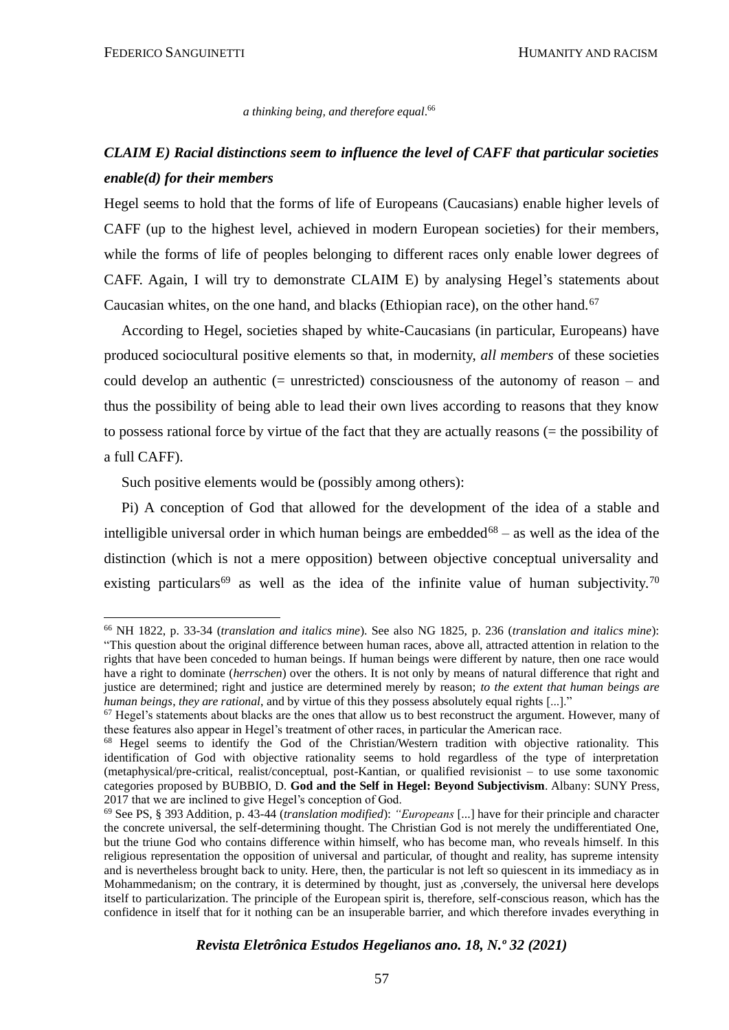*a thinking being, and therefore equal*. 66

# *CLAIM E) Racial distinctions seem to influence the level of CAFF that particular societies enable(d) for their members*

Hegel seems to hold that the forms of life of Europeans (Caucasians) enable higher levels of CAFF (up to the highest level, achieved in modern European societies) for their members, while the forms of life of peoples belonging to different races only enable lower degrees of CAFF. Again, I will try to demonstrate CLAIM E) by analysing Hegel's statements about Caucasian whites, on the one hand, and blacks (Ethiopian race), on the other hand.<sup>67</sup>

According to Hegel, societies shaped by white-Caucasians (in particular, Europeans) have produced sociocultural positive elements so that, in modernity, *all members* of these societies could develop an authentic (= unrestricted) consciousness of the autonomy of reason – and thus the possibility of being able to lead their own lives according to reasons that they know to possess rational force by virtue of the fact that they are actually reasons (= the possibility of a full CAFF).

Such positive elements would be (possibly among others):

Pi) A conception of God that allowed for the development of the idea of a stable and intelligible universal order in which human beings are embedded<sup>68</sup> – as well as the idea of the distinction (which is not a mere opposition) between objective conceptual universality and existing particulars<sup>69</sup> as well as the idea of the infinite value of human subjectivity.<sup>70</sup>

<sup>66</sup> NH 1822, p. 33-34 (*translation and italics mine*). See also NG 1825, p. 236 (*translation and italics mine*): "This question about the original difference between human races, above all, attracted attention in relation to the rights that have been conceded to human beings. If human beings were different by nature, then one race would have a right to dominate (*herrschen*) over the others. It is not only by means of natural difference that right and justice are determined; right and justice are determined merely by reason; *to the extent that human beings are human beings*, *they are rational*, and by virtue of this they possess absolutely equal rights [...]."

 $67$  Hegel's statements about blacks are the ones that allow us to best reconstruct the argument. However, many of these features also appear in Hegel's treatment of other races, in particular the American race.

<sup>&</sup>lt;sup>68</sup> Hegel seems to identify the God of the Christian/Western tradition with objective rationality. This identification of God with objective rationality seems to hold regardless of the type of interpretation (metaphysical/pre-critical, realist/conceptual, post-Kantian, or qualified revisionist – to use some taxonomic categories proposed by BUBBIO, D. **God and the Self in Hegel: Beyond Subjectivism**. Albany: SUNY Press, 2017 that we are inclined to give Hegel's conception of God.

<sup>69</sup> See PS, § 393 Addition, p. 43-44 (*translation modified*): *"Europeans* [...] have for their principle and character the concrete universal, the self-determining thought. The Christian God is not merely the undifferentiated One, but the triune God who contains difference within himself, who has become man, who reveals himself. In this religious representation the opposition of universal and particular, of thought and reality, has supreme intensity and is nevertheless brought back to unity. Here, then, the particular is not left so quiescent in its immediacy as in Mohammedanism; on the contrary, it is determined by thought, just as ,conversely, the universal here develops itself to particularization. The principle of the European spirit is, therefore, self-conscious reason, which has the confidence in itself that for it nothing can be an insuperable barrier, and which therefore invades everything in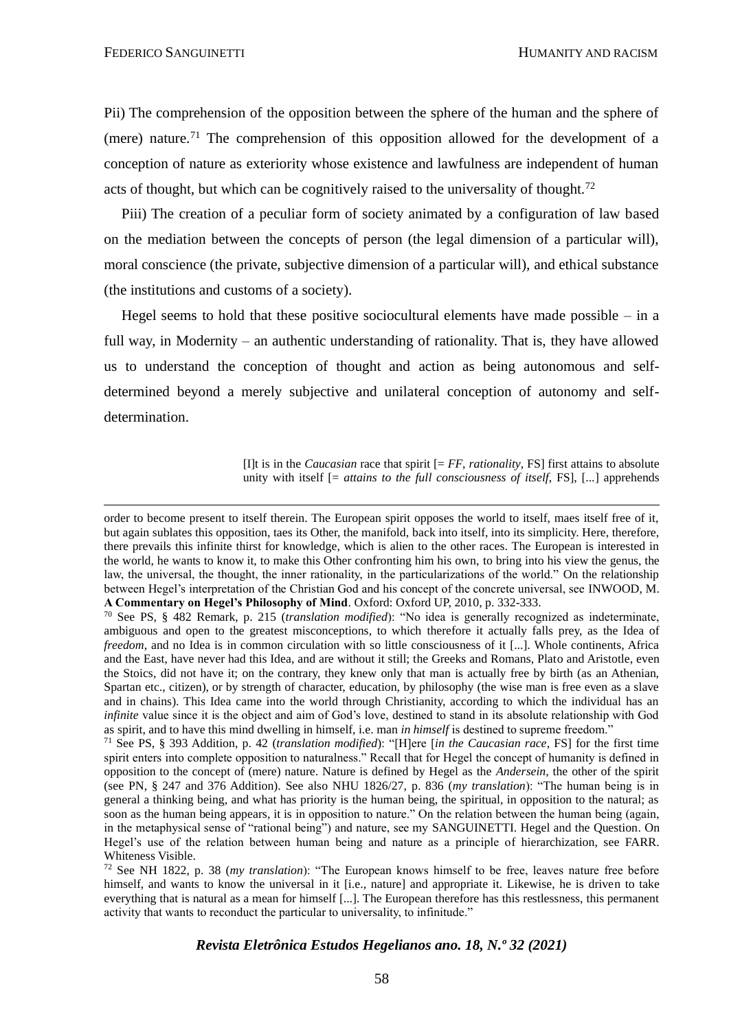Pii) The comprehension of the opposition between the sphere of the human and the sphere of (mere) nature.<sup>71</sup> The comprehension of this opposition allowed for the development of a conception of nature as exteriority whose existence and lawfulness are independent of human acts of thought, but which can be cognitively raised to the universality of thought.<sup>72</sup>

Piii) The creation of a peculiar form of society animated by a configuration of law based on the mediation between the concepts of person (the legal dimension of a particular will), moral conscience (the private, subjective dimension of a particular will), and ethical substance (the institutions and customs of a society).

Hegel seems to hold that these positive sociocultural elements have made possible  $-$  in a full way, in Modernity – an authentic understanding of rationality. That is, they have allowed us to understand the conception of thought and action as being autonomous and selfdetermined beyond a merely subjective and unilateral conception of autonomy and selfdetermination.

> [I]t is in the *Caucasian* race that spirit  $[= FF$ , *rationality*, FS] first attains to absolute unity with itself [= *attains to the full consciousness of itself*, FS], [...] apprehends

order to become present to itself therein. The European spirit opposes the world to itself, maes itself free of it, but again sublates this opposition, taes its Other, the manifold, back into itself, into its simplicity. Here, therefore, there prevails this infinite thirst for knowledge, which is alien to the other races. The European is interested in the world, he wants to know it, to make this Other confronting him his own, to bring into his view the genus, the law, the universal, the thought, the inner rationality, in the particularizations of the world." On the relationship between Hegel's interpretation of the Christian God and his concept of the concrete universal, see INWOOD, M. **A Commentary on Hegel's Philosophy of Mind**. Oxford: Oxford UP, 2010, p. 332-333.

<sup>70</sup> See PS, § 482 Remark, p. 215 (*translation modified*): "No idea is generally recognized as indeterminate, ambiguous and open to the greatest misconceptions, to which therefore it actually falls prey, as the Idea of *freedom*, and no Idea is in common circulation with so little consciousness of it [...]. Whole continents, Africa and the East, have never had this Idea, and are without it still; the Greeks and Romans, Plato and Aristotle, even the Stoics, did not have it; on the contrary, they knew only that man is actually free by birth (as an Athenian, Spartan etc., citizen), or by strength of character, education, by philosophy (the wise man is free even as a slave and in chains). This Idea came into the world through Christianity, according to which the individual has an *infinite* value since it is the object and aim of God's love, destined to stand in its absolute relationship with God as spirit, and to have this mind dwelling in himself, i.e. man *in himself* is destined to supreme freedom."

<sup>71</sup> See PS, § 393 Addition, p. 42 (*translation modified*): "[H]ere [*in the Caucasian race*, FS] for the first time spirit enters into complete opposition to naturalness." Recall that for Hegel the concept of humanity is defined in opposition to the concept of (mere) nature. Nature is defined by Hegel as the *Andersein*, the other of the spirit (see PN, § 247 and 376 Addition). See also NHU 1826/27, p. 836 (*my translation*): "The human being is in general a thinking being, and what has priority is the human being, the spiritual, in opposition to the natural; as soon as the human being appears, it is in opposition to nature." On the relation between the human being (again, in the metaphysical sense of "rational being") and nature, see my SANGUINETTI. Hegel and the Question. On Hegel's use of the relation between human being and nature as a principle of hierarchization, see FARR. Whiteness Visible.

<sup>72</sup> See NH 1822, p. 38 (*my translation*): "The European knows himself to be free, leaves nature free before himself, and wants to know the universal in it [i.e., nature] and appropriate it. Likewise, he is driven to take everything that is natural as a mean for himself [...]. The European therefore has this restlessness, this permanent activity that wants to reconduct the particular to universality, to infinitude."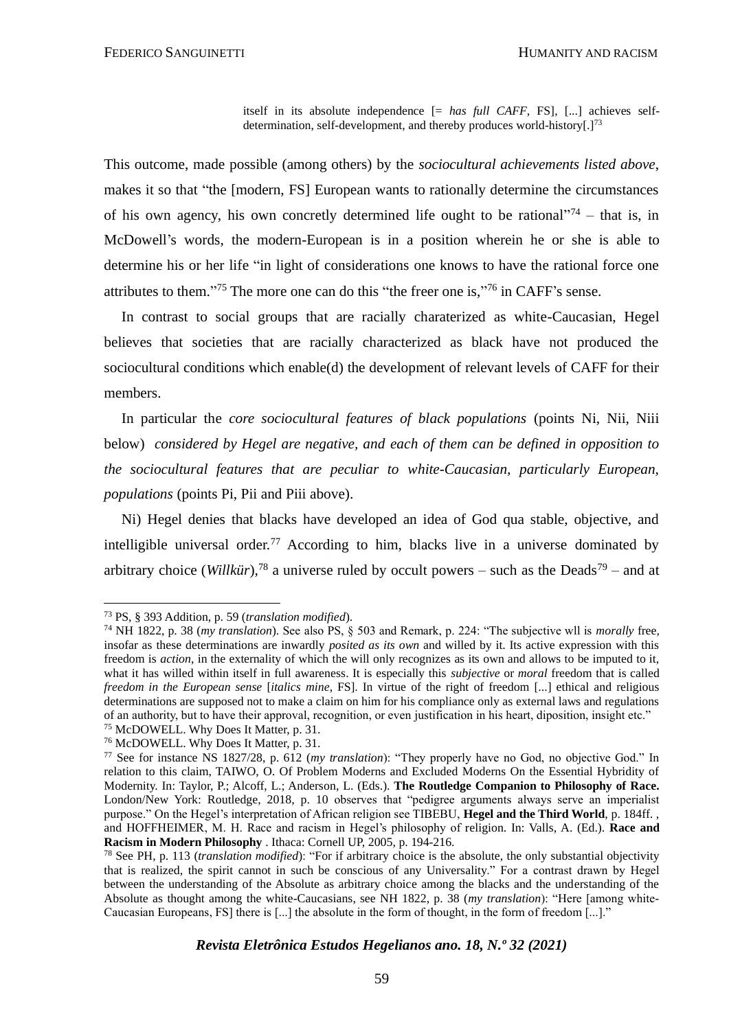itself in its absolute independence [= *has full CAFF*, FS], [...] achieves selfdetermination, self-development, and thereby produces world-history[.]<sup>73</sup>

This outcome, made possible (among others) by the *sociocultural achievements listed above*, makes it so that "the [modern, FS] European wants to rationally determine the circumstances of his own agency, his own concretly determined life ought to be rational<sup> $274$ </sup> – that is, in McDowell's words, the modern-European is in a position wherein he or she is able to determine his or her life "in light of considerations one knows to have the rational force one attributes to them."<sup>75</sup> The more one can do this "the freer one is,"<sup>76</sup> in CAFF's sense.

In contrast to social groups that are racially charaterized as white-Caucasian, Hegel believes that societies that are racially characterized as black have not produced the sociocultural conditions which enable(d) the development of relevant levels of CAFF for their members.

In particular the *core sociocultural features of black populations* (points Ni, Nii, Niii below) *considered by Hegel are negative, and each of them can be defined in opposition to the sociocultural features that are peculiar to white-Caucasian, particularly European, populations* (points Pi, Pii and Piii above).

Ni) Hegel denies that blacks have developed an idea of God qua stable, objective, and intelligible universal order.<sup>77</sup> According to him, blacks live in a universe dominated by arbitrary choice (*Willkür*),<sup>78</sup> a universe ruled by occult powers – such as the Deads<sup>79</sup> – and at

<sup>73</sup> PS, § 393 Addition, p. 59 (*translation modified*).

<sup>74</sup> NH 1822, p. 38 (*my translation*). See also PS, § 503 and Remark, p. 224: "The subjective wll is *morally* free, insofar as these determinations are inwardly *posited as its own* and willed by it. Its active expression with this freedom is *action*, in the externality of which the will only recognizes as its own and allows to be imputed to it, what it has willed within itself in full awareness. It is especially this *subjective* or *moral* freedom that is called *freedom in the European sense* [*italics mine*, FS]. In virtue of the right of freedom [...] ethical and religious determinations are supposed not to make a claim on him for his compliance only as external laws and regulations of an authority, but to have their approval, recognition, or even justification in his heart, diposition, insight etc."

<sup>75</sup> McDOWELL. Why Does It Matter, p. 31.

<sup>76</sup> McDOWELL. Why Does It Matter, p. 31.

<sup>77</sup> See for instance NS 1827/28, p. 612 (*my translation*): "They properly have no God, no objective God." In relation to this claim, TAIWO, O. Of Problem Moderns and Excluded Moderns On the Essential Hybridity of Modernity. In: Taylor, P.; Alcoff, L.; Anderson, L. (Eds.). **The Routledge Companion to Philosophy of Race.**  London/New York: Routledge, 2018, p. 10 observes that "pedigree arguments always serve an imperialist purpose." On the Hegel's interpretation of African religion see TIBEBU, **Hegel and the Third World**, p. 184ff. , and HOFFHEIMER, M. H. Race and racism in Hegel's philosophy of religion. In: Valls, A. (Ed.). **Race and Racism in Modern Philosophy** . Ithaca: Cornell UP, 2005, p. 194-216.

<sup>78</sup> See PH, p. 113 (*translation modified*): "For if arbitrary choice is the absolute, the only substantial objectivity that is realized, the spirit cannot in such be conscious of any Universality." For a contrast drawn by Hegel between the understanding of the Absolute as arbitrary choice among the blacks and the understanding of the Absolute as thought among the white-Caucasians, see NH 1822, p. 38 (*my translation*): "Here [among white-Caucasian Europeans, FS] there is [...] the absolute in the form of thought, in the form of freedom [...]."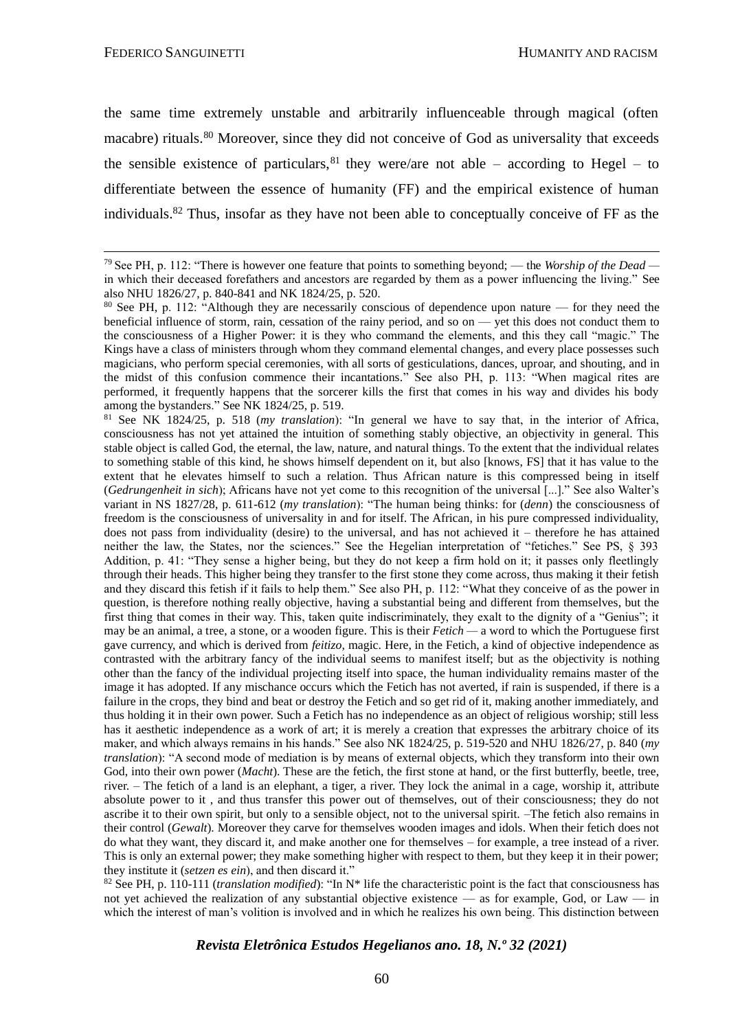the same time extremely unstable and arbitrarily influenceable through magical (often macabre) rituals.<sup>80</sup> Moreover, since they did not conceive of God as universality that exceeds the sensible existence of particulars, <sup>81</sup> they were/are not able – according to Hegel – to differentiate between the essence of humanity (FF) and the empirical existence of human individuals.<sup>82</sup> Thus, insofar as they have not been able to conceptually conceive of FF as the

<sup>81</sup> See NK 1824/25, p. 518 (*my translation*): "In general we have to say that, in the interior of Africa, consciousness has not yet attained the intuition of something stably objective, an objectivity in general. This stable object is called God, the eternal, the law, nature, and natural things. To the extent that the individual relates to something stable of this kind, he shows himself dependent on it, but also [knows, FS] that it has value to the extent that he elevates himself to such a relation. Thus African nature is this compressed being in itself (*Gedrungenheit in sich*); Africans have not yet come to this recognition of the universal [...]." See also Walter's variant in NS 1827/28, p. 611-612 (*my translation*): "The human being thinks: for (*denn*) the consciousness of freedom is the consciousness of universality in and for itself. The African, in his pure compressed individuality, does not pass from individuality (desire) to the universal, and has not achieved it – therefore he has attained neither the law, the States, nor the sciences." See the Hegelian interpretation of "fetiches." See PS, § 393 Addition, p. 41: "They sense a higher being, but they do not keep a firm hold on it; it passes only fleetlingly through their heads. This higher being they transfer to the first stone they come across, thus making it their fetish and they discard this fetish if it fails to help them." See also PH, p. 112: "What they conceive of as the power in question, is therefore nothing really objective, having a substantial being and different from themselves, but the first thing that comes in their way. This, taken quite indiscriminately, they exalt to the dignity of a "Genius"; it may be an animal, a tree, a stone, or a wooden figure. This is their *Fetich —* a word to which the Portuguese first gave currency, and which is derived from *feitizo,* magic. Here, in the Fetich, a kind of objective independence as contrasted with the arbitrary fancy of the individual seems to manifest itself; but as the objectivity is nothing other than the fancy of the individual projecting itself into space, the human individuality remains master of the image it has adopted. If any mischance occurs which the Fetich has not averted, if rain is suspended, if there is a failure in the crops, they bind and beat or destroy the Fetich and so get rid of it, making another immediately, and thus holding it in their own power. Such a Fetich has no independence as an object of religious worship; still less has it aesthetic independence as a work of art; it is merely a creation that expresses the arbitrary choice of its maker, and which always remains in his hands." See also NK 1824/25, p. 519-520 and NHU 1826/27, p. 840 (*my translation*): "A second mode of mediation is by means of external objects, which they transform into their own God, into their own power (*Macht*). These are the fetich, the first stone at hand, or the first butterfly, beetle, tree, river. – The fetich of a land is an elephant, a tiger, a river. They lock the animal in a cage, worship it, attribute absolute power to it , and thus transfer this power out of themselves, out of their consciousness; they do not ascribe it to their own spirit, but only to a sensible object, not to the universal spirit. –The fetich also remains in their control (*Gewalt*). Moreover they carve for themselves wooden images and idols. When their fetich does not do what they want, they discard it, and make another one for themselves – for example, a tree instead of a river. This is only an external power; they make something higher with respect to them, but they keep it in their power; they institute it (*setzen es ein*), and then discard it."

<sup>82</sup> See PH, p. 110-111 (*translation modified*): "In N\* life the characteristic point is the fact that consciousness has not yet achieved the realization of any substantial objective existence — as for example, God, or Law — in which the interest of man's volition is involved and in which he realizes his own being. This distinction between

<sup>79</sup>See PH, p. 112: "There is however one feature that points to something beyond; — the *Worship of the Dead*  in which their deceased forefathers and ancestors are regarded by them as a power influencing the living." See also NHU 1826/27, p. 840-841 and NK 1824/25, p. 520.

<sup>80</sup> See PH, p. 112: "Although they are necessarily conscious of dependence upon nature — for they need the beneficial influence of storm, rain, cessation of the rainy period, and so on — yet this does not conduct them to the consciousness of a Higher Power: it is they who command the elements, and this they call "magic." The Kings have a class of ministers through whom they command elemental changes, and every place possesses such magicians, who perform special ceremonies, with all sorts of gesticulations, dances, uproar, and shouting, and in the midst of this confusion commence their incantations." See also PH, p. 113: "When magical rites are performed, it frequently happens that the sorcerer kills the first that comes in his way and divides his body among the bystanders." See NK 1824/25, p. 519.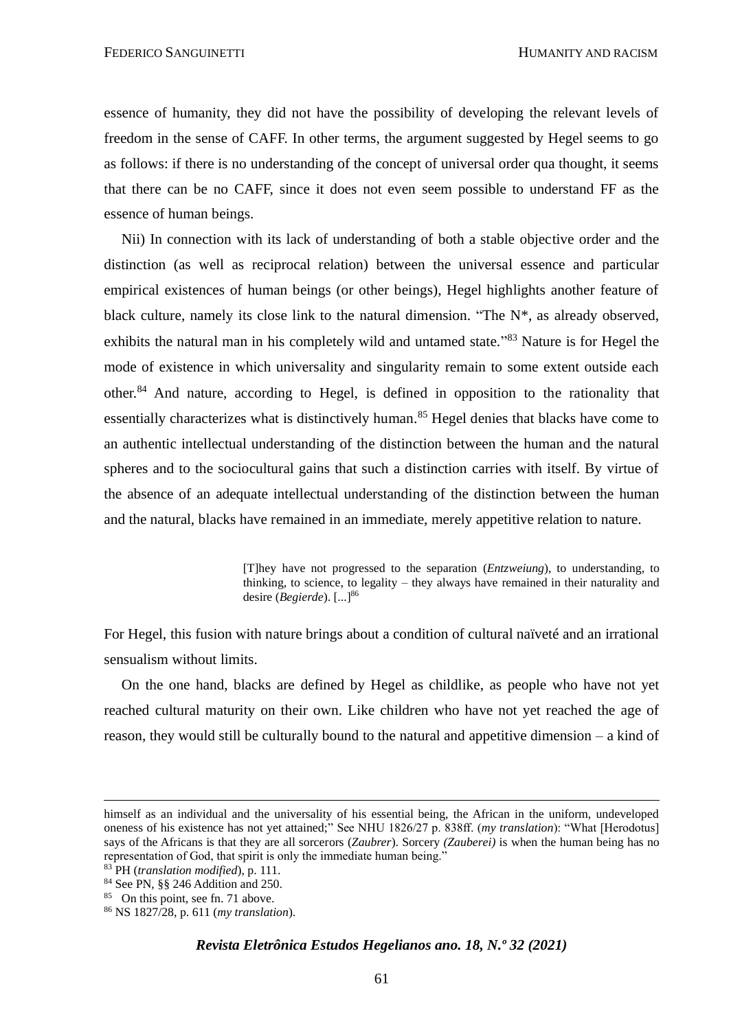essence of humanity, they did not have the possibility of developing the relevant levels of freedom in the sense of CAFF. In other terms, the argument suggested by Hegel seems to go as follows: if there is no understanding of the concept of universal order qua thought, it seems that there can be no CAFF, since it does not even seem possible to understand FF as the essence of human beings.

Nii) In connection with its lack of understanding of both a stable objective order and the distinction (as well as reciprocal relation) between the universal essence and particular empirical existences of human beings (or other beings), Hegel highlights another feature of black culture, namely its close link to the natural dimension. "The  $N^*$ , as already observed, exhibits the natural man in his completely wild and untamed state."<sup>83</sup> Nature is for Hegel the mode of existence in which universality and singularity remain to some extent outside each other.<sup>84</sup> And nature, according to Hegel, is defined in opposition to the rationality that essentially characterizes what is distinctively human.<sup>85</sup> Hegel denies that blacks have come to an authentic intellectual understanding of the distinction between the human and the natural spheres and to the sociocultural gains that such a distinction carries with itself. By virtue of the absence of an adequate intellectual understanding of the distinction between the human and the natural, blacks have remained in an immediate, merely appetitive relation to nature.

> [T]hey have not progressed to the separation (*Entzweiung*), to understanding, to thinking, to science, to legality – they always have remained in their naturality and desire (*Begierde*). [...]<sup>86</sup>

For Hegel, this fusion with nature brings about a condition of cultural naïveté and an irrational sensualism without limits.

On the one hand, blacks are defined by Hegel as childlike, as people who have not yet reached cultural maturity on their own. Like children who have not yet reached the age of reason, they would still be culturally bound to the natural and appetitive dimension – a kind of

himself as an individual and the universality of his essential being, the African in the uniform, undeveloped oneness of his existence has not yet attained;" See NHU 1826/27 p. 838ff. (*my translation*): "What [Herodotus] says of the Africans is that they are all sorcerors (*Zaubrer*). Sorcery *(Zauberei)* is when the human being has no representation of God, that spirit is only the immediate human being."

<sup>83</sup> PH (*translation modified*), p. 111.

<sup>84</sup> See PN, §§ 246 Addition and 250.

<sup>&</sup>lt;sup>85</sup> On this point, see fn. 71 above.

<sup>86</sup> NS 1827/28, p. 611 (*my translation*).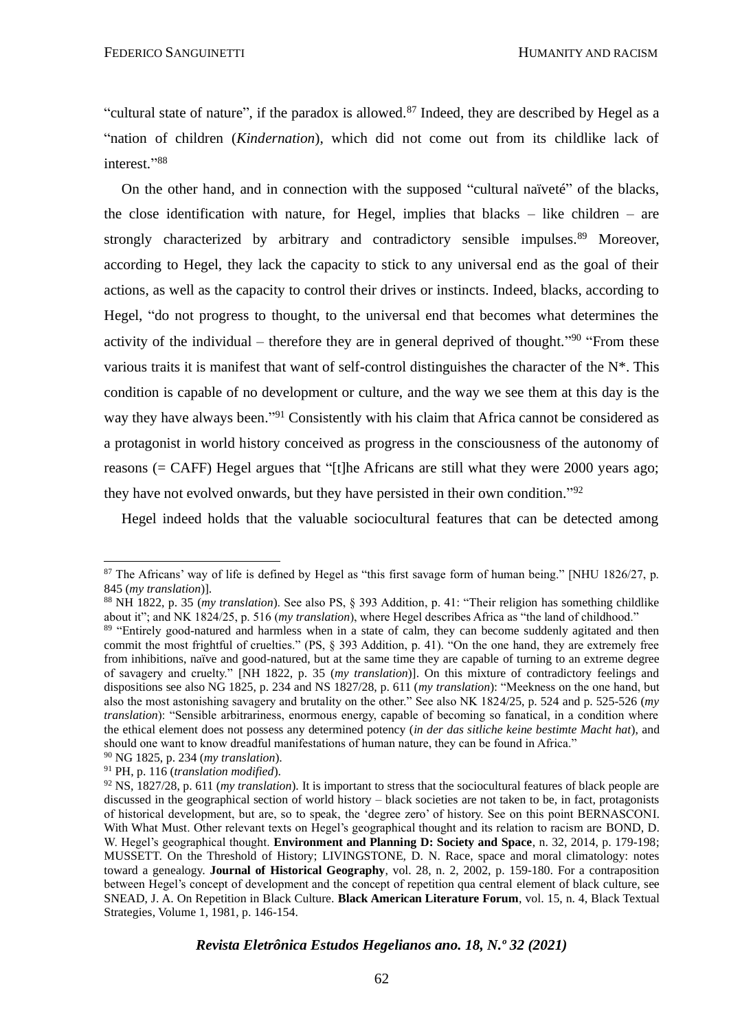"cultural state of nature", if the paradox is allowed.<sup>87</sup> Indeed, they are described by Hegel as a "nation of children (*Kindernation*), which did not come out from its childlike lack of interest." 88

On the other hand, and in connection with the supposed "cultural naïveté" of the blacks, the close identification with nature, for Hegel, implies that blacks – like children – are strongly characterized by arbitrary and contradictory sensible impulses.<sup>89</sup> Moreover, according to Hegel, they lack the capacity to stick to any universal end as the goal of their actions, as well as the capacity to control their drives or instincts. Indeed, blacks, according to Hegel, "do not progress to thought, to the universal end that becomes what determines the activity of the individual – therefore they are in general deprived of thought."<sup>90</sup> "From these various traits it is manifest that want of self-control distinguishes the character of the N\*. This condition is capable of no development or culture, and the way we see them at this day is the way they have always been."<sup>91</sup> Consistently with his claim that Africa cannot be considered as a protagonist in world history conceived as progress in the consciousness of the autonomy of reasons (= CAFF) Hegel argues that "[t]he Africans are still what they were 2000 years ago; they have not evolved onwards, but they have persisted in their own condition."<sup>92</sup>

Hegel indeed holds that the valuable sociocultural features that can be detected among

<sup>&</sup>lt;sup>87</sup> The Africans' way of life is defined by Hegel as "this first savage form of human being." [NHU 1826/27, p. 845 (*my translation*)].

<sup>88</sup> NH 1822, p. 35 (*my translation*). See also PS, § 393 Addition, p. 41: "Their religion has something childlike about it"; and NK 1824/25, p. 516 (*my translation*), where Hegel describes Africa as "the land of childhood."

<sup>&</sup>lt;sup>89</sup> "Entirely good-natured and harmless when in a state of calm, they can become suddenly agitated and then commit the most frightful of cruelties." (PS, § 393 Addition, p. 41). "On the one hand, they are extremely free from inhibitions, naïve and good-natured, but at the same time they are capable of turning to an extreme degree of savagery and cruelty." [NH 1822, p. 35 (*my translation*)]. On this mixture of contradictory feelings and dispositions see also NG 1825, p. 234 and NS 1827/28, p. 611 (*my translation*): "Meekness on the one hand, but also the most astonishing savagery and brutality on the other." See also NK 1824/25, p. 524 and p. 525-526 (*my translation*): "Sensible arbitrariness, enormous energy, capable of becoming so fanatical, in a condition where the ethical element does not possess any determined potency (*in der das sitliche keine bestimte Macht hat*), and should one want to know dreadful manifestations of human nature, they can be found in Africa."

<sup>90</sup> NG 1825, p. 234 (*my translation*).

<sup>91</sup> PH, p. 116 (*translation modified*).

<sup>92</sup> NS, 1827/28, p. 611 (*my translation*). It is important to stress that the sociocultural features of black people are discussed in the geographical section of world history – black societies are not taken to be, in fact, protagonists of historical development, but are, so to speak, the 'degree zero' of history. See on this point BERNASCONI. With What Must. Other relevant texts on Hegel's geographical thought and its relation to racism are BOND, D. W. Hegel's geographical thought. **Environment and Planning D: Society and Space**, n. 32, 2014, p. 179-198; MUSSETT. On the Threshold of History; LIVINGSTONE, D. N. Race, space and moral climatology: notes toward a genealogy. **Journal of Historical Geography**, vol. 28, n. 2, 2002, p. 159-180. For a contraposition between Hegel's concept of development and the concept of repetition qua central element of black culture, see SNEAD, J. A. On Repetition in Black Culture. **Black American Literature Forum**, vol. 15, n. 4, Black Textual Strategies, Volume 1, 1981, p. 146-154.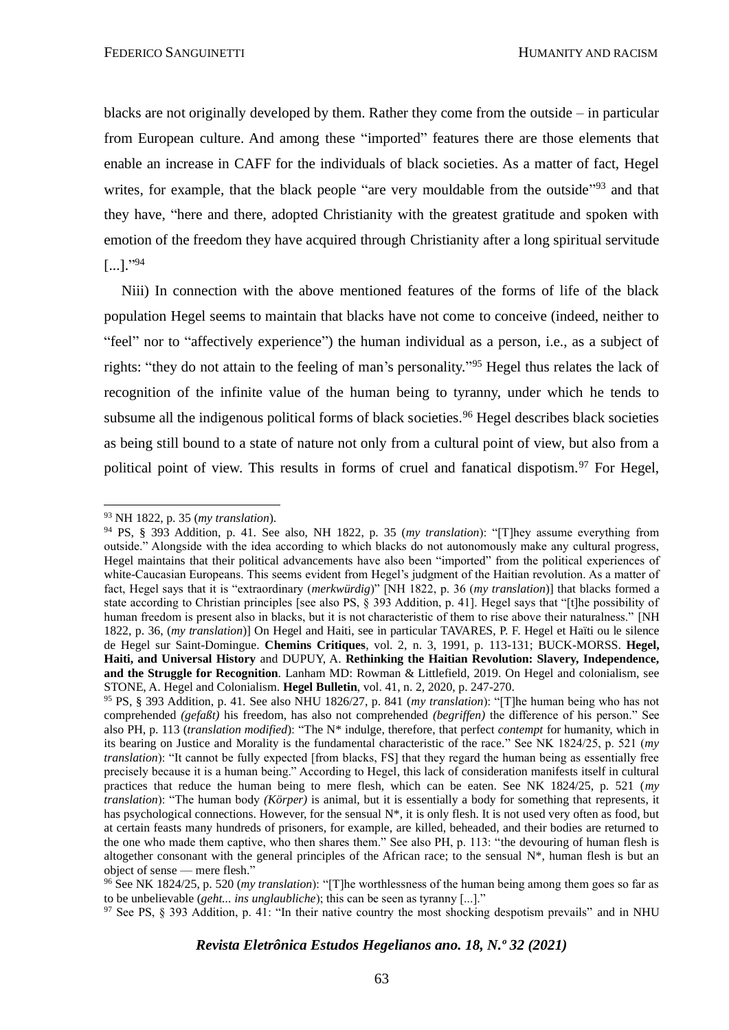blacks are not originally developed by them. Rather they come from the outside – in particular from European culture. And among these "imported" features there are those elements that enable an increase in CAFF for the individuals of black societies. As a matter of fact, Hegel writes, for example, that the black people "are very mouldable from the outside"<sup>93</sup> and that they have, "here and there, adopted Christianity with the greatest gratitude and spoken with emotion of the freedom they have acquired through Christianity after a long spiritual servitude  $[...]$ ."94

Niii) In connection with the above mentioned features of the forms of life of the black population Hegel seems to maintain that blacks have not come to conceive (indeed, neither to "feel" nor to "affectively experience") the human individual as a person, i.e., as a subject of rights: "they do not attain to the feeling of man's personality." <sup>95</sup> Hegel thus relates the lack of recognition of the infinite value of the human being to tyranny, under which he tends to subsume all the indigenous political forms of black societies.<sup>96</sup> Hegel describes black societies as being still bound to a state of nature not only from a cultural point of view, but also from a political point of view. This results in forms of cruel and fanatical dispotism.<sup>97</sup> For Hegel,

<sup>93</sup> NH 1822, p. 35 (*my translation*).

<sup>94</sup> PS, § 393 Addition, p. 41. See also, NH 1822, p. 35 (*my translation*): "[T]hey assume everything from outside." Alongside with the idea according to which blacks do not autonomously make any cultural progress, Hegel maintains that their political advancements have also been "imported" from the political experiences of white-Caucasian Europeans. This seems evident from Hegel's judgment of the Haitian revolution. As a matter of fact, Hegel says that it is "extraordinary (*merkwürdig*)" [NH 1822, p. 36 (*my translation*)] that blacks formed a state according to Christian principles [see also PS, § 393 Addition, p. 41]. Hegel says that "[t]he possibility of human freedom is present also in blacks, but it is not characteristic of them to rise above their naturalness." [NH 1822, p. 36, (*my translation*)] On Hegel and Haiti, see in particular TAVARES, P. F. Hegel et Haïti ou le silence de Hegel sur Saint-Domingue. **Chemins Critiques**, vol. 2, n. 3, 1991, p. 113-131; BUCK-MORSS. **Hegel, Haiti, and Universal History** and DUPUY, A. **Rethinking the Haitian Revolution: Slavery, Independence, and the Struggle for Recognition***.* Lanham MD: Rowman & Littlefield, 2019. On Hegel and colonialism, see STONE, A. Hegel and Colonialism. **Hegel Bulletin**, vol. 41, n. 2, 2020, p. 247-270.

<sup>95</sup> PS, § 393 Addition, p. 41. See also NHU 1826/27, p. 841 (*my translation*): "[T]he human being who has not comprehended *(gefaßt)* his freedom, has also not comprehended *(begriffen)* the difference of his person." See also PH, p. 113 (*translation modified*): "The N\* indulge, therefore, that perfect *contempt* for humanity, which in its bearing on Justice and Morality is the fundamental characteristic of the race." See NK 1824/25, p. 521 (*my translation*): "It cannot be fully expected [from blacks, FS] that they regard the human being as essentially free precisely because it is a human being." According to Hegel, this lack of consideration manifests itself in cultural practices that reduce the human being to mere flesh, which can be eaten. See NK 1824/25, p. 521 (*my translation*): "The human body *(Körper)* is animal, but it is essentially a body for something that represents, it has psychological connections. However, for the sensual  $N^*$ , it is only flesh. It is not used very often as food, but at certain feasts many hundreds of prisoners, for example, are killed, beheaded, and their bodies are returned to the one who made them captive, who then shares them." See also PH, p. 113: "the devouring of human flesh is altogether consonant with the general principles of the African race; to the sensual  $N^*$ , human flesh is but an object of sense — mere flesh."

<sup>96</sup> See NK 1824/25, p. 520 (*my translation*): "[T]he worthlessness of the human being among them goes so far as to be unbelievable (*geht... ins unglaubliche*); this can be seen as tyranny [...]."

<sup>&</sup>lt;sup>97</sup> See PS,  $\hat{\gamma}$  393 Addition, p. 41: "In their native country the most shocking despotism prevails" and in NHU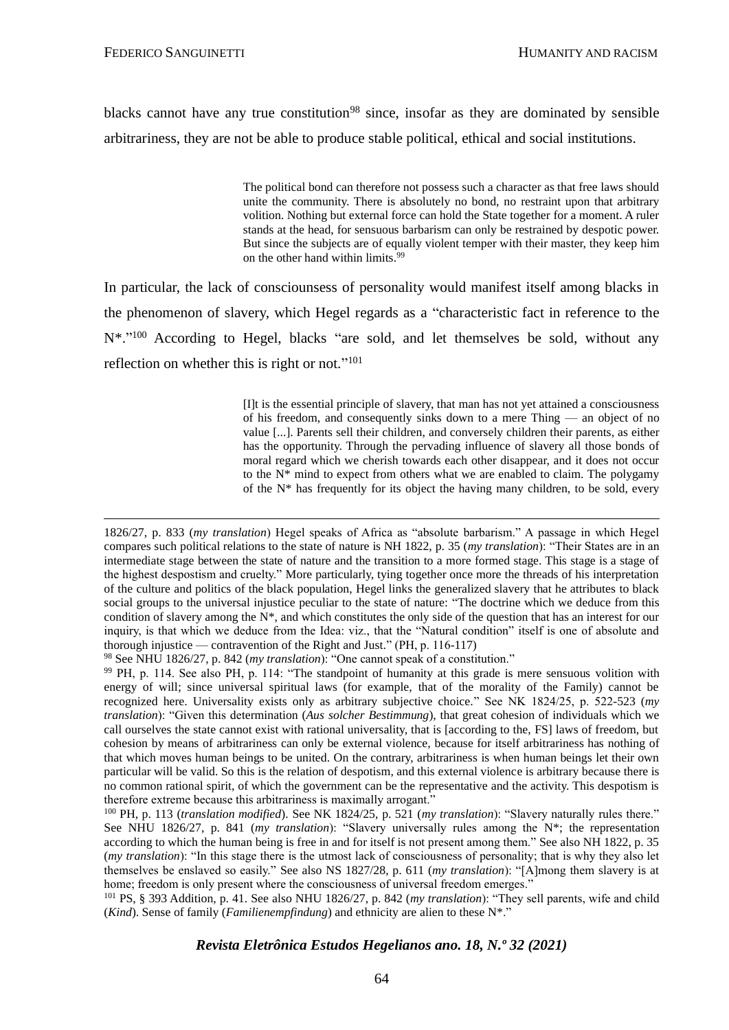blacks cannot have any true constitution<sup>98</sup> since, insofar as they are dominated by sensible arbitrariness, they are not be able to produce stable political, ethical and social institutions.

> The political bond can therefore not possess such a character as that free laws should unite the community. There is absolutely no bond, no restraint upon that arbitrary volition. Nothing but external force can hold the State together for a moment. A ruler stands at the head, for sensuous barbarism can only be restrained by despotic power. But since the subjects are of equally violent temper with their master, they keep him on the other hand within limits.<sup>99</sup>

In particular, the lack of consciounsess of personality would manifest itself among blacks in the phenomenon of slavery, which Hegel regards as a "characteristic fact in reference to the N<sup>\*</sup>."<sup>100</sup> According to Hegel, blacks "are sold, and let themselves be sold, without any reflection on whether this is right or not."<sup>101</sup>

> [I]t is the essential principle of slavery, that man has not yet attained a consciousness of his freedom, and consequently sinks down to a mere Thing — an object of no value [...]. Parents sell their children, and conversely children their parents, as either has the opportunity. Through the pervading influence of slavery all those bonds of moral regard which we cherish towards each other disappear, and it does not occur to the  $N^*$  mind to expect from others what we are enabled to claim. The polygamy of the N\* has frequently for its object the having many children, to be sold, every

<sup>98</sup> See NHU 1826/27, p. 842 (*my translation*): "One cannot speak of a constitution."

<sup>101</sup> PS, § 393 Addition, p. 41. See also NHU 1826/27, p. 842 (*my translation*): "They sell parents, wife and child (*Kind*). Sense of family (*Familienempfindung*) and ethnicity are alien to these N\*."

<sup>1826/27,</sup> p. 833 (*my translation*) Hegel speaks of Africa as "absolute barbarism." A passage in which Hegel compares such political relations to the state of nature is NH 1822, p. 35 (*my translation*): "Their States are in an intermediate stage between the state of nature and the transition to a more formed stage. This stage is a stage of the highest despostism and cruelty." More particularly, tying together once more the threads of his interpretation of the culture and politics of the black population, Hegel links the generalized slavery that he attributes to black social groups to the universal injustice peculiar to the state of nature: "The doctrine which we deduce from this condition of slavery among the N\*, and which constitutes the only side of the question that has an interest for our inquiry, is that which we deduce from the Idea: viz., that the "Natural condition" itself is one of absolute and thorough injustice — contravention of the Right and Just." (PH, p. 116-117)

<sup>99</sup> PH, p. 114. See also PH, p. 114: "The standpoint of humanity at this grade is mere sensuous volition with energy of will; since universal spiritual laws (for example, that of the morality of the Family) cannot be recognized here. Universality exists only as arbitrary subjective choice." See NK 1824/25, p. 522-523 (*my translation*): "Given this determination (*Aus solcher Bestimmung*), that great cohesion of individuals which we call ourselves the state cannot exist with rational universality, that is [according to the, FS] laws of freedom, but cohesion by means of arbitrariness can only be external violence, because for itself arbitrariness has nothing of that which moves human beings to be united. On the contrary, arbitrariness is when human beings let their own particular will be valid. So this is the relation of despotism, and this external violence is arbitrary because there is no common rational spirit, of which the government can be the representative and the activity. This despotism is therefore extreme because this arbitrariness is maximally arrogant."

<sup>100</sup> PH, p. 113 (*translation modified*). See NK 1824/25, p. 521 (*my translation*): "Slavery naturally rules there." See NHU 1826/27, p. 841 (*my translation*): "Slavery universally rules among the N\*; the representation according to which the human being is free in and for itself is not present among them." See also NH 1822, p. 35 (*my translation*): "In this stage there is the utmost lack of consciousness of personality; that is why they also let themselves be enslaved so easily." See also NS 1827/28, p. 611 (*my translation*): "[A]mong them slavery is at home; freedom is only present where the consciousness of universal freedom emerges."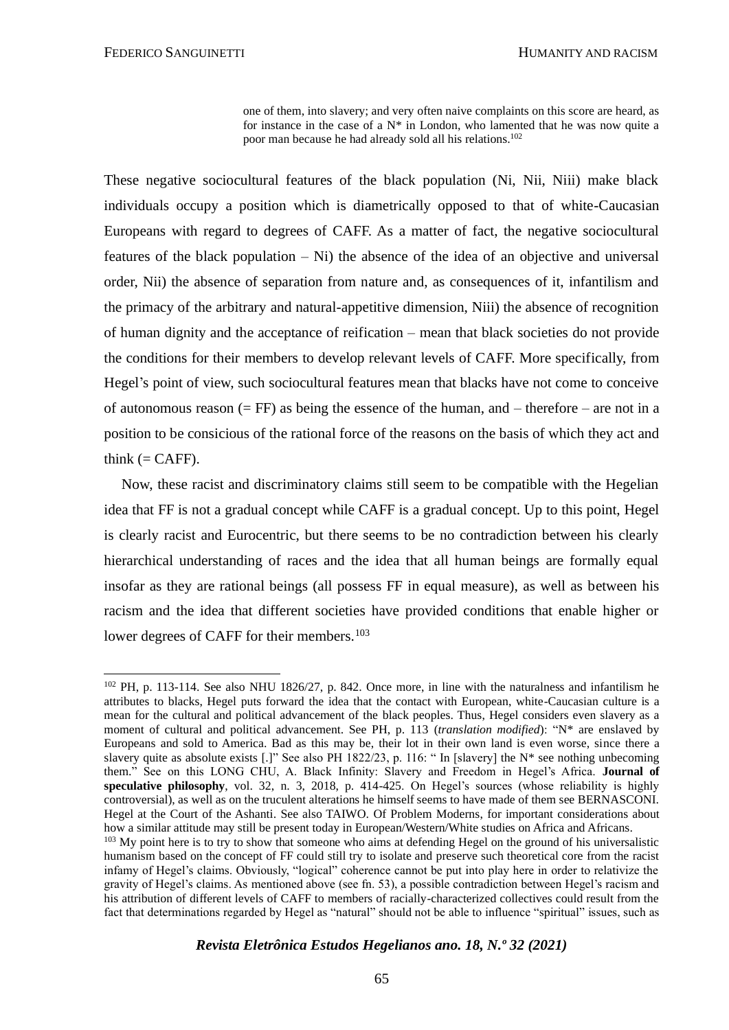one of them, into slavery; and very often naive complaints on this score are heard, as for instance in the case of a  $N^*$  in London, who lamented that he was now quite a poor man because he had already sold all his relations.<sup>102</sup>

These negative sociocultural features of the black population (Ni, Nii, Niii) make black individuals occupy a position which is diametrically opposed to that of white-Caucasian Europeans with regard to degrees of CAFF. As a matter of fact, the negative sociocultural features of the black population – Ni) the absence of the idea of an objective and universal order, Nii) the absence of separation from nature and, as consequences of it, infantilism and the primacy of the arbitrary and natural-appetitive dimension, Niii) the absence of recognition of human dignity and the acceptance of reification – mean that black societies do not provide the conditions for their members to develop relevant levels of CAFF. More specifically, from Hegel's point of view, such sociocultural features mean that blacks have not come to conceive of autonomous reason  $(= FF)$  as being the essence of the human, and – therefore – are not in a position to be consicious of the rational force of the reasons on the basis of which they act and think  $(= CAFF)$ .

Now, these racist and discriminatory claims still seem to be compatible with the Hegelian idea that FF is not a gradual concept while CAFF is a gradual concept. Up to this point, Hegel is clearly racist and Eurocentric, but there seems to be no contradiction between his clearly hierarchical understanding of races and the idea that all human beings are formally equal insofar as they are rational beings (all possess FF in equal measure), as well as between his racism and the idea that different societies have provided conditions that enable higher or lower degrees of CAFF for their members.<sup>103</sup>

 $102$  PH, p. 113-114. See also NHU 1826/27, p. 842. Once more, in line with the naturalness and infantilism he attributes to blacks, Hegel puts forward the idea that the contact with European, white-Caucasian culture is a mean for the cultural and political advancement of the black peoples. Thus, Hegel considers even slavery as a moment of cultural and political advancement. See PH, p. 113 (*translation modified*): "N\* are enslaved by Europeans and sold to America. Bad as this may be, their lot in their own land is even worse, since there a slavery quite as absolute exists [.]" See also PH 1822/23, p. 116: " In [slavery] the N\* see nothing unbecoming them." See on this LONG CHU, A. Black Infinity: Slavery and Freedom in Hegel's Africa. **Journal of speculative philosophy**, vol. 32, n. 3, 2018, p. 414-425. On Hegel's sources (whose reliability is highly controversial), as well as on the truculent alterations he himself seems to have made of them see BERNASCONI. Hegel at the Court of the Ashanti. See also TAIWO. Of Problem Moderns, for important considerations about how a similar attitude may still be present today in European/Western/White studies on Africa and Africans.

<sup>&</sup>lt;sup>103</sup> My point here is to try to show that someone who aims at defending Hegel on the ground of his universalistic humanism based on the concept of FF could still try to isolate and preserve such theoretical core from the racist infamy of Hegel's claims. Obviously, "logical" coherence cannot be put into play here in order to relativize the gravity of Hegel's claims. As mentioned above (see fn. 53), a possible contradiction between Hegel's racism and his attribution of different levels of CAFF to members of racially-characterized collectives could result from the fact that determinations regarded by Hegel as "natural" should not be able to influence "spiritual" issues, such as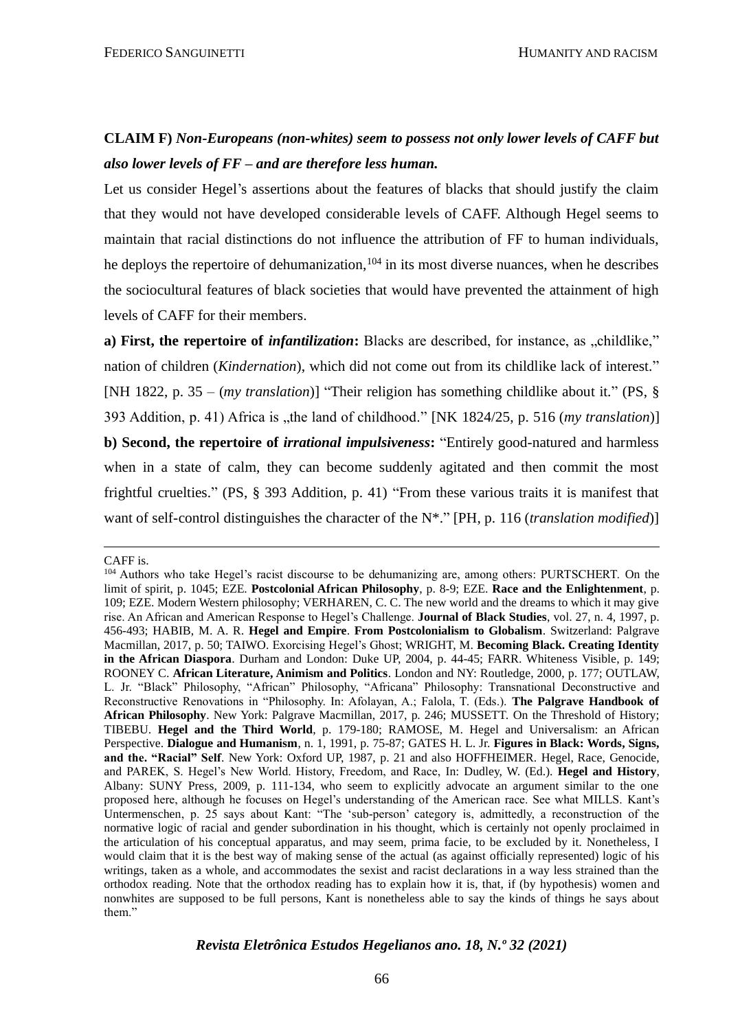# **CLAIM F)** *Non-Europeans (non-whites) seem to possess not only lower levels of CAFF but also lower levels of FF – and are therefore less human.*

Let us consider Hegel's assertions about the features of blacks that should justify the claim that they would not have developed considerable levels of CAFF. Although Hegel seems to maintain that racial distinctions do not influence the attribution of FF to human individuals, he deploys the repertoire of dehumanization,  $104$  in its most diverse nuances, when he describes the sociocultural features of black societies that would have prevented the attainment of high levels of CAFF for their members.

a) First, the repertoire of *infantilization*: Blacks are described, for instance, as "childlike," nation of children (*Kindernation*), which did not come out from its childlike lack of interest." [NH 1822, p. 35 – (*my translation*)] "Their religion has something childlike about it." (PS, § 393 Addition, p. 41) Africa is "the land of childhood." [NK 1824/25, p. 516 (*my translation*)] **b) Second, the repertoire of** *irrational impulsiveness***:** "Entirely good-natured and harmless when in a state of calm, they can become suddenly agitated and then commit the most frightful cruelties." (PS, § 393 Addition, p. 41) "From these various traits it is manifest that want of self-control distinguishes the character of the N\*." [PH, p. 116 (*translation modified*)]

CAFF is.

<sup>104</sup> Authors who take Hegel's racist discourse to be dehumanizing are, among others: PURTSCHERT. On the limit of spirit, p. 1045; EZE. **Postcolonial African Philosophy**, p. 8-9; EZE. **Race and the Enlightenment**, p. 109; EZE. Modern Western philosophy; VERHAREN, C. C. The new world and the dreams to which it may give rise. An African and American Response to Hegel's Challenge. **Journal of Black Studies**, vol. 27, n. 4, 1997, p. 456-493; HABIB, M. A. R. **Hegel and Empire**. **From Postcolonialism to Globalism**. Switzerland: Palgrave Macmillan, 2017, p. 50; TAIWO. Exorcising Hegel's Ghost; WRIGHT, M. **Becoming Black. Creating Identity in the African Diaspora**. Durham and London: Duke UP, 2004, p. 44-45; FARR. Whiteness Visible, p. 149; ROONEY C. **African Literature, Animism and Politics**. London and NY: Routledge, 2000, p. 177; OUTLAW, L. Jr. "Black" Philosophy, "African" Philosophy, "Africana" Philosophy: Transnational Deconstructive and Reconstructive Renovations in "Philosophy. In: Afolayan, A.; Falola, T. (Eds.). **The Palgrave Handbook of African Philosophy**. New York: Palgrave Macmillan, 2017, p. 246; MUSSETT. On the Threshold of History; TIBEBU. **Hegel and the Third World**, p. 179-180; RAMOSE, M. Hegel and Universalism: an African Perspective. **Dialogue and Humanism**, n. 1, 1991, p. 75-87; GATES H. L. Jr. **Figures in Black: Words, Signs, and the. "Racial" Self**. New York: Oxford UP, 1987, p. 21 and also HOFFHEIMER. Hegel, Race, Genocide, and PAREK, S. Hegel's New World. History, Freedom, and Race, In: Dudley, W. (Ed.). **Hegel and History**, Albany: SUNY Press, 2009, p. 111-134, who seem to explicitly advocate an argument similar to the one proposed here, although he focuses on Hegel's understanding of the American race. See what MILLS. Kant's Untermenschen, p. 25 says about Kant: "The 'sub-person' category is, admittedly, a reconstruction of the normative logic of racial and gender subordination in his thought, which is certainly not openly proclaimed in the articulation of his conceptual apparatus, and may seem, prima facie, to be excluded by it. Nonetheless, I would claim that it is the best way of making sense of the actual (as against officially represented) logic of his writings, taken as a whole, and accommodates the sexist and racist declarations in a way less strained than the orthodox reading. Note that the orthodox reading has to explain how it is, that, if (by hypothesis) women and nonwhites are supposed to be full persons, Kant is nonetheless able to say the kinds of things he says about them."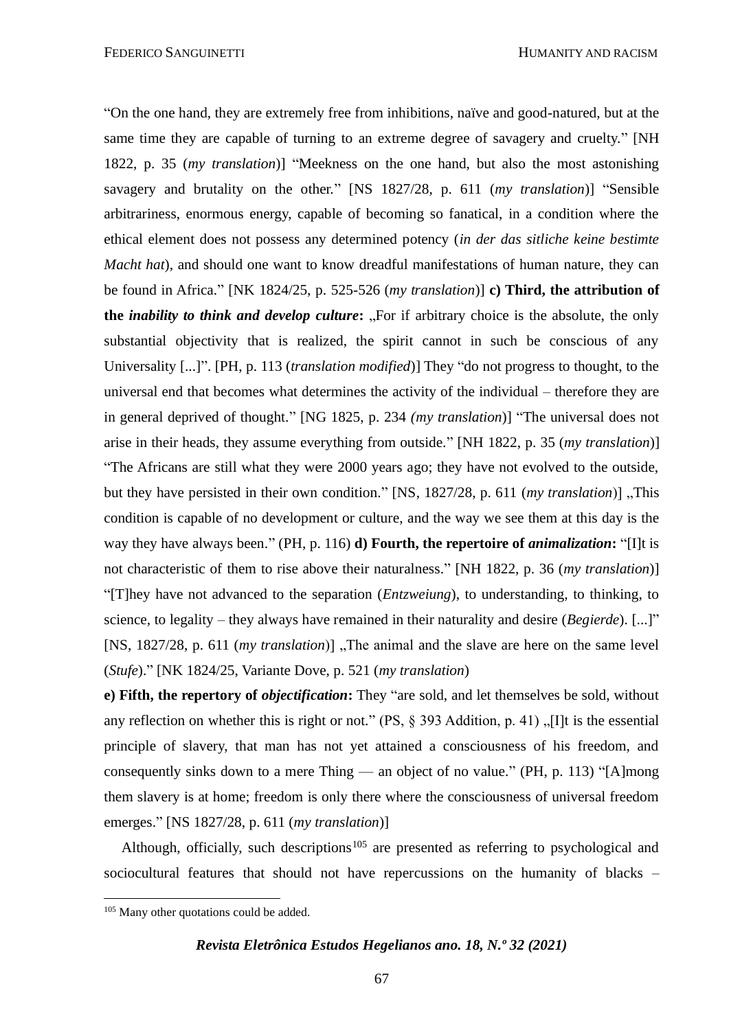"On the one hand, they are extremely free from inhibitions, naïve and good-natured, but at the same time they are capable of turning to an extreme degree of savagery and cruelty." [NH 1822, p. 35 (*my translation*)] "Meekness on the one hand, but also the most astonishing savagery and brutality on the other." [NS 1827/28, p. 611 (*my translation*)] "Sensible arbitrariness, enormous energy, capable of becoming so fanatical, in a condition where the ethical element does not possess any determined potency (*in der das sitliche keine bestimte Macht hat*), and should one want to know dreadful manifestations of human nature, they can be found in Africa." [NK 1824/25, p. 525-526 (*my translation*)] **c) Third, the attribution of the** *inability to think and develop culture*: ...For if arbitrary choice is the absolute, the only substantial objectivity that is realized, the spirit cannot in such be conscious of any Universality [...]". [PH, p. 113 (*translation modified*)] They "do not progress to thought, to the universal end that becomes what determines the activity of the individual – therefore they are in general deprived of thought." [NG 1825, p. 234 *(my translation*)] "The universal does not arise in their heads, they assume everything from outside." [NH 1822, p. 35 (*my translation*)] "The Africans are still what they were 2000 years ago; they have not evolved to the outside, but they have persisted in their own condition." [NS, 1827/28, p. 611 (*my translation*)] "This condition is capable of no development or culture, and the way we see them at this day is the way they have always been." (PH, p. 116) **d) Fourth, the repertoire of** *animalization***:** "[I]t is not characteristic of them to rise above their naturalness." [NH 1822, p. 36 (*my translation*)] "[T]hey have not advanced to the separation (*Entzweiung*), to understanding, to thinking, to science, to legality – they always have remained in their naturality and desire (*Begierde*). [...]" [NS, 1827/28, p. 611 (*my translation*)]. The animal and the slave are here on the same level (*Stufe*)." [NK 1824/25, Variante Dove, p. 521 (*my translation*)

**e) Fifth, the repertory of** *objectification***:** They "are sold, and let themselves be sold, without any reflection on whether this is right or not." (PS,  $\S$  393 Addition, p. 41), [I]t is the essential principle of slavery, that man has not yet attained a consciousness of his freedom, and consequently sinks down to a mere Thing — an object of no value." (PH, p. 113) "[A]mong them slavery is at home; freedom is only there where the consciousness of universal freedom emerges." [NS 1827/28, p. 611 (*my translation*)]

Although, officially, such descriptions<sup>105</sup> are presented as referring to psychological and sociocultural features that should not have repercussions on the humanity of blacks –

<sup>&</sup>lt;sup>105</sup> Many other quotations could be added.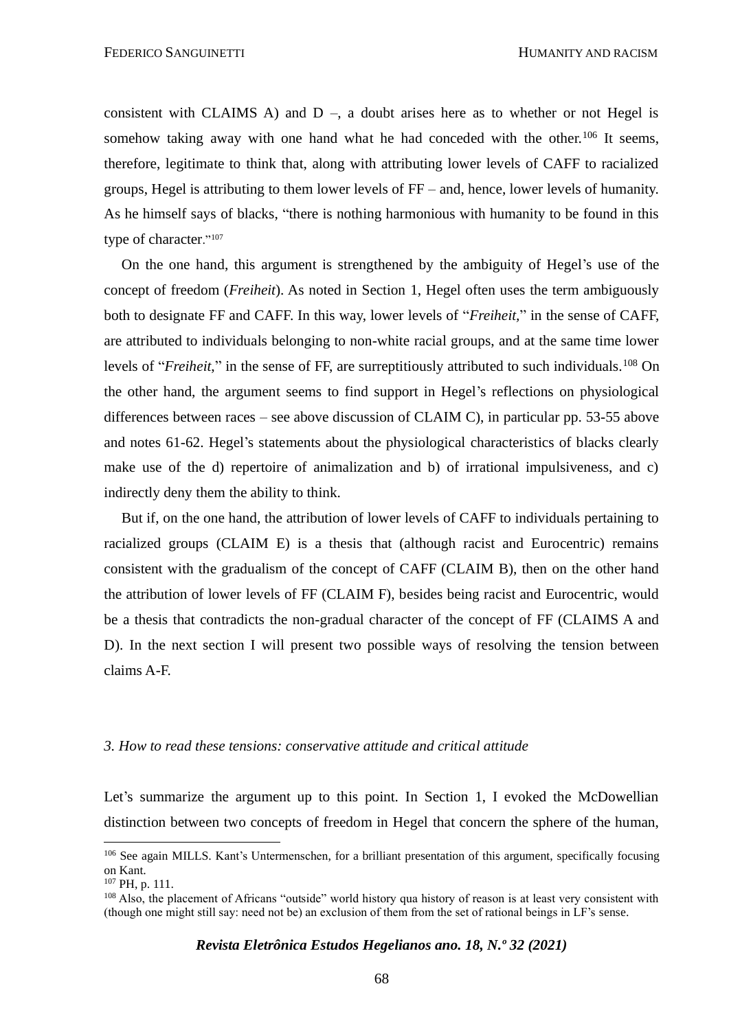consistent with CLAIMS A) and  $D -$ , a doubt arises here as to whether or not Hegel is somehow taking away with one hand what he had conceded with the other.<sup>106</sup> It seems, therefore, legitimate to think that, along with attributing lower levels of CAFF to racialized groups, Hegel is attributing to them lower levels of FF – and, hence, lower levels of humanity. As he himself says of blacks, "there is nothing harmonious with humanity to be found in this type of character."<sup>107</sup>

On the one hand, this argument is strengthened by the ambiguity of Hegel's use of the concept of freedom (*Freiheit*). As noted in Section 1, Hegel often uses the term ambiguously both to designate FF and CAFF. In this way, lower levels of "*Freiheit,*" in the sense of CAFF, are attributed to individuals belonging to non-white racial groups, and at the same time lower levels of "*Freiheit*," in the sense of FF, are surreptitiously attributed to such individuals.<sup>108</sup> On the other hand, the argument seems to find support in Hegel's reflections on physiological differences between races – see above discussion of CLAIM C), in particular pp. 53-55 above and notes 61-62. Hegel's statements about the physiological characteristics of blacks clearly make use of the d) repertoire of animalization and b) of irrational impulsiveness, and c) indirectly deny them the ability to think.

But if, on the one hand, the attribution of lower levels of CAFF to individuals pertaining to racialized groups (CLAIM E) is a thesis that (although racist and Eurocentric) remains consistent with the gradualism of the concept of CAFF (CLAIM B), then on the other hand the attribution of lower levels of FF (CLAIM F), besides being racist and Eurocentric, would be a thesis that contradicts the non-gradual character of the concept of FF (CLAIMS A and D). In the next section I will present two possible ways of resolving the tension between claims A-F.

#### *3. How to read these tensions: conservative attitude and critical attitude*

Let's summarize the argument up to this point. In Section 1, I evoked the McDowellian distinction between two concepts of freedom in Hegel that concern the sphere of the human,

<sup>&</sup>lt;sup>106</sup> See again MILLS. Kant's Untermenschen, for a brilliant presentation of this argument, specifically focusing on Kant.

<sup>107</sup> PH, p. 111.

<sup>108</sup> Also, the placement of Africans "outside" world history qua history of reason is at least very consistent with (though one might still say: need not be) an exclusion of them from the set of rational beings in LF's sense.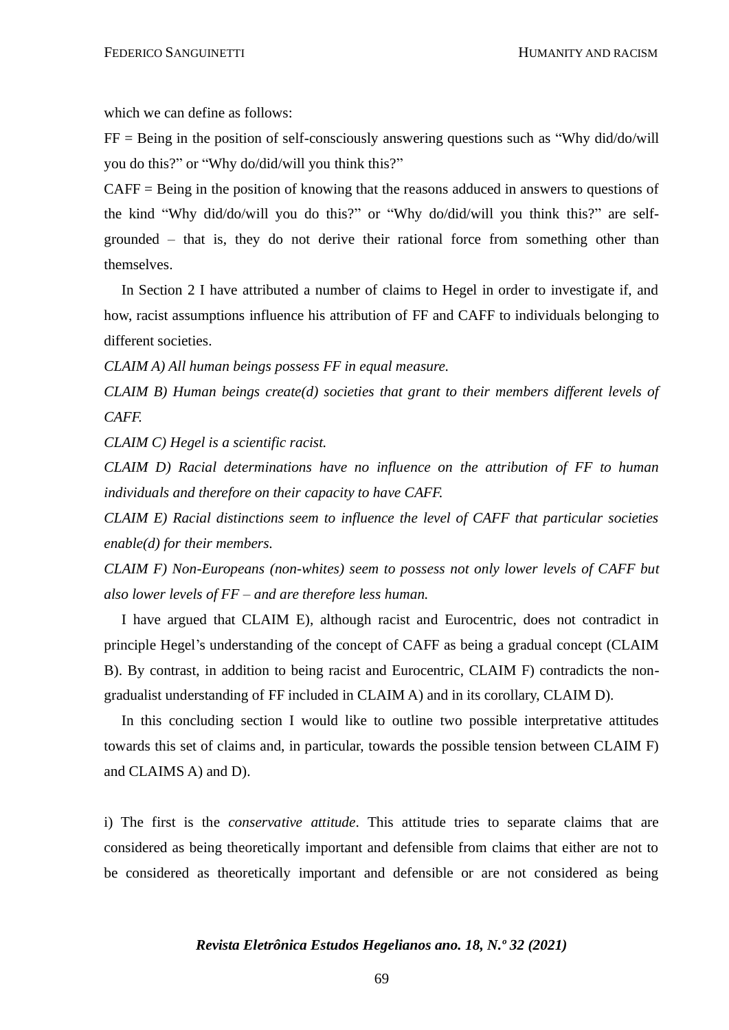which we can define as follows:

 $FF = Being$  in the position of self-consciously answering questions such as "Why did/do/will you do this?" or "Why do/did/will you think this?"

CAFF = Being in the position of knowing that the reasons adduced in answers to questions of the kind "Why did/do/will you do this?" or "Why do/did/will you think this?" are selfgrounded – that is, they do not derive their rational force from something other than themselves.

In Section 2 I have attributed a number of claims to Hegel in order to investigate if, and how, racist assumptions influence his attribution of FF and CAFF to individuals belonging to different societies.

*CLAIM A) All human beings possess FF in equal measure.*

*CLAIM B) Human beings create(d) societies that grant to their members different levels of CAFF.*

*CLAIM C) Hegel is a scientific racist.*

*CLAIM D) Racial determinations have no influence on the attribution of FF to human individuals and therefore on their capacity to have CAFF.*

*CLAIM E) Racial distinctions seem to influence the level of CAFF that particular societies enable(d) for their members.*

*CLAIM F) Non-Europeans (non-whites) seem to possess not only lower levels of CAFF but also lower levels of FF – and are therefore less human.*

I have argued that CLAIM E), although racist and Eurocentric, does not contradict in principle Hegel's understanding of the concept of CAFF as being a gradual concept (CLAIM B). By contrast, in addition to being racist and Eurocentric, CLAIM F) contradicts the nongradualist understanding of FF included in CLAIM A) and in its corollary, CLAIM D).

In this concluding section I would like to outline two possible interpretative attitudes towards this set of claims and, in particular, towards the possible tension between CLAIM F) and CLAIMS A) and D).

i) The first is the *conservative attitude*. This attitude tries to separate claims that are considered as being theoretically important and defensible from claims that either are not to be considered as theoretically important and defensible or are not considered as being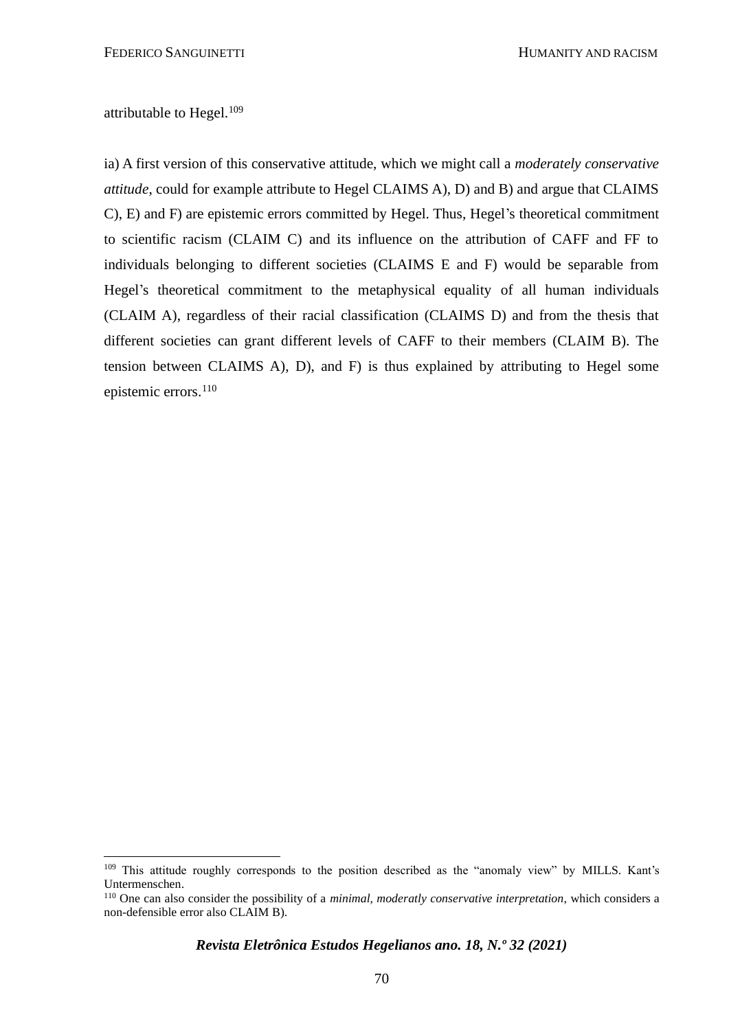attributable to Hegel. $109$ 

ia) A first version of this conservative attitude, which we might call a *moderately conservative attitude*, could for example attribute to Hegel CLAIMS A), D) and B) and argue that CLAIMS C), E) and F) are epistemic errors committed by Hegel. Thus, Hegel's theoretical commitment to scientific racism (CLAIM C) and its influence on the attribution of CAFF and FF to individuals belonging to different societies (CLAIMS E and F) would be separable from Hegel's theoretical commitment to the metaphysical equality of all human individuals (CLAIM A), regardless of their racial classification (CLAIMS D) and from the thesis that different societies can grant different levels of CAFF to their members (CLAIM B). The tension between CLAIMS A), D), and F) is thus explained by attributing to Hegel some epistemic errors.<sup>110</sup>

<sup>109</sup> This attitude roughly corresponds to the position described as the "anomaly view" by MILLS. Kant's Untermenschen.

<sup>110</sup> One can also consider the possibility of a *minimal, moderatly conservative interpretation*, which considers a non-defensible error also CLAIM B).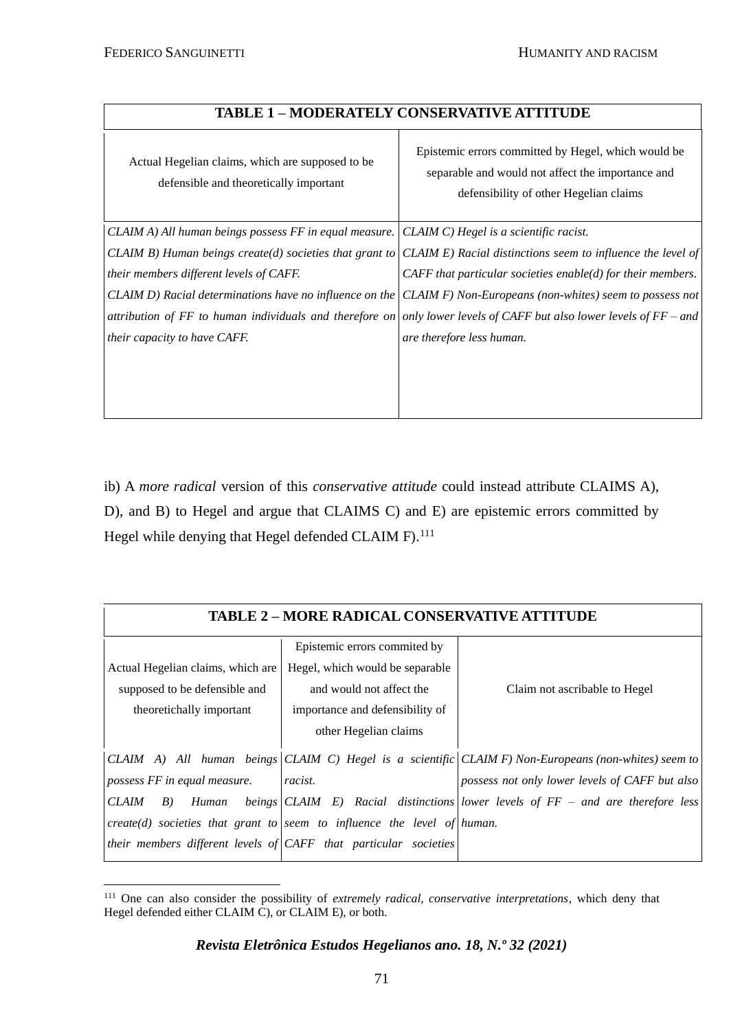### **TABLE 1 – MODERATELY CONSERVATIVE ATTITUDE**

 $\top$ 

| Actual Hegelian claims, which are supposed to be<br>defensible and theoretically important | Epistemic errors committed by Hegel, which would be<br>separable and would not affect the importance and<br>defensibility of other Hegelian claims |
|--------------------------------------------------------------------------------------------|----------------------------------------------------------------------------------------------------------------------------------------------------|
| CLAIM A) All human beings possess FF in equal measure.                                     | CLAIM C) Hegel is a scientific racist.                                                                                                             |
|                                                                                            | CLAIM B) Human beings create(d) societies that grant to $CLAIM E)$ Racial distinctions seem to influence the level of                              |
| their members different levels of CAFF.                                                    | CAFF that particular societies enable( $d$ ) for their members.                                                                                    |
|                                                                                            | CLAIM D) Racial determinations have no influence on the CLAIM F) Non-Europeans (non-whites) seem to possess not                                    |
|                                                                                            | attribution of FF to human individuals and therefore on only lower levels of CAFF but also lower levels of $FF-$ and                               |
| <i>their capacity to have CAFF.</i>                                                        | are therefore less human.                                                                                                                          |
|                                                                                            |                                                                                                                                                    |

ib) A *more radical* version of this *conservative attitude* could instead attribute CLAIMS A), D), and B) to Hegel and argue that CLAIMS C) and E) are epistemic errors committed by Hegel while denying that Hegel defended CLAIM F).<sup>111</sup>

| <b>TABLE 2 - MORE RADICAL CONSERVATIVE ATTITUDE</b> |  |
|-----------------------------------------------------|--|
|-----------------------------------------------------|--|

|                                         | Epistemic errors commited by                                              |                                                                                                      |
|-----------------------------------------|---------------------------------------------------------------------------|------------------------------------------------------------------------------------------------------|
| Actual Hegelian claims, which are       | Hegel, which would be separable                                           |                                                                                                      |
| supposed to be defensible and           | and would not affect the                                                  | Claim not ascribable to Hegel                                                                        |
| theoretichally important                | importance and defensibility of                                           |                                                                                                      |
|                                         | other Hegelian claims                                                     |                                                                                                      |
|                                         |                                                                           | CLAIM A) All human beings CLAIM C) Hegel is a scientific CLAIM F) Non-Europeans (non-whites) seem to |
| possess FF in equal measure.<br>racist. |                                                                           | possess not only lower levels of CAFF but also                                                       |
| <b>CLAIM</b><br>B)<br>Human             |                                                                           | beings CLAIM E) Racial distinctions lower levels of $FF$ – and are therefore less                    |
|                                         | $create(d)$ societies that grant to seem to influence the level of human. |                                                                                                      |
|                                         | their members different levels of $CAFF$ that particular societies        |                                                                                                      |

<sup>111</sup> One can also consider the possibility of *extremely radical, conservative interpretations*, which deny that Hegel defended either CLAIM C), or CLAIM E), or both.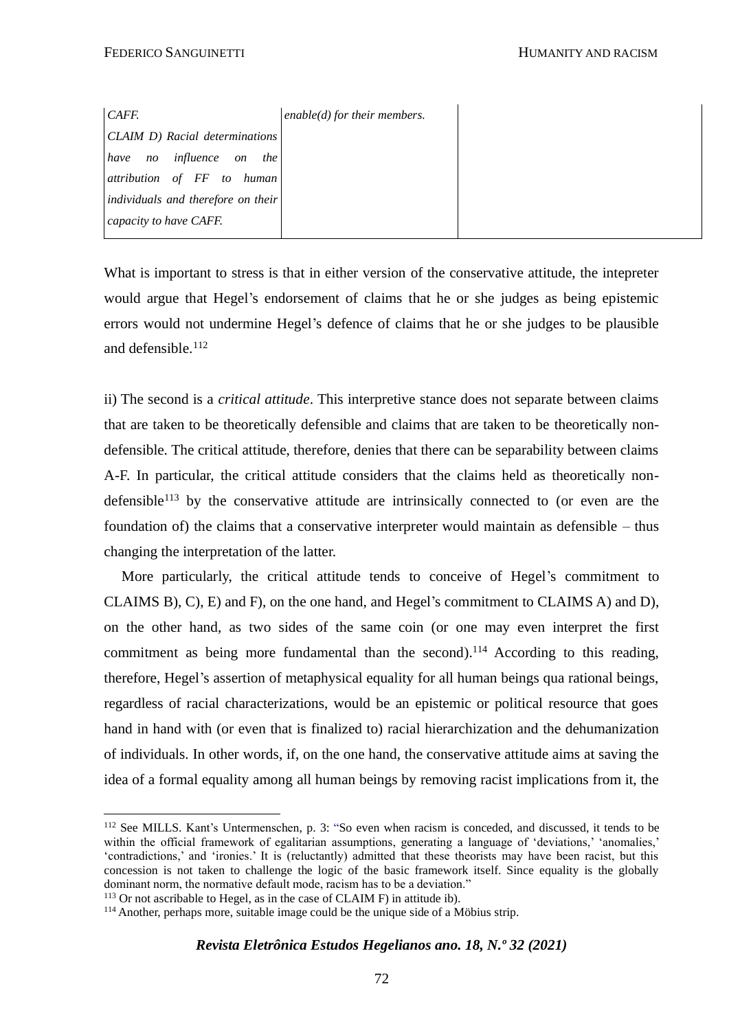What is important to stress is that in either version of the conservative attitude, the intepreter would argue that Hegel's endorsement of claims that he or she judges as being epistemic errors would not undermine Hegel's defence of claims that he or she judges to be plausible and defensible.<sup>112</sup>

ii) The second is a *critical attitude*. This interpretive stance does not separate between claims that are taken to be theoretically defensible and claims that are taken to be theoretically nondefensible. The critical attitude, therefore, denies that there can be separability between claims A-F. In particular, the critical attitude considers that the claims held as theoretically nondefensible<sup>113</sup> by the conservative attitude are intrinsically connected to (or even are the foundation of) the claims that a conservative interpreter would maintain as defensible – thus changing the interpretation of the latter.

More particularly, the critical attitude tends to conceive of Hegel's commitment to CLAIMS B), C), E) and F), on the one hand, and Hegel's commitment to CLAIMS A) and D), on the other hand, as two sides of the same coin (or one may even interpret the first commitment as being more fundamental than the second).<sup>114</sup> According to this reading, therefore, Hegel's assertion of metaphysical equality for all human beings qua rational beings, regardless of racial characterizations, would be an epistemic or political resource that goes hand in hand with (or even that is finalized to) racial hierarchization and the dehumanization of individuals. In other words, if, on the one hand, the conservative attitude aims at saving the idea of a formal equality among all human beings by removing racist implications from it, the

<sup>112</sup> See MILLS. Kant's Untermenschen, p. 3: "So even when racism is conceded, and discussed, it tends to be within the official framework of egalitarian assumptions, generating a language of 'deviations,' 'anomalies,' 'contradictions,' and 'ironies.' It is (reluctantly) admitted that these theorists may have been racist, but this concession is not taken to challenge the logic of the basic framework itself. Since equality is the globally dominant norm, the normative default mode, racism has to be a deviation."

 $113$  Or not ascribable to Hegel, as in the case of CLAIM F) in attitude ib).

<sup>&</sup>lt;sup>114</sup> Another, perhaps more, suitable image could be the unique side of a Möbius strip.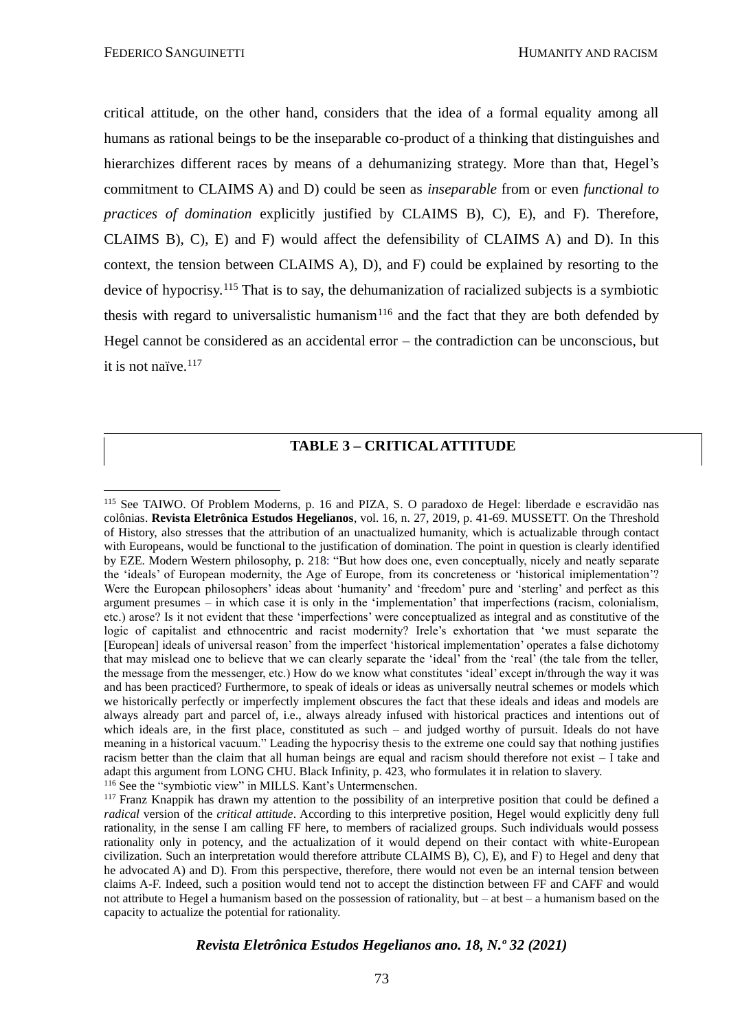critical attitude, on the other hand, considers that the idea of a formal equality among all humans as rational beings to be the inseparable co-product of a thinking that distinguishes and hierarchizes different races by means of a dehumanizing strategy. More than that, Hegel's commitment to CLAIMS A) and D) could be seen as *inseparable* from or even *functional to practices of domination* explicitly justified by CLAIMS B), C), E), and F). Therefore, CLAIMS B), C), E) and F) would affect the defensibility of CLAIMS A) and D). In this context, the tension between CLAIMS A), D), and F) could be explained by resorting to the device of hypocrisy.<sup>115</sup> That is to say, the dehumanization of racialized subjects is a symbiotic thesis with regard to universalistic humanism<sup>116</sup> and the fact that they are both defended by Hegel cannot be considered as an accidental error – the contradiction can be unconscious, but it is not naïve.<sup>117</sup>

#### **TABLE 3 – CRITICAL ATTITUDE**

<sup>115</sup> See TAIWO. Of Problem Moderns, p. 16 and PIZA, S. O paradoxo de Hegel: liberdade e escravidão nas colônias. **Revista Eletrônica Estudos Hegelianos**, vol. 16, n. 27, 2019, p. 41-69. MUSSETT. On the Threshold of History, also stresses that the attribution of an unactualized humanity, which is actualizable through contact with Europeans, would be functional to the justification of domination. The point in question is clearly identified by EZE. Modern Western philosophy, p. 218: "But how does one, even conceptually, nicely and neatly separate the 'ideals' of European modernity, the Age of Europe, from its concreteness or 'historical imiplementation'? Were the European philosophers' ideas about 'humanity' and 'freedom' pure and 'sterling' and perfect as this argument presumes – in which case it is only in the 'implementation' that imperfections (racism, colonialism, etc.) arose? Is it not evident that these 'imperfections' were conceptualized as integral and as constitutive of the logic of capitalist and ethnocentric and racist modernity? Irele's exhortation that 'we must separate the [European] ideals of universal reason' from the imperfect 'historical implementation' operates a false dichotomy that may mislead one to believe that we can clearly separate the 'ideal' from the 'real' (the tale from the teller, the message from the messenger, etc.) How do we know what constitutes 'ideal' except in/through the way it was and has been practiced? Furthermore, to speak of ideals or ideas as universally neutral schemes or models which we historically perfectly or imperfectly implement obscures the fact that these ideals and ideas and models are always already part and parcel of, i.e., always already infused with historical practices and intentions out of which ideals are, in the first place, constituted as such – and judged worthy of pursuit. Ideals do not have meaning in a historical vacuum." Leading the hypocrisy thesis to the extreme one could say that nothing justifies racism better than the claim that all human beings are equal and racism should therefore not exist  $-1$  take and adapt this argument from LONG CHU. Black Infinity, p. 423, who formulates it in relation to slavery. <sup>116</sup> See the "symbiotic view" in MILLS. Kant's Untermenschen.

<sup>&</sup>lt;sup>117</sup> Franz Knappik has drawn my attention to the possibility of an interpretive position that could be defined a *radical* version of the *critical attitude*. According to this interpretive position, Hegel would explicitly deny full rationality, in the sense I am calling FF here, to members of racialized groups. Such individuals would possess rationality only in potency, and the actualization of it would depend on their contact with white-European civilization. Such an interpretation would therefore attribute CLAIMS B), C), E), and F) to Hegel and deny that he advocated A) and D). From this perspective, therefore, there would not even be an internal tension between claims A-F. Indeed, such a position would tend not to accept the distinction between FF and CAFF and would not attribute to Hegel a humanism based on the possession of rationality, but – at best – a humanism based on the capacity to actualize the potential for rationality.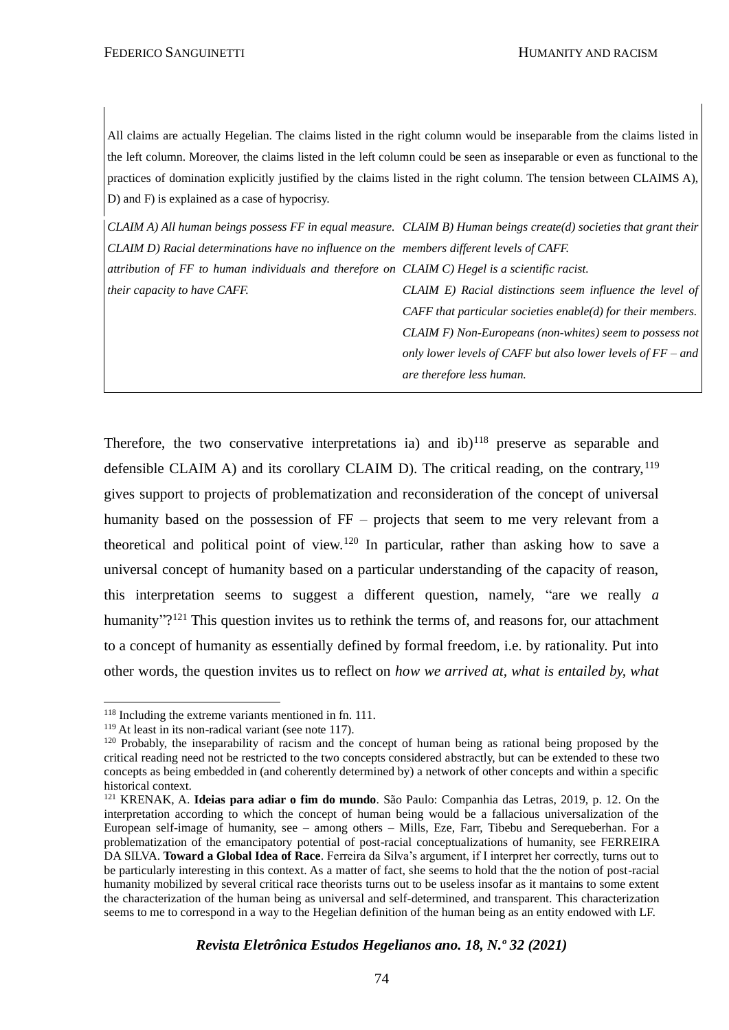All claims are actually Hegelian. The claims listed in the right column would be inseparable from the claims listed in the left column. Moreover, the claims listed in the left column could be seen as inseparable or even as functional to the practices of domination explicitly justified by the claims listed in the right column. The tension between CLAIMS A), D) and F) is explained as a case of hypocrisy.

*CLAIM A) All human beings possess FF in equal measure. CLAIM B) Human beings create(d) societies that grant their CLAIM D) Racial determinations have no influence on the members different levels of CAFF. attribution of FF to human individuals and therefore on CLAIM C) Hegel is a scientific racist. their capacity to have CAFF. CLAIM E) Racial distinctions seem influence the level of CAFF that particular societies enable(d) for their members. CLAIM F) Non-Europeans (non-whites) seem to possess not only lower levels of CAFF but also lower levels of FF – and* 

*are therefore less human.*

Therefore, the two conservative interpretations ia) and  $ib)^{118}$  preserve as separable and defensible CLAIM A) and its corollary CLAIM D). The critical reading, on the contrary,  $119$ gives support to projects of problematization and reconsideration of the concept of universal humanity based on the possession of FF – projects that seem to me very relevant from a theoretical and political point of view.<sup>120</sup> In particular, rather than asking how to save a universal concept of humanity based on a particular understanding of the capacity of reason, this interpretation seems to suggest a different question, namely, "are we really *a*  humanity"?<sup>121</sup> This question invites us to rethink the terms of, and reasons for, our attachment to a concept of humanity as essentially defined by formal freedom, i.e. by rationality. Put into other words, the question invites us to reflect on *how we arrived at, what is entailed by, what* 

<sup>&</sup>lt;sup>118</sup> Including the extreme variants mentioned in fn. 111.

<sup>&</sup>lt;sup>119</sup> At least in its non-radical variant (see note 117).

<sup>&</sup>lt;sup>120</sup> Probably, the inseparability of racism and the concept of human being as rational being proposed by the critical reading need not be restricted to the two concepts considered abstractly, but can be extended to these two concepts as being embedded in (and coherently determined by) a network of other concepts and within a specific historical context.

<sup>121</sup> KRENAK, A. **Ideias para adiar o fim do mundo**. São Paulo: Companhia das Letras, 2019, p. 12. On the interpretation according to which the concept of human being would be a fallacious universalization of the European self-image of humanity, see – among others – Mills, Eze, Farr, Tibebu and Serequeberhan. For a problematization of the emancipatory potential of post-racial conceptualizations of humanity, see FERREIRA DA SILVA. **Toward a Global Idea of Race**. Ferreira da Silva's argument, if I interpret her correctly, turns out to be particularly interesting in this context. As a matter of fact, she seems to hold that the the notion of post-racial humanity mobilized by several critical race theorists turns out to be useless insofar as it mantains to some extent the characterization of the human being as universal and self-determined, and transparent. This characterization seems to me to correspond in a way to the Hegelian definition of the human being as an entity endowed with LF.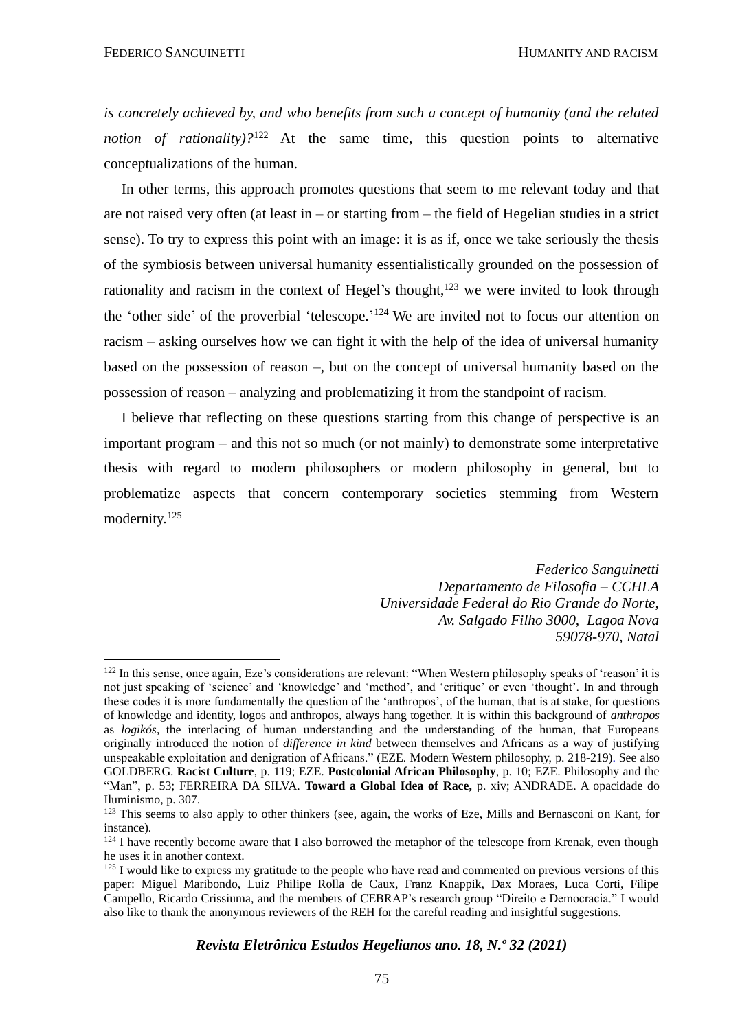*is concretely achieved by, and who benefits from such a concept of humanity (and the related notion of rationality*)?<sup>122</sup> At the same time, this question points to alternative conceptualizations of the human.

In other terms, this approach promotes questions that seem to me relevant today and that are not raised very often (at least in – or starting from – the field of Hegelian studies in a strict sense). To try to express this point with an image: it is as if, once we take seriously the thesis of the symbiosis between universal humanity essentialistically grounded on the possession of rationality and racism in the context of Hegel's thought,<sup>123</sup> we were invited to look through the 'other side' of the proverbial 'telescope.'<sup>124</sup> We are invited not to focus our attention on racism – asking ourselves how we can fight it with the help of the idea of universal humanity based on the possession of reason –, but on the concept of universal humanity based on the possession of reason – analyzing and problematizing it from the standpoint of racism.

I believe that reflecting on these questions starting from this change of perspective is an important program – and this not so much (or not mainly) to demonstrate some interpretative thesis with regard to modern philosophers or modern philosophy in general, but to problematize aspects that concern contemporary societies stemming from Western modernity.<sup>125</sup>

> *Federico Sanguinetti Departamento de Filosofia – CCHLA Universidade Federal do Rio Grande do Norte, Av. Salgado Filho 3000, Lagoa Nova 59078-970, Natal*

<sup>&</sup>lt;sup>122</sup> In this sense, once again, Eze's considerations are relevant: "When Western philosophy speaks of 'reason' it is not just speaking of 'science' and 'knowledge' and 'method', and 'critique' or even 'thought'. In and through these codes it is more fundamentally the question of the 'anthropos', of the human, that is at stake, for questions of knowledge and identity, logos and anthropos, always hang together. It is within this background of *anthropos*  as *logikós*, the interlacing of human understanding and the understanding of the human, that Europeans originally introduced the notion of *difference in kind* between themselves and Africans as a way of justifying unspeakable exploitation and denigration of Africans." (EZE. Modern Western philosophy, p. 218-219). See also GOLDBERG. **Racist Culture**, p. 119; EZE. **Postcolonial African Philosophy**, p. 10; EZE. Philosophy and the "Man", p. 53; FERREIRA DA SILVA. **Toward a Global Idea of Race,** p. xiv; ANDRADE. A opacidade do Iluminismo, p. 307.

<sup>&</sup>lt;sup>123</sup> This seems to also apply to other thinkers (see, again, the works of Eze, Mills and Bernasconi on Kant, for instance).

<sup>&</sup>lt;sup>124</sup> I have recently become aware that I also borrowed the metaphor of the telescope from Krenak, even though he uses it in another context.

 $125$  I would like to express my gratitude to the people who have read and commented on previous versions of this paper: Miguel Maribondo, Luiz Philipe Rolla de Caux, Franz Knappik, Dax Moraes, Luca Corti, Filipe Campello, Ricardo Crissiuma, and the members of CEBRAP's research group "Direito e Democracia." I would also like to thank the anonymous reviewers of the REH for the careful reading and insightful suggestions.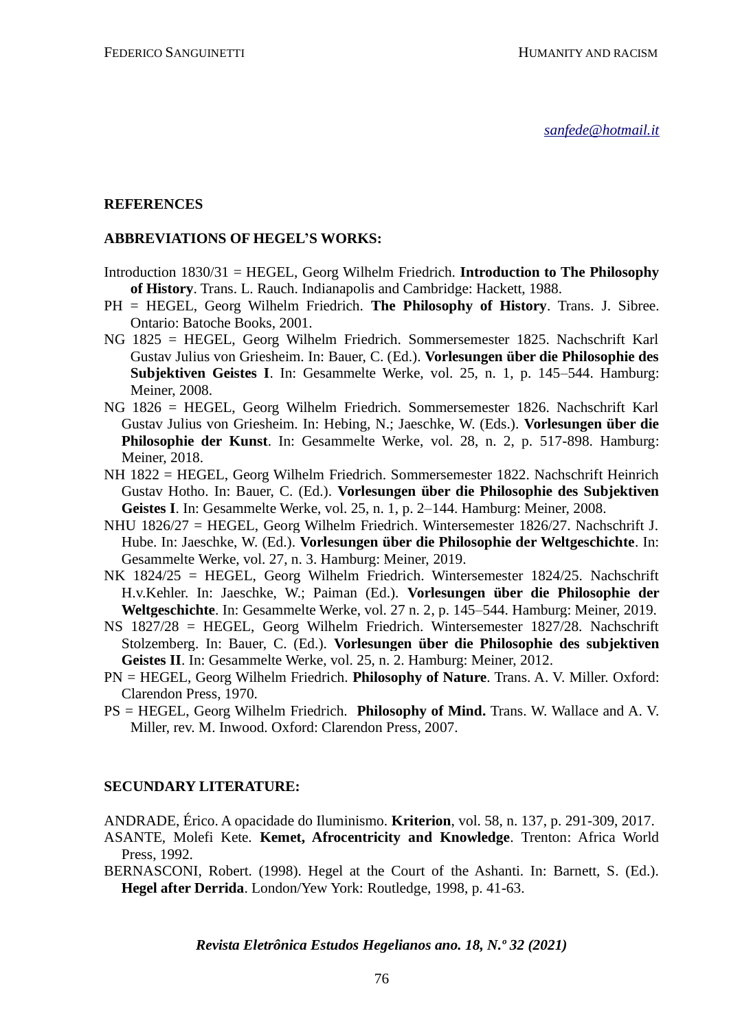*[sanfede@hotmail.it](mailto:sanfede@hotmail.it)*

#### **REFERENCES**

#### **ABBREVIATIONS OF HEGEL'S WORKS:**

- Introduction 1830/31 = HEGEL, Georg Wilhelm Friedrich. **Introduction to The Philosophy of History**. Trans. L. Rauch. Indianapolis and Cambridge: Hackett, 1988.
- PH = HEGEL, Georg Wilhelm Friedrich. **The Philosophy of History**. Trans. J. Sibree. Ontario: Batoche Books, 2001.
- NG 1825 = HEGEL, Georg Wilhelm Friedrich. Sommersemester 1825. Nachschrift Karl Gustav Julius von Griesheim. In: Bauer, C. (Ed.). **Vorlesungen über die Philosophie des Subjektiven Geistes I**. In: Gesammelte Werke, vol. 25, n. 1, p. 145–544. Hamburg: Meiner, 2008.
- NG 1826 = HEGEL, Georg Wilhelm Friedrich. Sommersemester 1826. Nachschrift Karl Gustav Julius von Griesheim. In: Hebing, N.; Jaeschke, W. (Eds.). **Vorlesungen über die Philosophie der Kunst**. In: Gesammelte Werke, vol. 28, n. 2, p. 517-898. Hamburg: Meiner, 2018.
- NH 1822 = HEGEL, Georg Wilhelm Friedrich. Sommersemester 1822. Nachschrift Heinrich Gustav Hotho. In: Bauer, C. (Ed.). **Vorlesungen über die Philosophie des Subjektiven Geistes I**. In: Gesammelte Werke, vol. 25, n. 1, p. 2–144. Hamburg: Meiner, 2008.
- NHU 1826/27 = HEGEL, Georg Wilhelm Friedrich. Wintersemester 1826/27. Nachschrift J. Hube. In: Jaeschke, W. (Ed.). **Vorlesungen über die Philosophie der Weltgeschichte**. In: Gesammelte Werke, vol. 27, n. 3. Hamburg: Meiner, 2019.
- NK 1824/25 = HEGEL, Georg Wilhelm Friedrich. Wintersemester 1824/25. Nachschrift H.v.Kehler. In: Jaeschke, W.; Paiman (Ed.). **Vorlesungen über die Philosophie der Weltgeschichte**. In: Gesammelte Werke, vol. 27 n. 2, p. 145–544. Hamburg: Meiner, 2019.
- NS 1827/28 = HEGEL, Georg Wilhelm Friedrich. Wintersemester 1827/28. Nachschrift Stolzemberg. In: Bauer, C. (Ed.). **Vorlesungen über die Philosophie des subjektiven Geistes II**. In: Gesammelte Werke, vol. 25, n. 2. Hamburg: Meiner, 2012.
- PN = HEGEL, Georg Wilhelm Friedrich. **Philosophy of Nature**. Trans. A. V. Miller. Oxford: Clarendon Press, 1970.
- PS = HEGEL, Georg Wilhelm Friedrich. **Philosophy of Mind.** Trans. W. Wallace and A. V. Miller, rev. M. Inwood. Oxford: Clarendon Press, 2007.

#### **SECUNDARY LITERATURE:**

ANDRADE, Érico. A opacidade do Iluminismo. **Kriterion**, vol. 58, n. 137, p. 291-309, 2017.

- ASANTE, Molefi Kete. **Kemet, Afrocentricity and Knowledge**. Trenton: Africa World Press, 1992.
- BERNASCONI, Robert. (1998). Hegel at the Court of the Ashanti. In: Barnett, S. (Ed.). **Hegel after Derrida**. London/Yew York: Routledge, 1998, p. 41-63.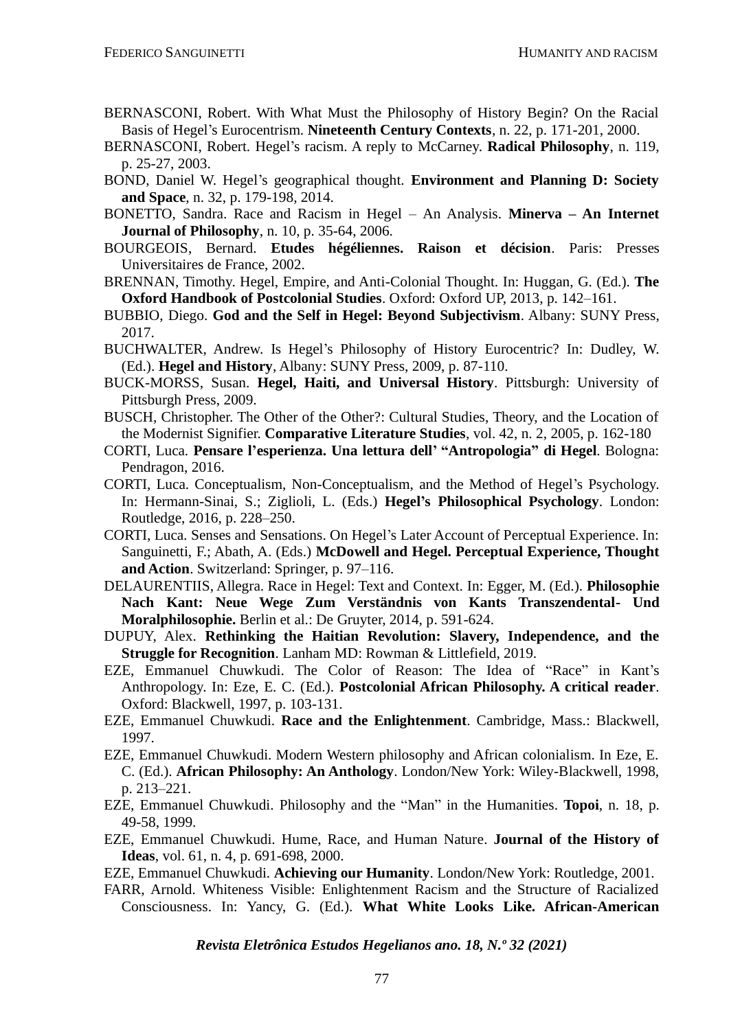- BERNASCONI, Robert. With What Must the Philosophy of History Begin? On the Racial Basis of Hegel's Eurocentrism. **Nineteenth Century Contexts**, n. 22, p. 171-201, 2000.
- BERNASCONI, Robert. Hegel's racism. A reply to McCarney. **Radical Philosophy**, n. 119, p. 25-27, 2003.
- BOND, Daniel W. Hegel's geographical thought. **Environment and Planning D: Society and Space**, n. 32, p. 179-198, 2014.
- BONETTO, Sandra. Race and Racism in Hegel An Analysis. **Minerva – An Internet Journal of Philosophy**, n. 10, p. 35-64, 2006.
- BOURGEOIS, Bernard. **Etudes hégéliennes. Raison et décision**. Paris: Presses Universitaires de France, 2002.
- BRENNAN, Timothy. Hegel, Empire, and Anti-Colonial Thought. In: Huggan, G. (Ed.). **The Oxford Handbook of Postcolonial Studies**. Oxford: Oxford UP, 2013, p. 142–161.
- BUBBIO, Diego. **God and the Self in Hegel: Beyond Subjectivism**. Albany: SUNY Press, 2017.
- BUCHWALTER, Andrew. Is Hegel's Philosophy of History Eurocentric? In: Dudley, W. (Ed.). **Hegel and History**, Albany: SUNY Press, 2009, p. 87-110.
- BUCK-MORSS, Susan. **Hegel, Haiti, and Universal History**. Pittsburgh: University of Pittsburgh Press, 2009.
- BUSCH, Christopher. The Other of the Other?: Cultural Studies, Theory, and the Location of the Modernist Signifier. **Comparative Literature Studies**, vol. 42, n. 2, 2005, p. 162-180
- CORTI, Luca. **Pensare l'esperienza. Una lettura dell' "Antropologia" di Hegel**. Bologna: Pendragon, 2016.
- CORTI, Luca. Conceptualism, Non-Conceptualism, and the Method of Hegel's Psychology. In: Hermann-Sinai, S.; Ziglioli, L. (Eds.) **Hegel's Philosophical Psychology**. London: Routledge, 2016, p. 228–250.
- CORTI, Luca. Senses and Sensations. On Hegel's Later Account of Perceptual Experience. In: Sanguinetti, F.; Abath, A. (Eds.) **McDowell and Hegel. Perceptual Experience, Thought and Action**. Switzerland: Springer, p. 97–116.
- DELAURENTIIS, Allegra. Race in Hegel: Text and Context. In: Egger, M. (Ed.). **Philosophie Nach Kant: Neue Wege Zum Verständnis von Kants Transzendental- Und Moralphilosophie.** Berlin et al.: De Gruyter, 2014, p. 591-624.
- DUPUY, Alex. **Rethinking the Haitian Revolution: Slavery, Independence, and the Struggle for Recognition**. Lanham MD: Rowman & Littlefield, 2019.
- EZE, Emmanuel Chuwkudi. The Color of Reason: The Idea of "Race" in Kant's Anthropology. In: Eze, E. C. (Ed.). **Postcolonial African Philosophy. A critical reader**. Oxford: Blackwell, 1997, p. 103-131.
- EZE, Emmanuel Chuwkudi. **Race and the Enlightenment**. Cambridge, Mass.: Blackwell, 1997.
- EZE, Emmanuel Chuwkudi. Modern Western philosophy and African colonialism. In Eze, E. C. (Ed.). **African Philosophy: An Anthology**. London/New York: Wiley-Blackwell, 1998, p. 213–221.
- EZE, Emmanuel Chuwkudi. Philosophy and the "Man" in the Humanities. **Topoi**, n. 18, p. 49-58, 1999.
- EZE, Emmanuel Chuwkudi. Hume, Race, and Human Nature. **Journal of the History of Ideas**, vol. 61, n. 4, p. 691-698, 2000.
- EZE, Emmanuel Chuwkudi. **Achieving our Humanity**. London/New York: Routledge, 2001.
- FARR, Arnold. Whiteness Visible: Enlightenment Racism and the Structure of Racialized Consciousness. In: Yancy, G. (Ed.). **What White Looks Like. African-American**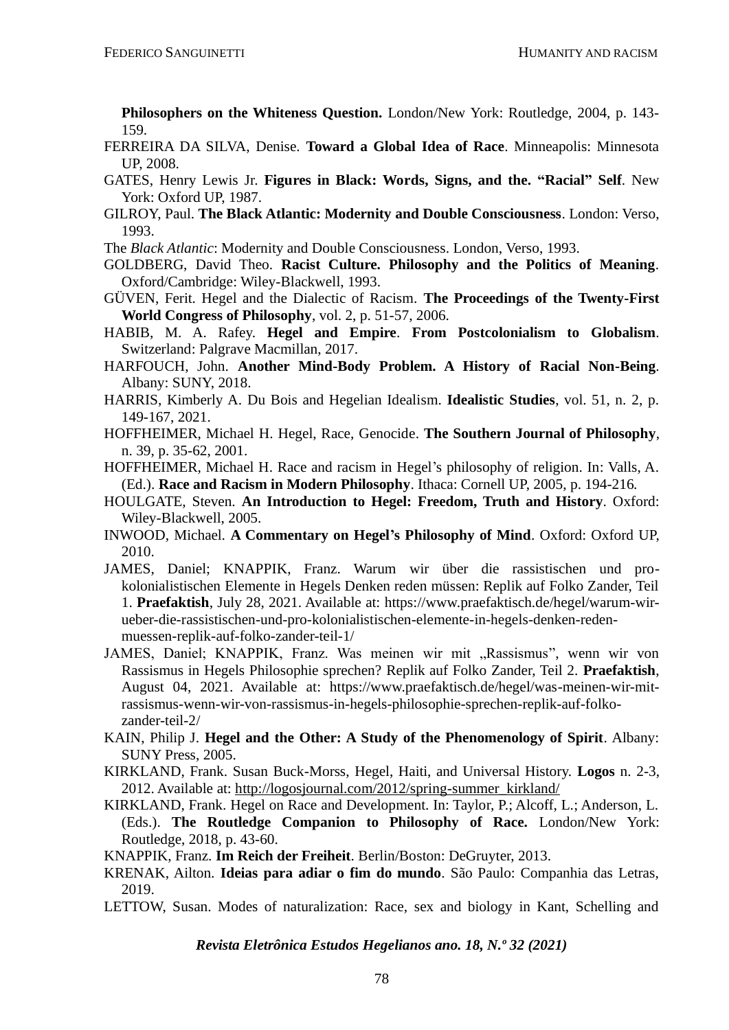**Philosophers on the Whiteness Question.** London/New York: Routledge, 2004, p. 143- 159.

- FERREIRA DA SILVA, Denise. **Toward a Global Idea of Race**. Minneapolis: Minnesota UP, 2008.
- GATES, Henry Lewis Jr. **Figures in Black: Words, Signs, and the. "Racial" Self**. New York: Oxford UP, 1987.
- GILROY, Paul. **The Black Atlantic: Modernity and Double Consciousness**. London: Verso, 1993.
- The *Black Atlantic*: Modernity and Double Consciousness. London, Verso, 1993.
- GOLDBERG, David Theo. **Racist Culture. Philosophy and the Politics of Meaning**. Oxford/Cambridge: Wiley-Blackwell, 1993.
- GÜVEN, Ferit. Hegel and the Dialectic of Racism. **The Proceedings of the Twenty-First World Congress of Philosophy**, vol. 2, p. 51-57, 2006.
- HABIB, M. A. Rafey. **Hegel and Empire**. **From Postcolonialism to Globalism**. Switzerland: Palgrave Macmillan, 2017.
- HARFOUCH, John. **Another Mind-Body Problem. A History of Racial Non-Being**. Albany: SUNY, 2018.
- HARRIS, Kimberly A. Du Bois and Hegelian Idealism. **Idealistic Studies**, vol. 51, n. 2, p. 149-167, 2021.
- HOFFHEIMER, Michael H. Hegel, Race, Genocide. **The Southern Journal of Philosophy**, n. 39, p. 35-62, 2001.
- HOFFHEIMER, Michael H. Race and racism in Hegel's philosophy of religion. In: Valls, A. (Ed.). **Race and Racism in Modern Philosophy**. Ithaca: Cornell UP, 2005, p. 194-216*.*
- HOULGATE, Steven. **An Introduction to Hegel: Freedom, Truth and History**. Oxford: Wiley-Blackwell, 2005.
- INWOOD, Michael. **A Commentary on Hegel's Philosophy of Mind**. Oxford: Oxford UP, 2010.
- JAMES, Daniel; KNAPPIK, Franz. Warum wir über die rassistischen und prokolonialistischen Elemente in Hegels Denken reden müssen: Replik auf Folko Zander, Teil 1. **Praefaktish**, July 28, 2021. Available at: https://www.praefaktisch.de/hegel/warum-wirueber-die-rassistischen-und-pro-kolonialistischen-elemente-in-hegels-denken-redenmuessen-replik-auf-folko-zander-teil-1/
- JAMES, Daniel; KNAPPIK, Franz. Was meinen wir mit "Rassismus", wenn wir von Rassismus in Hegels Philosophie sprechen? Replik auf Folko Zander, Teil 2. **Praefaktish**, August 04, 2021. Available at: https://www.praefaktisch.de/hegel/was-meinen-wir-mitrassismus-wenn-wir-von-rassismus-in-hegels-philosophie-sprechen-replik-auf-folkozander-teil-2/
- KAIN, Philip J. **Hegel and the Other: A Study of the Phenomenology of Spirit**. Albany: SUNY Press, 2005.
- KIRKLAND, Frank. Susan Buck-Morss, Hegel, Haiti, and Universal History. **Logos** n. 2-3, 2012. Available at: [http://logosjournal.com/2012/spring-summer\\_kirkland/](http://logosjournal.com/2012/spring-summer_kirkland/)
- KIRKLAND, Frank. Hegel on Race and Development. In: Taylor, P.; Alcoff, L.; Anderson, L. (Eds.). **The Routledge Companion to Philosophy of Race.** London/New York: Routledge, 2018, p. 43-60.
- KNAPPIK, Franz. **Im Reich der Freiheit**. Berlin/Boston: DeGruyter, 2013.
- KRENAK, Ailton. **Ideias para adiar o fim do mundo**. São Paulo: Companhia das Letras, 2019.
- LETTOW, Susan. Modes of naturalization: Race, sex and biology in Kant, Schelling and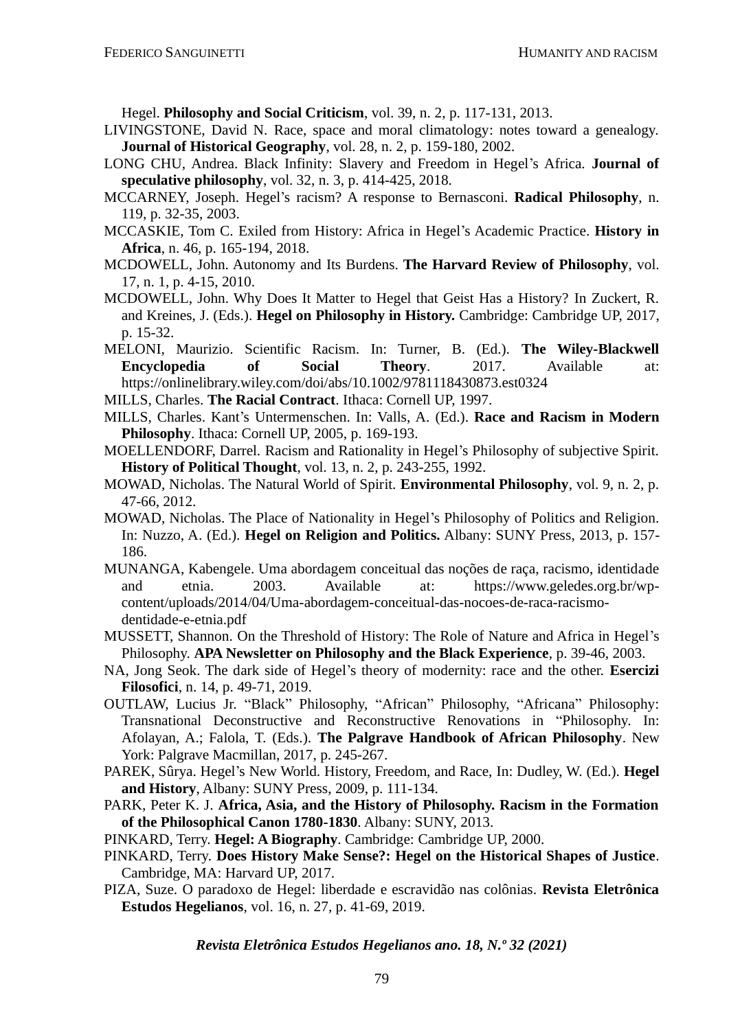Hegel. **Philosophy and Social Criticism**, vol. 39, n. 2, p. 117-131, 2013.

- LIVINGSTONE, David N. Race, space and moral climatology: notes toward a genealogy. **Journal of Historical Geography**, vol. 28, n. 2, p. 159-180, 2002.
- LONG CHU, Andrea. Black Infinity: Slavery and Freedom in Hegel's Africa. **Journal of speculative philosophy**, vol. 32, n. 3, p. 414-425, 2018.
- MCCARNEY, Joseph. Hegel's racism? A response to Bernasconi. **Radical Philosophy**, n. 119, p. 32-35, 2003.
- MCCASKIE, Tom C. Exiled from History: Africa in Hegel's Academic Practice. **History in Africa**, n. 46, p. 165-194, 2018.
- MCDOWELL, John. Autonomy and Its Burdens. **The Harvard Review of Philosophy**, vol. 17, n. 1, p. 4-15, 2010.
- MCDOWELL, John. Why Does It Matter to Hegel that Geist Has a History? In Zuckert, R. and Kreines, J. (Eds.). **Hegel on Philosophy in History.** Cambridge: Cambridge UP, 2017, p. 15-32.
- MELONI, Maurizio. Scientific Racism. In: Turner, B. (Ed.). **The Wiley-Blackwell Encyclopedia of Social Theory**. 2017. Available at: <https://onlinelibrary.wiley.com/doi/abs/10.1002/9781118430873.est0324>
- MILLS, Charles. **The Racial Contract**. Ithaca: Cornell UP, 1997.
- MILLS, Charles. Kant's Untermenschen. In: Valls, A. (Ed.). **Race and Racism in Modern Philosophy**. Ithaca: Cornell UP, 2005, p. 169-193.
- MOELLENDORF, Darrel. Racism and Rationality in Hegel's Philosophy of subjective Spirit. **History of Political Thought**, vol. 13, n. 2, p. 243-255, 1992.
- MOWAD, Nicholas. The Natural World of Spirit. **Environmental Philosophy**, vol. 9, n. 2, p. 47-66, 2012.
- MOWAD, Nicholas. The Place of Nationality in Hegel's Philosophy of Politics and Religion. In: Nuzzo, A. (Ed.). **Hegel on Religion and Politics.** Albany: SUNY Press, 2013, p. 157- 186.
- MUNANGA, Kabengele. Uma abordagem conceitual das noções de raça, racismo, identidade and etnia. 2003. Available at: https://www.geledes.org.br/wpcontent/uploads/2014/04/Uma-abordagem-conceitual-das-nocoes-de-raca-racismodentidade-e-etnia.pdf
- MUSSETT, Shannon. On the Threshold of History: The Role of Nature and Africa in Hegel's Philosophy. **APA Newsletter on Philosophy and the Black Experience**, p. 39-46, 2003.
- NA, Jong Seok. The dark side of Hegel's theory of modernity: race and the other. **Esercizi Filosofici**, n. 14, p. 49-71, 2019.
- OUTLAW, Lucius Jr. "Black" Philosophy, "African" Philosophy, "Africana" Philosophy: Transnational Deconstructive and Reconstructive Renovations in "Philosophy. In: Afolayan, A.; Falola, T. (Eds.). **The Palgrave Handbook of African Philosophy**. New York: Palgrave Macmillan, 2017, p. 245-267.
- PAREK, Sûrya. Hegel's New World. History, Freedom, and Race, In: Dudley, W. (Ed.). **Hegel and History**, Albany: SUNY Press, 2009, p. 111-134.
- PARK, Peter K. J. **Africa, Asia, and the History of Philosophy. Racism in the Formation of the Philosophical Canon 1780-1830**. Albany: SUNY, 2013.
- PINKARD, Terry. **Hegel: A Biography**. Cambridge: Cambridge UP, 2000.
- PINKARD, Terry. **Does History Make Sense?: Hegel on the Historical Shapes of Justice**. Cambridge, MA: Harvard UP, 2017.
- PIZA, Suze. O paradoxo de Hegel: liberdade e escravidão nas colônias. **Revista Eletrônica Estudos Hegelianos**, vol. 16, n. 27, p. 41-69, 2019.